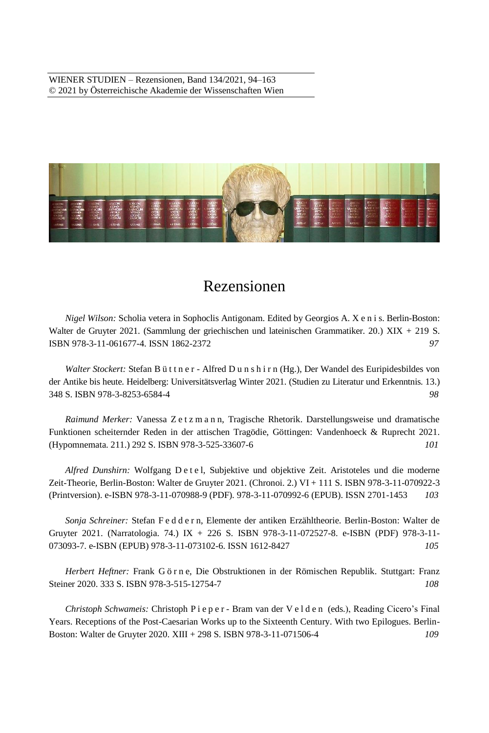WIENER STUDIEN – Rezensionen, Band 134/2021, 94–163 © 2021 by Österreichische Akademie der Wissenschaften Wien



# Rezensionen

*Nigel Wilson:* Scholia vetera in Sophoclis Antigonam. Edited by Georgios A. X e n i s. Berlin-Boston: Walter de Gruyter 2021. (Sammlung der griechischen und lateinischen Grammatiker. 20.) XIX + 219 S. ISBN 978-3-11-061677-4. ISSN 1862-2372 *97*

*Walter Stockert:* Stefan B ü t t n e r - Alfred D u n s h i r n (Hg.), Der Wandel des Euripidesbildes von der Antike bis heute. Heidelberg: Universitätsverlag Winter 2021. (Studien zu Literatur und Erkenntnis. 13.) 348 S. ISBN 978-3-8253-6584-4 *98*

*Raimund Merker:* Vanessa Z e t z m a n n, Tragische Rhetorik. Darstellungsweise und dramatische Funktionen scheiternder Reden in der attischen Tragödie, Göttingen: Vandenhoeck & Ruprecht 2021. (Hypomnemata. 211.) 292 S. ISBN 978-3-525-33607-6 *101*

*Alfred Dunshirn:* Wolfgang D e t e l, Subjektive und objektive Zeit. Aristoteles und die moderne Zeit-Theorie, Berlin-Boston: Walter de Gruyter 2021. (Chronoi. 2.) VI + 111 S. ISBN 978-3-11-070922-3 (Printversion). e-ISBN 978-3-11-070988-9 (PDF). 978-3-11-070992-6 (EPUB). ISSN 2701-1453 *103*

*Sonja Schreiner:* Stefan F e d d e r n, Elemente der antiken Erzähltheorie. Berlin-Boston: Walter de Gruyter 2021. (Narratologia. 74.) IX + 226 S. ISBN 978-3-11-072527-8. e-ISBN (PDF) 978-3-11- 073093-7. e-ISBN (EPUB) 978-3-11-073102-6. ISSN 1612-8427 *105*

*Herbert Heftner:* Frank G ö r n e, Die Obstruktionen in der Römischen Republik. Stuttgart: Franz Steiner 2020. 333 S. ISBN 978-3-515-12754-7 *108*

*Christoph Schwameis:* Christoph P i e p e r - Bram van der V e l d e n (eds.), Reading Cicero's Final Years. Receptions of the Post-Caesarian Works up to the Sixteenth Century. With two Epilogues. Berlin-Boston: Walter de Gruyter 2020. XIII + 298 S. ISBN 978-3-11-071506-4 *109*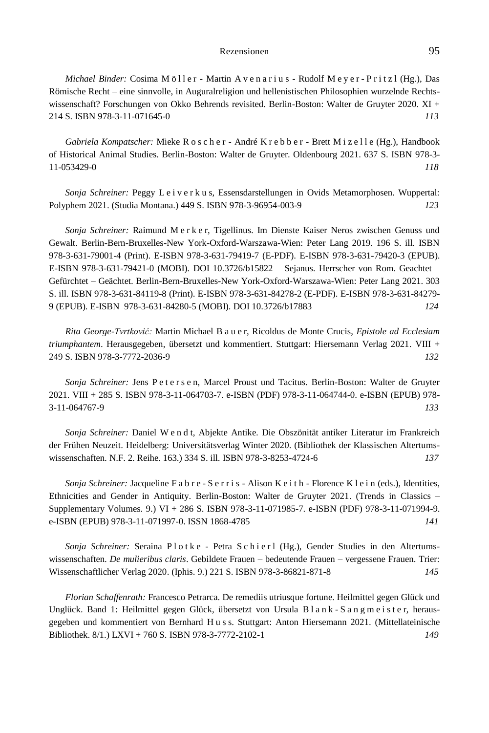*Michael Binder:* Cosima M öller - Martin A v en a r i u s - Rudolf M e y e r - P r i t z l (Hg.), Das Römische Recht – eine sinnvolle, in Auguralreligion und hellenistischen Philosophien wurzelnde Rechtswissenschaft? Forschungen von Okko Behrends revisited. Berlin-Boston: Walter de Gruyter 2020. XI + 214 S. ISBN 978-3-11-071645-0 *113*

*Gabriela Kompatscher:* Mieke R o s c h e r - André K r e b b e r - Brett M i z e l l e (Hg.), Handbook of Historical Animal Studies. Berlin-Boston: Walter de Gruyter. Oldenbourg 2021. 637 S. ISBN 978-3- 11-053429-0 *118*

*Sonja Schreiner:* Peggy L e i v e r k u s, Essensdarstellungen in Ovids Metamorphosen. Wuppertal: Polyphem 2021. (Studia Montana.) 449 S. ISBN 978-3-96954-003-9 *123*

*Sonja Schreiner:* Raimund M e r k e r, Tigellinus. Im Dienste Kaiser Neros zwischen Genuss und Gewalt. Berlin-Bern-Bruxelles-New York-Oxford-Warszawa-Wien: Peter Lang 2019. 196 S. ill. ISBN 978-3-631-79001-4 (Print). E-ISBN 978-3-631-79419-7 (E-PDF). E-ISBN 978-3-631-79420-3 (EPUB). E-ISBN 978-3-631-79421-0 (MOBI). DOI 10.3726/b15822 – Sejanus. Herrscher von Rom. Geachtet – Gefürchtet – Geächtet. Berlin-Bern-Bruxelles-New York-Oxford-Warszawa-Wien: Peter Lang 2021. 303 S. ill. ISBN 978-3-631-84119-8 (Print). E-ISBN 978-3-631-84278-2 (E-PDF). E-ISBN 978-3-631-84279- 9 (EPUB). E-ISBN 978-3-631-84280-5 (MOBI). DOI 10.3726/b17883 *124*

*Rita George-Tvrtković:* Martin Michael B a u e r, Ricoldus de Monte Crucis, *Epistole ad Ecclesiam triumphantem*. Herausgegeben, übersetzt und kommentiert. Stuttgart: Hiersemann Verlag 2021. VIII + 249 S. ISBN 978-3-7772-2036-9 *132*

*Sonja Schreiner:* Jens P e t e r s e n, Marcel Proust und Tacitus. Berlin-Boston: Walter de Gruyter 2021. VIII + 285 S. ISBN 978-3-11-064703-7. e-ISBN (PDF) 978-3-11-064744-0. e-ISBN (EPUB) 978- 3-11-064767-9 *133*

*Sonja Schreiner:* Daniel W e n d t, Abjekte Antike. Die Obszönität antiker Literatur im Frankreich der Frühen Neuzeit. Heidelberg: Universitätsverlag Winter 2020. (Bibliothek der Klassischen Altertumswissenschaften. N.F. 2. Reihe. 163.) 334 S. ill. ISBN 978-3-8253-4724-6 *137*

*Sonja Schreiner: Jacqueline F a b r e - S e r r i s - Alison K e i t h - Florence K l e i n (eds.), Identities,* Ethnicities and Gender in Antiquity. Berlin-Boston: Walter de Gruyter 2021. (Trends in Classics – Supplementary Volumes. 9.) VI + 286 S. ISBN 978-3-11-071985-7. e-ISBN (PDF) 978-3-11-071994-9. e-ISBN (EPUB) 978-3-11-071997-0. ISSN 1868-4785 *141*

Sonja Schreiner: Seraina Plotke - Petra Schierl (Hg.), Gender Studies in den Altertumswissenschaften. *De mulieribus claris*. Gebildete Frauen – bedeutende Frauen – vergessene Frauen. Trier: Wissenschaftlicher Verlag 2020. (Iphis. 9.) 221 S. ISBN 978-3-86821-871-8 *145*

*Florian Schaffenrath:* Francesco Petrarca. De remediis utriusque fortune. Heilmittel gegen Glück und Unglück. Band 1: Heilmittel gegen Glück, übersetzt von Ursula B l a n k - S a n g m e i s t e r, herausgegeben und kommentiert von Bernhard H u s s. Stuttgart: Anton Hiersemann 2021. (Mittellateinische Bibliothek. 8/1.) LXVI + 760 S. ISBN 978-3-7772-2102-1 *149*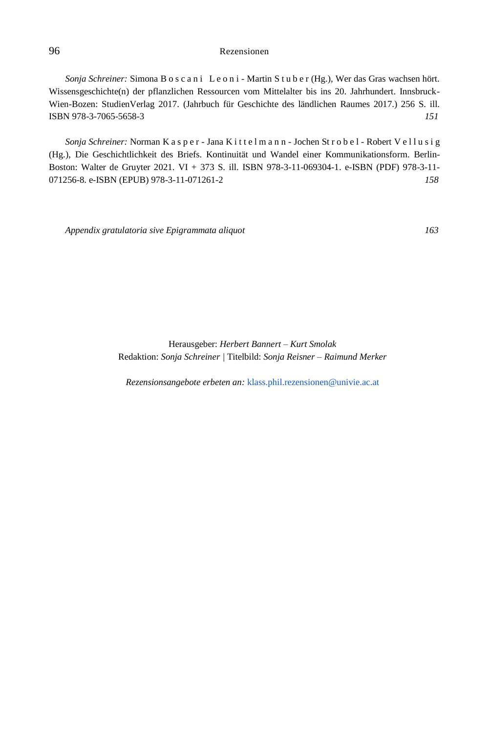*Sonja Schreiner:* Simona B o s c a n i L e o n i - Martin S t u b e r (Hg.), Wer das Gras wachsen hört. Wissensgeschichte(n) der pflanzlichen Ressourcen vom Mittelalter bis ins 20. Jahrhundert. Innsbruck-Wien-Bozen: StudienVerlag 2017. (Jahrbuch für Geschichte des ländlichen Raumes 2017.) 256 S. ill. ISBN 978-3-7065-5658-3 *151*

*Sonja Schreiner:* Norman K a s p e r - Jana K i t t e l m a n n - Jochen St r o b e l - Robert V e l l u s i g (Hg.), Die Geschichtlichkeit des Briefs. Kontinuität und Wandel einer Kommunikationsform. Berlin-Boston: Walter de Gruyter 2021. VI + 373 S. ill. ISBN 978-3-11-069304-1. e-ISBN (PDF) 978-3-11- 071256-8. e-ISBN (EPUB) 978-3-11-071261-2 *158*

*Appendix gratulatoria sive Epigrammata aliquot 163*

Herausgeber: *Herbert Bannert – Kurt Smolak* Redaktion: *Sonja Schreiner |* Titelbild: *Sonja Reisner – Raimund Merker*

*Rezensionsangebote erbeten an:* [klass.phil.rezensionen@univie.ac.at](mailto:klass.phil.rezensionen@univie.ac.at)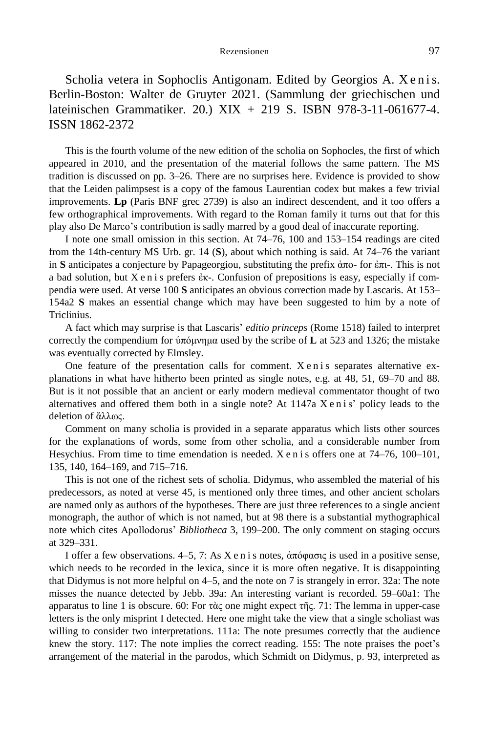Scholia vetera in Sophoclis Antigonam. Edited by Georgios A. X e n i s. Berlin-Boston: Walter de Gruyter 2021. (Sammlung der griechischen und lateinischen Grammatiker. 20.) XIX + 219 S. ISBN 978-3-11-061677-4. ISSN 1862-2372

This is the fourth volume of the new edition of the scholia on Sophocles, the first of which appeared in 2010, and the presentation of the material follows the same pattern. The MS tradition is discussed on pp. 3–26. There are no surprises here. Evidence is provided to show that the Leiden palimpsest is a copy of the famous Laurentian codex but makes a few trivial improvements. **Lp** (Paris BNF grec 2739) is also an indirect descendent, and it too offers a few orthographical improvements. With regard to the Roman family it turns out that for this play also De Marco's contribution is sadly marred by a good deal of inaccurate reporting.

I note one small omission in this section. At 74–76, 100 and 153–154 readings are cited from the 14th-century MS Urb. gr. 14 (**S**), about which nothing is said. At 74–76 the variant in **S** anticipates a conjecture by Papageorgiou, substituting the prefix ἀπο- for ἐπι-. This is not a bad solution, but X e n i s prefers ἐκ-. Confusion of prepositions is easy, especially if compendia were used. At verse 100 **S** anticipates an obvious correction made by Lascaris. At 153– 154a2 **S** makes an essential change which may have been suggested to him by a note of Triclinius.

A fact which may surprise is that Lascaris' *editio princeps* (Rome 1518) failed to interpret correctly the compendium for ὑπόμνημα used by the scribe of **L** at 523 and 1326; the mistake was eventually corrected by Elmsley.

One feature of the presentation calls for comment.  $X \in \mathbb{R}^2$  is separates alternative explanations in what have hitherto been printed as single notes, e.g. at 48, 51, 69–70 and 88. But is it not possible that an ancient or early modern medieval commentator thought of two alternatives and offered them both in a single note? At 1147a X e n i s' policy leads to the deletion of ἄλλως.

Comment on many scholia is provided in a separate apparatus which lists other sources for the explanations of words, some from other scholia, and a considerable number from Hesychius. From time to time emendation is needed.  $X$  e n i s offers one at  $74-76$ ,  $100-101$ , 135, 140, 164–169, and 715–716.

This is not one of the richest sets of scholia. Didymus, who assembled the material of his predecessors, as noted at verse 45, is mentioned only three times, and other ancient scholars are named only as authors of the hypotheses. There are just three references to a single ancient monograph, the author of which is not named, but at 98 there is a substantial mythographical note which cites Apollodorus' *Bibliotheca* 3, 199–200. The only comment on staging occurs at 329–331.

I offer a few observations. 4–5, 7: As X e n i s notes, ἀπόφασις is used in a positive sense, which needs to be recorded in the lexica, since it is more often negative. It is disappointing that Didymus is not more helpful on 4–5, and the note on 7 is strangely in error. 32a: The note misses the nuance detected by Jebb. 39a: An interesting variant is recorded. 59–60a1: The apparatus to line 1 is obscure. 60: For τὰς one might expect τῆς. 71: The lemma in upper-case letters is the only misprint I detected. Here one might take the view that a single scholiast was willing to consider two interpretations. 111a: The note presumes correctly that the audience knew the story. 117: The note implies the correct reading. 155: The note praises the poet's arrangement of the material in the parodos, which Schmidt on Didymus, p. 93, interpreted as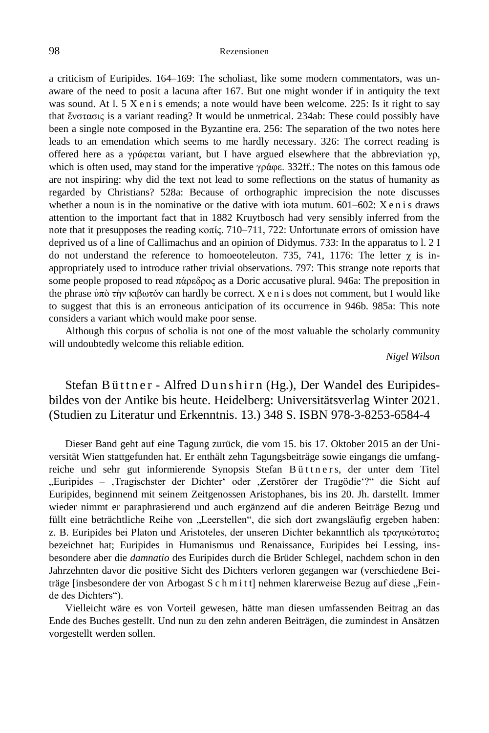a criticism of Euripides. 164–169: The scholiast, like some modern commentators, was unaware of the need to posit a lacuna after 167. But one might wonder if in antiquity the text was sound. At l. 5 X e n i s emends; a note would have been welcome. 225: Is it right to say that ἔνστασις is a variant reading? It would be unmetrical. 234ab: These could possibly have been a single note composed in the Byzantine era. 256: The separation of the two notes here leads to an emendation which seems to me hardly necessary. 326: The correct reading is offered here as a γράφεται variant, but I have argued elsewhere that the abbreviation γρ, which is often used, may stand for the imperative γράφε. 332ff.: The notes on this famous ode are not inspiring: why did the text not lead to some reflections on the status of humanity as regarded by Christians? 528a: Because of orthographic imprecision the note discusses whether a noun is in the nominative or the dative with iota mutum.  $601-602$ : X e n i s draws attention to the important fact that in 1882 Kruytbosch had very sensibly inferred from the note that it presupposes the reading κοπίς. 710–711, 722: Unfortunate errors of omission have deprived us of a line of Callimachus and an opinion of Didymus. 733: In the apparatus to l. 2 I do not understand the reference to homoeoteleuton. 735, 741, 1176: The letter  $\gamma$  is inappropriately used to introduce rather trivial observations. 797: This strange note reports that some people proposed to read πάρεδρος as a Doric accusative plural. 946a: The preposition in the phrase ὑπὸ τὴν κιβωτόν can hardly be correct. X e n i s does not comment, but I would like to suggest that this is an erroneous anticipation of its occurrence in 946b. 985a: This note considers a variant which would make poor sense.

Although this corpus of scholia is not one of the most valuable the scholarly community will undoubtedly welcome this reliable edition.

*Nigel Wilson*

Stefan Büttner - Alfred Dunshirn (Hg.), Der Wandel des Euripidesbildes von der Antike bis heute. Heidelberg: Universitätsverlag Winter 2021. (Studien zu Literatur und Erkenntnis. 13.) 348 S. ISBN 978-3-8253-6584-4

Dieser Band geht auf eine Tagung zurück, die vom 15. bis 17. Oktober 2015 an der Universität Wien stattgefunden hat. Er enthält zehn Tagungsbeiträge sowie eingangs die umfangreiche und sehr gut informierende Synopsis Stefan Büttners, der unter dem Titel "Euripides – ,Tragischster der Dichter' oder ,Zerstörer der Tragödie'?" die Sicht auf Euripides, beginnend mit seinem Zeitgenossen Aristophanes, bis ins 20. Jh. darstellt. Immer wieder nimmt er paraphrasierend und auch ergänzend auf die anderen Beiträge Bezug und füllt eine beträchtliche Reihe von "Leerstellen", die sich dort zwangsläufig ergeben haben: z. B. Euripides bei Platon und Aristoteles, der unseren Dichter bekanntlich als τραγικώτατος bezeichnet hat; Euripides in Humanismus und Renaissance, Euripides bei Lessing, insbesondere aber die *damnatio* des Euripides durch die Brüder Schlegel, nachdem schon in den Jahrzehnten davor die positive Sicht des Dichters verloren gegangen war (verschiedene Beiträge [insbesondere der von Arbogast S c h m i t t] nehmen klarerweise Bezug auf diese "Feinde des Dichters").

Vielleicht wäre es von Vorteil gewesen, hätte man diesen umfassenden Beitrag an das Ende des Buches gestellt. Und nun zu den zehn anderen Beiträgen, die zumindest in Ansätzen vorgestellt werden sollen.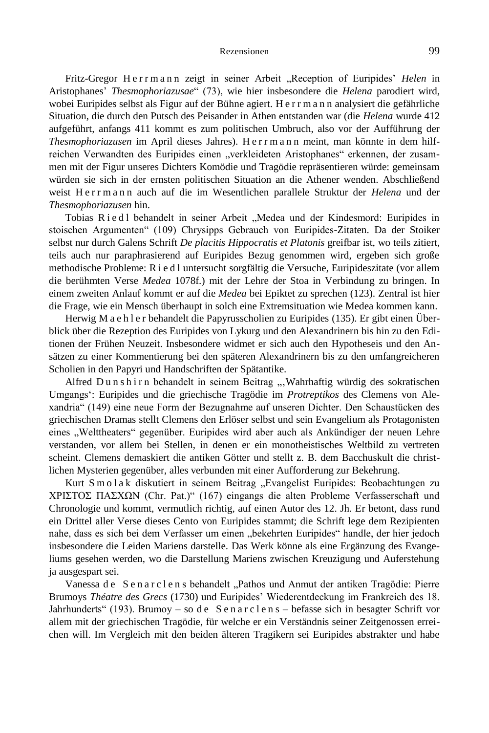Fritz-Gregor Herrmann zeigt in seiner Arbeit "Reception of Euripides' Helen in Aristophanes' *Thesmophoriazusae*" (73), wie hier insbesondere die *Helena* parodiert wird, wobei Euripides selbst als Figur auf der Bühne agiert. H e r r m a n n analysiert die gefährliche Situation, die durch den Putsch des Peisander in Athen entstanden war (die *Helena* wurde 412 aufgeführt, anfangs 411 kommt es zum politischen Umbruch, also vor der Aufführung der *Thesmophoriazusen* im April dieses Jahres). H e r r man n meint, man könnte in dem hilfreichen Verwandten des Euripides einen "verkleideten Aristophanes" erkennen, der zusammen mit der Figur unseres Dichters Komödie und Tragödie repräsentieren würde: gemeinsam würden sie sich in der ernsten politischen Situation an die Athener wenden. Abschließend weist H e r r man n auch auf die im Wesentlichen parallele Struktur der *Helena* und der *Thesmophoriazusen* hin.

Tobias Riedl behandelt in seiner Arbeit "Medea und der Kindesmord: Euripides in stoischen Argumenten" (109) Chrysipps Gebrauch von Euripides-Zitaten. Da der Stoiker selbst nur durch Galens Schrift *De placitis Hippocratis et Platonis* greifbar ist, wo teils zitiert, teils auch nur paraphrasierend auf Euripides Bezug genommen wird, ergeben sich große methodische Probleme: R i e d l untersucht sorgfältig die Versuche, Euripideszitate (vor allem die berühmten Verse *Medea* 1078f.) mit der Lehre der Stoa in Verbindung zu bringen. In einem zweiten Anlauf kommt er auf die *Medea* bei Epiktet zu sprechen (123). Zentral ist hier die Frage, wie ein Mensch überhaupt in solch eine Extremsituation wie Medea kommen kann.

Herwig M a e h l e r behandelt die Papyrusscholien zu Euripides (135). Er gibt einen Überblick über die Rezeption des Euripides von Lykurg und den Alexandrinern bis hin zu den Editionen der Frühen Neuzeit. Insbesondere widmet er sich auch den Hypotheseis und den Ansätzen zu einer Kommentierung bei den späteren Alexandrinern bis zu den umfangreicheren Scholien in den Papyri und Handschriften der Spätantike.

Alfred Dunshirn behandelt in seinem Beitrag ... Wahrhaftig würdig des sokratischen Umgangs': Euripides und die griechische Tragödie im *Protreptikos* des Clemens von Alexandria" (149) eine neue Form der Bezugnahme auf unseren Dichter. Den Schaustücken des griechischen Dramas stellt Clemens den Erlöser selbst und sein Evangelium als Protagonisten eines "Welttheaters" gegenüber. Euripides wird aber auch als Ankündiger der neuen Lehre verstanden, vor allem bei Stellen, in denen er ein monotheistisches Weltbild zu vertreten scheint. Clemens demaskiert die antiken Götter und stellt z. B. dem Bacchuskult die christlichen Mysterien gegenüber, alles verbunden mit einer Aufforderung zur Bekehrung.

Kurt Smolak diskutiert in seinem Beitrag "Evangelist Euripides: Beobachtungen zu ΧΡΙΣΤΟΣ ΠΑΣΧΩΝ (Chr. Pat.)" (167) eingangs die alten Probleme Verfasserschaft und Chronologie und kommt, vermutlich richtig, auf einen Autor des 12. Jh. Er betont, dass rund ein Drittel aller Verse dieses Cento von Euripides stammt; die Schrift lege dem Rezipienten nahe, dass es sich bei dem Verfasser um einen "bekehrten Euripides" handle, der hier jedoch insbesondere die Leiden Mariens darstelle. Das Werk könne als eine Ergänzung des Evangeliums gesehen werden, wo die Darstellung Mariens zwischen Kreuzigung und Auferstehung ja ausgespart sei.

Vanessa de Sen arclens behandelt "Pathos und Anmut der antiken Tragödie: Pierre Brumoys *Théatre des Grecs* (1730) und Euripides' Wiederentdeckung im Frankreich des 18. Jahrhunderts" (193). Brumoy – so de Senarclens – befasse sich in besagter Schrift vor allem mit der griechischen Tragödie, für welche er ein Verständnis seiner Zeitgenossen erreichen will. Im Vergleich mit den beiden älteren Tragikern sei Euripides abstrakter und habe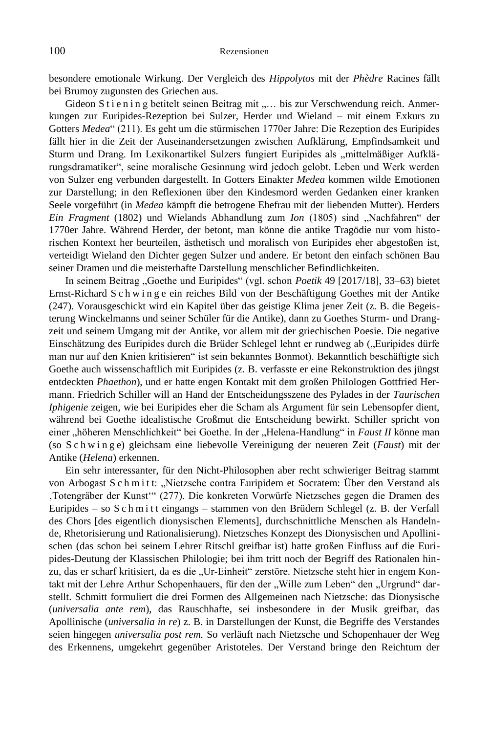besondere emotionale Wirkung. Der Vergleich des *Hippolytos* mit der *Phèdre* Racines fällt bei Brumoy zugunsten des Griechen aus.

Gideon S t i e n i n g betitelt seinen Beitrag mit "... bis zur Verschwendung reich. Anmerkungen zur Euripides-Rezeption bei Sulzer, Herder und Wieland – mit einem Exkurs zu Gotters *Medea*" (211). Es geht um die stürmischen 1770er Jahre: Die Rezeption des Euripides fällt hier in die Zeit der Auseinandersetzungen zwischen Aufklärung, Empfindsamkeit und Sturm und Drang. Im Lexikonartikel Sulzers fungiert Euripides als "mittelmäßiger Aufklärungsdramatiker", seine moralische Gesinnung wird jedoch gelobt. Leben und Werk werden von Sulzer eng verbunden dargestellt. In Gotters Einakter *Medea* kommen wilde Emotionen zur Darstellung; in den Reflexionen über den Kindesmord werden Gedanken einer kranken Seele vorgeführt (in *Medea* kämpft die betrogene Ehefrau mit der liebenden Mutter). Herders *Ein Fragment* (1802) und Wielands Abhandlung zum *Ion* (1805) sind "Nachfahren" der 1770er Jahre. Während Herder, der betont, man könne die antike Tragödie nur vom historischen Kontext her beurteilen, ästhetisch und moralisch von Euripides eher abgestoßen ist, verteidigt Wieland den Dichter gegen Sulzer und andere. Er betont den einfach schönen Bau seiner Dramen und die meisterhafte Darstellung menschlicher Befindlichkeiten.

In seinem Beitrag "Goethe und Euripides" (vgl. schon *Poetik* 49 [2017/18], 33–63) bietet Ernst-Richard S c h w i n g e ein reiches Bild von der Beschäftigung Goethes mit der Antike (247). Vorausgeschickt wird ein Kapitel über das geistige Klima jener Zeit (z. B. die Begeisterung Winckelmanns und seiner Schüler für die Antike), dann zu Goethes Sturm- und Drangzeit und seinem Umgang mit der Antike, vor allem mit der griechischen Poesie. Die negative Einschätzung des Euripides durch die Brüder Schlegel lehnt er rundweg ab ("Euripides dürfe man nur auf den Knien kritisieren" ist sein bekanntes Bonmot). Bekanntlich beschäftigte sich Goethe auch wissenschaftlich mit Euripides (z. B. verfasste er eine Rekonstruktion des jüngst entdeckten *Phaethon*), und er hatte engen Kontakt mit dem großen Philologen Gottfried Hermann. Friedrich Schiller will an Hand der Entscheidungsszene des Pylades in der *Taurischen Iphigenie* zeigen, wie bei Euripides eher die Scham als Argument für sein Lebensopfer dient, während bei Goethe idealistische Großmut die Entscheidung bewirkt. Schiller spricht von einer "höheren Menschlichkeit" bei Goethe. In der "Helena-Handlung" in *Faust II* könne man (so S c h w i n g e) gleichsam eine liebevolle Vereinigung der neueren Zeit (*Faust*) mit der Antike (*Helena*) erkennen.

Ein sehr interessanter, für den Nicht-Philosophen aber recht schwieriger Beitrag stammt von Arbogast S c h m i t t: "Nietzsche contra Euripidem et Socratem: Über den Verstand als 'Totengräber der Kunst'" (277). Die konkreten Vorwürfe Nietzsches gegen die Dramen des Euripides – so S c h m i t t eingangs – stammen von den Brüdern Schlegel (z. B. der Verfall des Chors [des eigentlich dionysischen Elements], durchschnittliche Menschen als Handelnde, Rhetorisierung und Rationalisierung). Nietzsches Konzept des Dionysischen und Apollinischen (das schon bei seinem Lehrer Ritschl greifbar ist) hatte großen Einfluss auf die Euripides-Deutung der Klassischen Philologie; bei ihm tritt noch der Begriff des Rationalen hinzu, das er scharf kritisiert, da es die "Ur-Einheit" zerstöre. Nietzsche steht hier in engem Kontakt mit der Lehre Arthur Schopenhauers, für den der "Wille zum Leben" den "Urgrund" darstellt. Schmitt formuliert die drei Formen des Allgemeinen nach Nietzsche: das Dionysische (*universalia ante rem*), das Rauschhafte, sei insbesondere in der Musik greifbar, das Apollinische (*universalia in re*) z. B. in Darstellungen der Kunst, die Begriffe des Verstandes seien hingegen *universalia post rem.* So verläuft nach Nietzsche und Schopenhauer der Weg des Erkennens, umgekehrt gegenüber Aristoteles. Der Verstand bringe den Reichtum der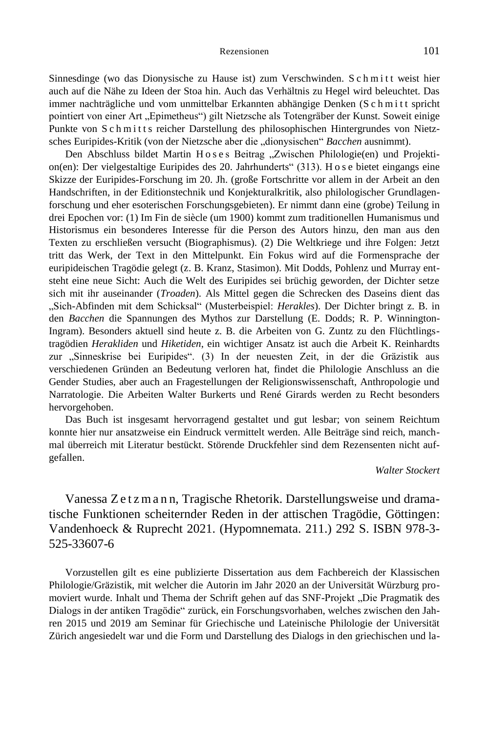Sinnesdinge (wo das Dionysische zu Hause ist) zum Verschwinden. S c h m i t t weist hier auch auf die Nähe zu Ideen der Stoa hin. Auch das Verhältnis zu Hegel wird beleuchtet. Das immer nachträgliche und vom unmittelbar Erkannten abhängige Denken (S c h m i t t spricht pointiert von einer Art "Epimetheus") gilt Nietzsche als Totengräber der Kunst. Soweit einige Punkte von S c h m i t t s reicher Darstellung des philosophischen Hintergrundes von Nietzsches Euripides-Kritik (von der Nietzsche aber die "dionysischen" *Bacchen* ausnimmt).

Den Abschluss bildet Martin H o s e s Beitrag "Zwischen Philologie(en) und Projektion(en): Der vielgestaltige Euripides des 20. Jahrhunderts" (313). H o s e bietet eingangs eine Skizze der Euripides-Forschung im 20. Jh. (große Fortschritte vor allem in der Arbeit an den Handschriften, in der Editionstechnik und Konjekturalkritik, also philologischer Grundlagenforschung und eher esoterischen Forschungsgebieten). Er nimmt dann eine (grobe) Teilung in drei Epochen vor: (1) Im Fin de siècle (um 1900) kommt zum traditionellen Humanismus und Historismus ein besonderes Interesse für die Person des Autors hinzu, den man aus den Texten zu erschließen versucht (Biographismus). (2) Die Weltkriege und ihre Folgen: Jetzt tritt das Werk, der Text in den Mittelpunkt. Ein Fokus wird auf die Formensprache der euripideischen Tragödie gelegt (z. B. Kranz, Stasimon). Mit Dodds, Pohlenz und Murray entsteht eine neue Sicht: Auch die Welt des Euripides sei brüchig geworden, der Dichter setze sich mit ihr auseinander (*Troaden*). Als Mittel gegen die Schrecken des Daseins dient das "Sich-Abfinden mit dem Schicksal" (Musterbeispiel: *Herakles*). Der Dichter bringt z. B. in den *Bacchen* die Spannungen des Mythos zur Darstellung (E. Dodds; R. P. Winnington-Ingram). Besonders aktuell sind heute z. B. die Arbeiten von G. Zuntz zu den Flüchtlingstragödien *Herakliden* und *Hiketiden*, ein wichtiger Ansatz ist auch die Arbeit K. Reinhardts zur "Sinneskrise bei Euripides". (3) In der neuesten Zeit, in der die Gräzistik aus verschiedenen Gründen an Bedeutung verloren hat, findet die Philologie Anschluss an die Gender Studies, aber auch an Fragestellungen der Religionswissenschaft, Anthropologie und Narratologie. Die Arbeiten Walter Burkerts und René Girards werden zu Recht besonders hervorgehoben.

Das Buch ist insgesamt hervorragend gestaltet und gut lesbar; von seinem Reichtum konnte hier nur ansatzweise ein Eindruck vermittelt werden. Alle Beiträge sind reich, manchmal überreich mit Literatur bestückt. Störende Druckfehler sind dem Rezensenten nicht aufgefallen.

# *Walter Stockert*

Vanessa Z e t z m a n n, Tragische Rhetorik. Darstellungsweise und dramatische Funktionen scheiternder Reden in der attischen Tragödie, Göttingen: Vandenhoeck & Ruprecht 2021. (Hypomnemata. 211.) 292 S. ISBN 978-3- 525-33607-6

Vorzustellen gilt es eine publizierte Dissertation aus dem Fachbereich der Klassischen Philologie/Gräzistik, mit welcher die Autorin im Jahr 2020 an der Universität Würzburg promoviert wurde. Inhalt und Thema der Schrift gehen auf das SNF-Projekt "Die Pragmatik des Dialogs in der antiken Tragödie" zurück, ein Forschungsvorhaben, welches zwischen den Jahren 2015 und 2019 am Seminar für Griechische und Lateinische Philologie der Universität Zürich angesiedelt war und die Form und Darstellung des Dialogs in den griechischen und la-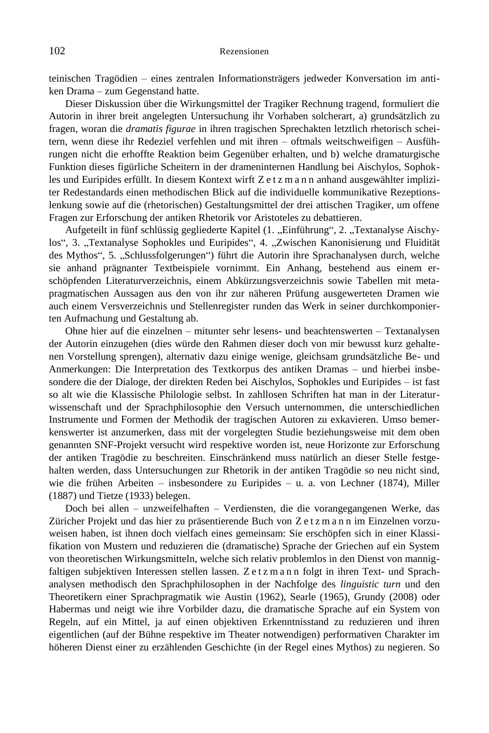teinischen Tragödien – eines zentralen Informationsträgers jedweder Konversation im antiken Drama – zum Gegenstand hatte.

Dieser Diskussion über die Wirkungsmittel der Tragiker Rechnung tragend, formuliert die Autorin in ihrer breit angelegten Untersuchung ihr Vorhaben solcherart, a) grundsätzlich zu fragen, woran die *dramatis figurae* in ihren tragischen Sprechakten letztlich rhetorisch scheitern, wenn diese ihr Redeziel verfehlen und mit ihren – oftmals weitschweifigen – Ausführungen nicht die erhoffte Reaktion beim Gegenüber erhalten, und b) welche dramaturgische Funktion dieses figürliche Scheitern in der drameninternen Handlung bei Aischylos, Sophokles und Euripides erfüllt. In diesem Kontext wirft Z e t z m a n n anhand ausgewählter impliziter Redestandards einen methodischen Blick auf die individuelle kommunikative Rezeptionslenkung sowie auf die (rhetorischen) Gestaltungsmittel der drei attischen Tragiker, um offene Fragen zur Erforschung der antiken Rhetorik vor Aristoteles zu debattieren.

Aufgeteilt in fünf schlüssig gegliederte Kapitel (1. "Einführung", 2. "Textanalyse Aischylos", 3. "Textanalyse Sophokles und Euripides", 4. "Zwischen Kanonisierung und Fluidität des Mythos", 5. "Schlussfolgerungen") führt die Autorin ihre Sprachanalysen durch, welche sie anhand prägnanter Textbeispiele vornimmt. Ein Anhang, bestehend aus einem erschöpfenden Literaturverzeichnis, einem Abkürzungsverzeichnis sowie Tabellen mit metapragmatischen Aussagen aus den von ihr zur näheren Prüfung ausgewerteten Dramen wie auch einem Versverzeichnis und Stellenregister runden das Werk in seiner durchkomponierten Aufmachung und Gestaltung ab.

Ohne hier auf die einzelnen – mitunter sehr lesens- und beachtenswerten – Textanalysen der Autorin einzugehen (dies würde den Rahmen dieser doch von mir bewusst kurz gehaltenen Vorstellung sprengen), alternativ dazu einige wenige, gleichsam grundsätzliche Be- und Anmerkungen: Die Interpretation des Textkorpus des antiken Dramas – und hierbei insbesondere die der Dialoge, der direkten Reden bei Aischylos, Sophokles und Euripides – ist fast so alt wie die Klassische Philologie selbst. In zahllosen Schriften hat man in der Literaturwissenschaft und der Sprachphilosophie den Versuch unternommen, die unterschiedlichen Instrumente und Formen der Methodik der tragischen Autoren zu exkavieren. Umso bemerkenswerter ist anzumerken, dass mit der vorgelegten Studie beziehungsweise mit dem oben genannten SNF-Projekt versucht wird respektive worden ist, neue Horizonte zur Erforschung der antiken Tragödie zu beschreiten. Einschränkend muss natürlich an dieser Stelle festgehalten werden, dass Untersuchungen zur Rhetorik in der antiken Tragödie so neu nicht sind, wie die frühen Arbeiten – insbesondere zu Euripides – u. a. von Lechner (1874), Miller (1887) und Tietze (1933) belegen.

Doch bei allen – unzweifelhaften – Verdiensten, die die vorangegangenen Werke, das Züricher Projekt und das hier zu präsentierende Buch von Z e t z m a n n im Einzelnen vorzuweisen haben, ist ihnen doch vielfach eines gemeinsam: Sie erschöpfen sich in einer Klassifikation von Mustern und reduzieren die (dramatische) Sprache der Griechen auf ein System von theoretischen Wirkungsmitteln, welche sich relativ problemlos in den Dienst von mannigfaltigen subjektiven Interessen stellen lassen. Z e t z m a n n folgt in ihren Text- und Sprachanalysen methodisch den Sprachphilosophen in der Nachfolge des *linguistic turn* und den Theoretikern einer Sprachpragmatik wie Austin (1962), Searle (1965), Grundy (2008) oder Habermas und neigt wie ihre Vorbilder dazu, die dramatische Sprache auf ein System von Regeln, auf ein Mittel, ja auf einen objektiven Erkenntnisstand zu reduzieren und ihren eigentlichen (auf der Bühne respektive im Theater notwendigen) performativen Charakter im höheren Dienst einer zu erzählenden Geschichte (in der Regel eines Mythos) zu negieren. So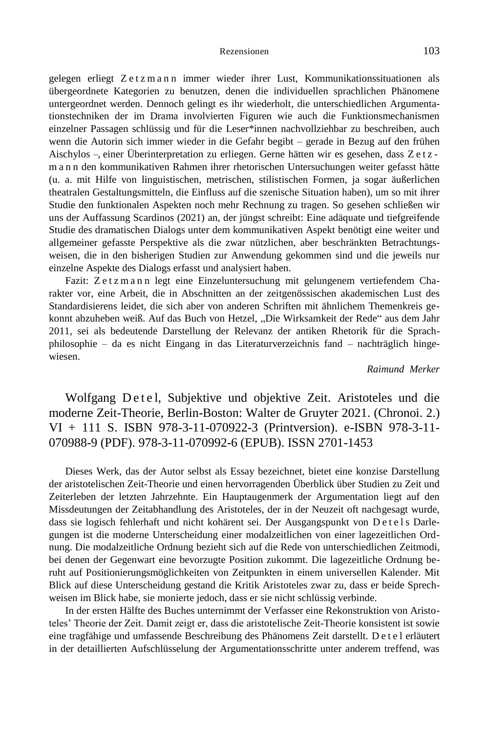gelegen erliegt Zetzmann immer wieder ihrer Lust, Kommunikationssituationen als übergeordnete Kategorien zu benutzen, denen die individuellen sprachlichen Phänomene untergeordnet werden. Dennoch gelingt es ihr wiederholt, die unterschiedlichen Argumentationstechniken der im Drama involvierten Figuren wie auch die Funktionsmechanismen einzelner Passagen schlüssig und für die Leser\*innen nachvollziehbar zu beschreiben, auch wenn die Autorin sich immer wieder in die Gefahr begibt – gerade in Bezug auf den frühen Aischylos –, einer Überinterpretation zu erliegen. Gerne hätten wir es gesehen, dass Z e t z man n den kommunikativen Rahmen ihrer rhetorischen Untersuchungen weiter gefasst hätte (u. a. mit Hilfe von linguistischen, metrischen, stilistischen Formen, ja sogar äußerlichen theatralen Gestaltungsmitteln, die Einfluss auf die szenische Situation haben), um so mit ihrer Studie den funktionalen Aspekten noch mehr Rechnung zu tragen. So gesehen schließen wir uns der Auffassung Scardinos (2021) an, der jüngst schreibt: Eine adäquate und tiefgreifende Studie des dramatischen Dialogs unter dem kommunikativen Aspekt benötigt eine weiter und allgemeiner gefasste Perspektive als die zwar nützlichen, aber beschränkten Betrachtungsweisen, die in den bisherigen Studien zur Anwendung gekommen sind und die jeweils nur einzelne Aspekte des Dialogs erfasst und analysiert haben.

Fazit: Zetzmann legt eine Einzeluntersuchung mit gelungenem vertiefendem Charakter vor, eine Arbeit, die in Abschnitten an der zeitgenössischen akademischen Lust des Standardisierens leidet, die sich aber von anderen Schriften mit ähnlichem Themenkreis gekonnt abzuheben weiß. Auf das Buch von Hetzel, "Die Wirksamkeit der Rede" aus dem Jahr 2011, sei als bedeutende Darstellung der Relevanz der antiken Rhetorik für die Sprachphilosophie – da es nicht Eingang in das Literaturverzeichnis fand – nachträglich hingewiesen.

### *Raimund Merker*

Wolfgang Detel, Subjektive und objektive Zeit. Aristoteles und die moderne Zeit-Theorie, Berlin-Boston: Walter de Gruyter 2021. (Chronoi. 2.) VI + 111 S. ISBN 978-3-11-070922-3 (Printversion). e-ISBN 978-3-11- 070988-9 (PDF). 978-3-11-070992-6 (EPUB). ISSN 2701-1453

Dieses Werk, das der Autor selbst als Essay bezeichnet, bietet eine konzise Darstellung der aristotelischen Zeit-Theorie und einen hervorragenden Überblick über Studien zu Zeit und Zeiterleben der letzten Jahrzehnte. Ein Hauptaugenmerk der Argumentation liegt auf den Missdeutungen der Zeitabhandlung des Aristoteles, der in der Neuzeit oft nachgesagt wurde, dass sie logisch fehlerhaft und nicht kohärent sei. Der Ausgangspunkt von De tels Darlegungen ist die moderne Unterscheidung einer modalzeitlichen von einer lagezeitlichen Ordnung. Die modalzeitliche Ordnung bezieht sich auf die Rede von unterschiedlichen Zeitmodi, bei denen der Gegenwart eine bevorzugte Position zukommt. Die lagezeitliche Ordnung beruht auf Positionierungsmöglichkeiten von Zeitpunkten in einem universellen Kalender. Mit Blick auf diese Unterscheidung gestand die Kritik Aristoteles zwar zu, dass er beide Sprechweisen im Blick habe, sie monierte jedoch, dass er sie nicht schlüssig verbinde.

In der ersten Hälfte des Buches unternimmt der Verfasser eine Rekonstruktion von Aristoteles' Theorie der Zeit. Damit zeigt er, dass die aristotelische Zeit-Theorie konsistent ist sowie eine tragfähige und umfassende Beschreibung des Phänomens Zeit darstellt. D e t e l erläutert in der detaillierten Aufschlüsselung der Argumentationsschritte unter anderem treffend, was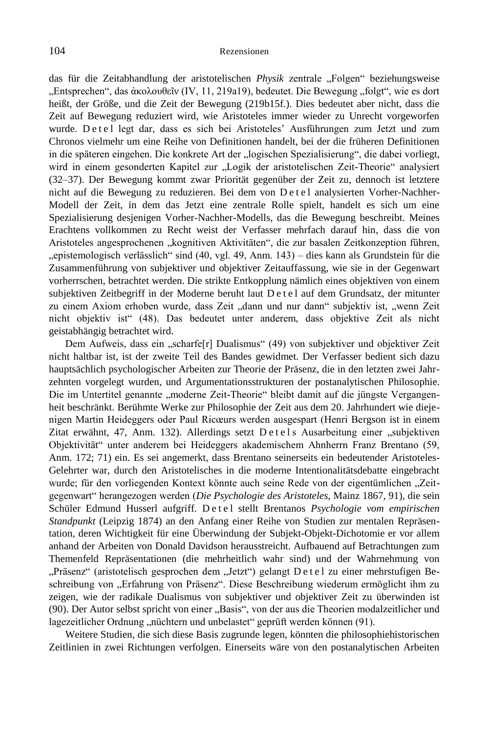das für die Zeitabhandlung der aristotelischen Physik zentrale "Folgen" beziehungsweise , Entsprechen", das ἀκολουθεῖν (IV, 11, 219a19), bedeutet. Die Bewegung "folgt", wie es dort heißt, der Größe, und die Zeit der Bewegung (219b15f.). Dies bedeutet aber nicht, dass die Zeit auf Bewegung reduziert wird, wie Aristoteles immer wieder zu Unrecht vorgeworfen wurde. Det el legt dar, dass es sich bei Aristoteles' Ausführungen zum Jetzt und zum Chronos vielmehr um eine Reihe von Definitionen handelt, bei der die früheren Definitionen in die späteren eingehen. Die konkrete Art der "logischen Spezialisierung", die dabei vorliegt, wird in einem gesonderten Kapitel zur "Logik der aristotelischen Zeit-Theorie" analysiert (32–37). Der Bewegung kommt zwar Priorität gegenüber der Zeit zu, dennoch ist letztere nicht auf die Bewegung zu reduzieren. Bei dem von D e t e l analysierten Vorher-Nachher-Modell der Zeit, in dem das Jetzt eine zentrale Rolle spielt, handelt es sich um eine Spezialisierung desjenigen Vorher-Nachher-Modells, das die Bewegung beschreibt. Meines Erachtens vollkommen zu Recht weist der Verfasser mehrfach darauf hin, dass die von Aristoteles angesprochenen "kognitiven Aktivitäten", die zur basalen Zeitkonzeption führen, "epistemologisch verlässlich" sind (40, vgl. 49, Anm. 143) – dies kann als Grundstein für die Zusammenführung von subjektiver und objektiver Zeitauffassung, wie sie in der Gegenwart vorherrschen, betrachtet werden. Die strikte Entkopplung nämlich eines objektiven von einem subjektiven Zeitbegriff in der Moderne beruht laut D e t e l auf dem Grundsatz, der mitunter zu einem Axiom erhoben wurde, dass Zeit "dann und nur dann" subjektiv ist, "wenn Zeit nicht objektiv ist" (48). Das bedeutet unter anderem, dass objektive Zeit als nicht geistabhängig betrachtet wird.

Dem Aufweis, dass ein "scharfe[r] Dualismus" (49) von subjektiver und objektiver Zeit nicht haltbar ist, ist der zweite Teil des Bandes gewidmet. Der Verfasser bedient sich dazu hauptsächlich psychologischer Arbeiten zur Theorie der Präsenz, die in den letzten zwei Jahrzehnten vorgelegt wurden, und Argumentationsstrukturen der postanalytischen Philosophie. Die im Untertitel genannte "moderne Zeit-Theorie" bleibt damit auf die jüngste Vergangenheit beschränkt. Berühmte Werke zur Philosophie der Zeit aus dem 20. Jahrhundert wie diejenigen Martin Heideggers oder Paul Ricœurs werden ausgespart (Henri Bergson ist in einem Zitat erwähnt, 47, Anm. 132). Allerdings setzt Detels Ausarbeitung einer "subjektiven Objektivität" unter anderem bei Heideggers akademischem Ahnherrn Franz Brentano (59, Anm. 172; 71) ein. Es sei angemerkt, dass Brentano seinerseits ein bedeutender Aristoteles-Gelehrter war, durch den Aristotelisches in die moderne Intentionalitätsdebatte eingebracht wurde; für den vorliegenden Kontext könnte auch seine Rede von der eigentümlichen "Zeitgegenwart" herangezogen werden (*Die Psychologie des Aristoteles*, Mainz 1867, 91), die sein Schüler Edmund Husserl aufgriff. De t e l stellt Brentanos *Psychologie vom empirischen Standpunkt* (Leipzig 1874) an den Anfang einer Reihe von Studien zur mentalen Repräsentation, deren Wichtigkeit für eine Überwindung der Subjekt-Objekt-Dichotomie er vor allem anhand der Arbeiten von Donald Davidson herausstreicht. Aufbauend auf Betrachtungen zum Themenfeld Repräsentationen (die mehrheitlich wahr sind) und der Wahrnehmung von "Präsenz" (aristotelisch gesprochen dem "Jetzt") gelangt D e t e l zu einer mehrstufigen Beschreibung von "Erfahrung von Präsenz". Diese Beschreibung wiederum ermöglicht ihm zu zeigen, wie der radikale Dualismus von subjektiver und objektiver Zeit zu überwinden ist (90). Der Autor selbst spricht von einer "Basis", von der aus die Theorien modalzeitlicher und lagezeitlicher Ordnung "nüchtern und unbelastet" geprüft werden können (91).

Weitere Studien, die sich diese Basis zugrunde legen, könnten die philosophiehistorischen Zeitlinien in zwei Richtungen verfolgen. Einerseits wäre von den postanalytischen Arbeiten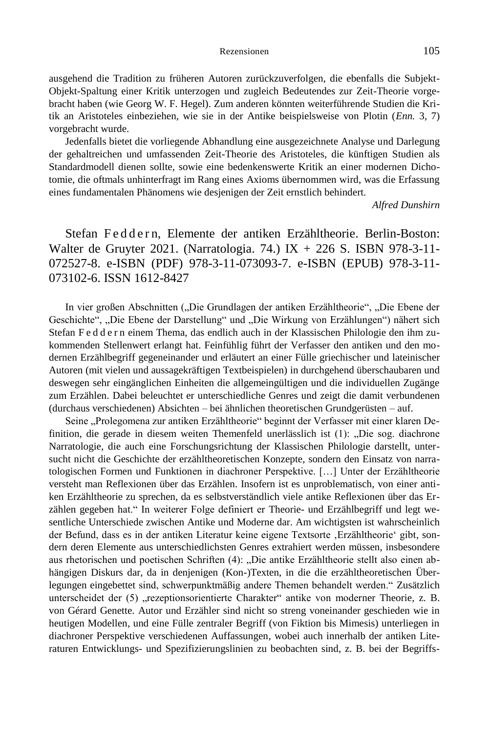ausgehend die Tradition zu früheren Autoren zurückzuverfolgen, die ebenfalls die Subjekt-Objekt-Spaltung einer Kritik unterzogen und zugleich Bedeutendes zur Zeit-Theorie vorgebracht haben (wie Georg W. F. Hegel). Zum anderen könnten weiterführende Studien die Kritik an Aristoteles einbeziehen, wie sie in der Antike beispielsweise von Plotin (*Enn.* 3, 7) vorgebracht wurde.

Jedenfalls bietet die vorliegende Abhandlung eine ausgezeichnete Analyse und Darlegung der gehaltreichen und umfassenden Zeit-Theorie des Aristoteles, die künftigen Studien als Standardmodell dienen sollte, sowie eine bedenkenswerte Kritik an einer modernen Dichotomie, die oftmals unhinterfragt im Rang eines Axioms übernommen wird, was die Erfassung eines fundamentalen Phänomens wie desjenigen der Zeit ernstlich behindert.

*Alfred Dunshirn*

Stefan Feddern, Elemente der antiken Erzähltheorie. Berlin-Boston: Walter de Gruyter 2021. (Narratologia. 74.) IX + 226 S. ISBN 978-3-11-072527-8. e-ISBN (PDF) 978-3-11-073093-7. e-ISBN (EPUB) 978-3-11- 073102-6. ISSN 1612-8427

In vier großen Abschnitten ("Die Grundlagen der antiken Erzähltheorie", "Die Ebene der Geschichte", "Die Ebene der Darstellung" und "Die Wirkung von Erzählungen") nähert sich Stefan F e d d e r n einem Thema, das endlich auch in der Klassischen Philologie den ihm zukommenden Stellenwert erlangt hat. Feinfühlig führt der Verfasser den antiken und den modernen Erzählbegriff gegeneinander und erläutert an einer Fülle griechischer und lateinischer Autoren (mit vielen und aussagekräftigen Textbeispielen) in durchgehend überschaubaren und deswegen sehr eingänglichen Einheiten die allgemeingültigen und die individuellen Zugänge zum Erzählen. Dabei beleuchtet er unterschiedliche Genres und zeigt die damit verbundenen (durchaus verschiedenen) Absichten – bei ähnlichen theoretischen Grundgerüsten – auf.

Seine "Prolegomena zur antiken Erzähltheorie" beginnt der Verfasser mit einer klaren Definition, die gerade in diesem weiten Themenfeld unerlässlich ist (1): "Die sog. diachrone Narratologie, die auch eine Forschungsrichtung der Klassischen Philologie darstellt, untersucht nicht die Geschichte der erzähltheoretischen Konzepte, sondern den Einsatz von narratologischen Formen und Funktionen in diachroner Perspektive. […] Unter der Erzähltheorie versteht man Reflexionen über das Erzählen. Insofern ist es unproblematisch, von einer antiken Erzähltheorie zu sprechen, da es selbstverständlich viele antike Reflexionen über das Erzählen gegeben hat." In weiterer Folge definiert er Theorie- und Erzählbegriff und legt wesentliche Unterschiede zwischen Antike und Moderne dar. Am wichtigsten ist wahrscheinlich der Befund, dass es in der antiken Literatur keine eigene Textsorte , Erzähltheorie' gibt, sondern deren Elemente aus unterschiedlichsten Genres extrahiert werden müssen, insbesondere aus rhetorischen und poetischen Schriften (4): "Die antike Erzähltheorie stellt also einen abhängigen Diskurs dar, da in denjenigen (Kon-)Texten, in die die erzähltheoretischen Überlegungen eingebettet sind, schwerpunktmäßig andere Themen behandelt werden." Zusätzlich unterscheidet der (5) "rezeptionsorientierte Charakter" antike von moderner Theorie, z. B. von Gérard Genette. Autor und Erzähler sind nicht so streng voneinander geschieden wie in heutigen Modellen, und eine Fülle zentraler Begriff (von Fiktion bis Mimesis) unterliegen in diachroner Perspektive verschiedenen Auffassungen, wobei auch innerhalb der antiken Literaturen Entwicklungs- und Spezifizierungslinien zu beobachten sind, z. B. bei der Begriffs-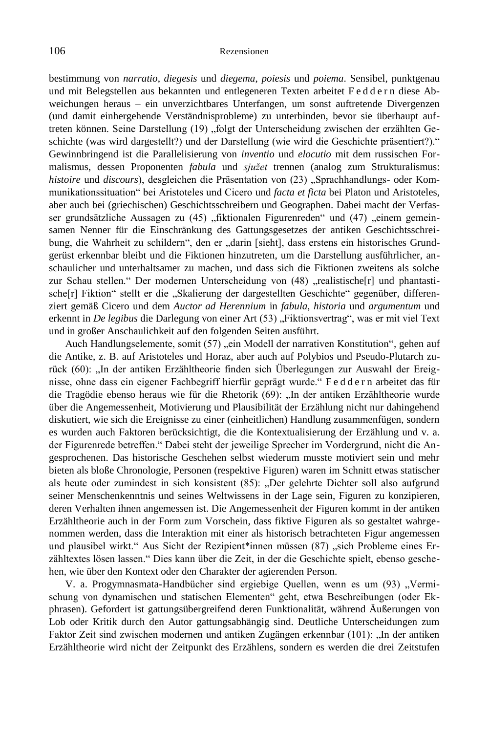bestimmung von *narratio*, *diegesis* und *diegema*, *poiesis* und *poiema*. Sensibel, punktgenau und mit Belegstellen aus bekannten und entlegeneren Texten arbeitet F e d d e r n diese Abweichungen heraus – ein unverzichtbares Unterfangen, um sonst auftretende Divergenzen (und damit einhergehende Verständnisprobleme) zu unterbinden, bevor sie überhaupt auftreten können. Seine Darstellung (19) "folgt der Unterscheidung zwischen der erzählten Geschichte (was wird dargestellt?) und der Darstellung (wie wird die Geschichte präsentiert?)." Gewinnbringend ist die Parallelisierung von *inventio* und *elocutio* mit dem russischen Formalismus, dessen Proponenten *fabula* und *sjužet* trennen (analog zum Strukturalismus: *histoire* und *discours*), desgleichen die Präsentation von (23) "Sprachhandlungs- oder Kommunikationssituation" bei Aristoteles und Cicero und *facta et ficta* bei Platon und Aristoteles, aber auch bei (griechischen) Geschichtsschreibern und Geographen. Dabei macht der Verfasser grundsätzliche Aussagen zu (45) "fiktionalen Figurenreden" und (47) "einem gemeinsamen Nenner für die Einschränkung des Gattungsgesetzes der antiken Geschichtsschreibung, die Wahrheit zu schildern", den er "darin [sieht], dass erstens ein historisches Grundgerüst erkennbar bleibt und die Fiktionen hinzutreten, um die Darstellung ausführlicher, anschaulicher und unterhaltsamer zu machen, und dass sich die Fiktionen zweitens als solche zur Schau stellen." Der modernen Unterscheidung von (48) "realistische[r] und phantastische[r] Fiktion" stellt er die "Skalierung der dargestellten Geschichte" gegenüber, differenziert gemäß Cicero und dem *Auctor ad Herennium* in *fabula*, *historia* und *argumentum* und erkennt in *De legibus* die Darlegung von einer Art (53) "Fiktionsvertrag", was er mit viel Text und in großer Anschaulichkeit auf den folgenden Seiten ausführt.

Auch Handlungselemente, somit (57) "ein Modell der narrativen Konstitution", gehen auf die Antike, z. B. auf Aristoteles und Horaz, aber auch auf Polybios und Pseudo-Plutarch zurück (60): "In der antiken Erzähltheorie finden sich Überlegungen zur Auswahl der Ereignisse, ohne dass ein eigener Fachbegriff hierfür geprägt wurde." F e d d e r n arbeitet das für die Tragödie ebenso heraus wie für die Rhetorik (69): "In der antiken Erzähltheorie wurde über die Angemessenheit, Motivierung und Plausibilität der Erzählung nicht nur dahingehend diskutiert, wie sich die Ereignisse zu einer (einheitlichen) Handlung zusammenfügen, sondern es wurden auch Faktoren berücksichtigt, die die Kontextualisierung der Erzählung und v. a. der Figurenrede betreffen." Dabei steht der jeweilige Sprecher im Vordergrund, nicht die Angesprochenen. Das historische Geschehen selbst wiederum musste motiviert sein und mehr bieten als bloße Chronologie, Personen (respektive Figuren) waren im Schnitt etwas statischer als heute oder zumindest in sich konsistent (85): "Der gelehrte Dichter soll also aufgrund seiner Menschenkenntnis und seines Weltwissens in der Lage sein, Figuren zu konzipieren, deren Verhalten ihnen angemessen ist. Die Angemessenheit der Figuren kommt in der antiken Erzähltheorie auch in der Form zum Vorschein, dass fiktive Figuren als so gestaltet wahrgenommen werden, dass die Interaktion mit einer als historisch betrachteten Figur angemessen und plausibel wirkt." Aus Sicht der Rezipient\*innen müssen (87) "sich Probleme eines Erzähltextes lösen lassen." Dies kann über die Zeit, in der die Geschichte spielt, ebenso geschehen, wie über den Kontext oder den Charakter der agierenden Person.

V. a. Progymnasmata-Handbücher sind ergiebige Quellen, wenn es um (93) "Vermischung von dynamischen und statischen Elementen" geht, etwa Beschreibungen (oder Ekphrasen). Gefordert ist gattungsübergreifend deren Funktionalität, während Äußerungen von Lob oder Kritik durch den Autor gattungsabhängig sind. Deutliche Unterscheidungen zum Faktor Zeit sind zwischen modernen und antiken Zugängen erkennbar (101): "In der antiken Erzähltheorie wird nicht der Zeitpunkt des Erzählens, sondern es werden die drei Zeitstufen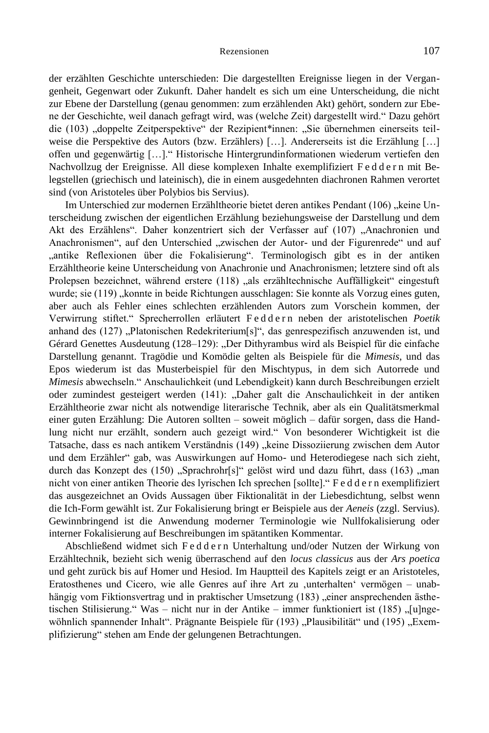der erzählten Geschichte unterschieden: Die dargestellten Ereignisse liegen in der Vergangenheit, Gegenwart oder Zukunft. Daher handelt es sich um eine Unterscheidung, die nicht zur Ebene der Darstellung (genau genommen: zum erzählenden Akt) gehört, sondern zur Ebene der Geschichte, weil danach gefragt wird, was (welche Zeit) dargestellt wird." Dazu gehört die (103) "doppelte Zeitperspektive" der Rezipient\*innen: "Sie übernehmen einerseits teilweise die Perspektive des Autors (bzw. Erzählers) […]. Andererseits ist die Erzählung […] offen und gegenwärtig […]." Historische Hintergrundinformationen wiederum vertiefen den Nachvollzug der Ereignisse. All diese komplexen Inhalte exemplifiziert F e d d e r n mit Belegstellen (griechisch und lateinisch), die in einem ausgedehnten diachronen Rahmen verortet sind (von Aristoteles über Polybios bis Servius).

Im Unterschied zur modernen Erzähltheorie bietet deren antikes Pendant (106) "keine Unterscheidung zwischen der eigentlichen Erzählung beziehungsweise der Darstellung und dem Akt des Erzählens". Daher konzentriert sich der Verfasser auf (107) "Anachronien und Anachronismen", auf den Unterschied "zwischen der Autor- und der Figurenrede" und auf "antike Reflexionen über die Fokalisierung". Terminologisch gibt es in der antiken Erzähltheorie keine Unterscheidung von Anachronie und Anachronismen; letztere sind oft als Prolepsen bezeichnet, während erstere (118) "als erzähltechnische Auffälligkeit" eingestuft wurde; sie (119) "konnte in beide Richtungen ausschlagen: Sie konnte als Vorzug eines guten, aber auch als Fehler eines schlechten erzählenden Autors zum Vorschein kommen, der Verwirrung stiftet." Sprecherrollen erläutert F e d d e r n neben der aristotelischen *Poetik* anhand des  $(127)$ , Platonischen Redekriterium[s]", das genrespezifisch anzuwenden ist, und Gérard Genettes Ausdeutung (128–129): "Der Dithyrambus wird als Beispiel für die einfache Darstellung genannt. Tragödie und Komödie gelten als Beispiele für die *Mimesis*, und das Epos wiederum ist das Musterbeispiel für den Mischtypus, in dem sich Autorrede und *Mimesis* abwechseln." Anschaulichkeit (und Lebendigkeit) kann durch Beschreibungen erzielt oder zumindest gesteigert werden (141): "Daher galt die Anschaulichkeit in der antiken Erzähltheorie zwar nicht als notwendige literarische Technik, aber als ein Qualitätsmerkmal einer guten Erzählung: Die Autoren sollten – soweit möglich – dafür sorgen, dass die Handlung nicht nur erzählt, sondern auch gezeigt wird." Von besonderer Wichtigkeit ist die Tatsache, dass es nach antikem Verständnis (149) "keine Dissoziierung zwischen dem Autor und dem Erzähler" gab, was Auswirkungen auf Homo- und Heterodiegese nach sich zieht, durch das Konzept des (150) "Sprachrohr[s]" gelöst wird und dazu führt, dass (163) "man nicht von einer antiken Theorie des lyrischen Ich sprechen [sollte]." F e d d e r n exemplifiziert das ausgezeichnet an Ovids Aussagen über Fiktionalität in der Liebesdichtung, selbst wenn die Ich-Form gewählt ist. Zur Fokalisierung bringt er Beispiele aus der *Aeneis* (zzgl. Servius). Gewinnbringend ist die Anwendung moderner Terminologie wie Nullfokalisierung oder interner Fokalisierung auf Beschreibungen im spätantiken Kommentar.

Abschließend widmet sich F e d d e r n Unterhaltung und/oder Nutzen der Wirkung von Erzähltechnik, bezieht sich wenig überraschend auf den *locus classicus* aus der *Ars poetica* und geht zurück bis auf Homer und Hesiod. Im Hauptteil des Kapitels zeigt er an Aristoteles, Eratosthenes und Cicero, wie alle Genres auf ihre Art zu ,unterhalten' vermögen – unabhängig vom Fiktionsvertrag und in praktischer Umsetzung (183) "einer ansprechenden ästhetischen Stilisierung." Was – nicht nur in der Antike – immer funktioniert ist (185) "[u]ngewöhnlich spannender Inhalt". Prägnante Beispiele für (193) "Plausibilität" und (195) "Exemplifizierung" stehen am Ende der gelungenen Betrachtungen.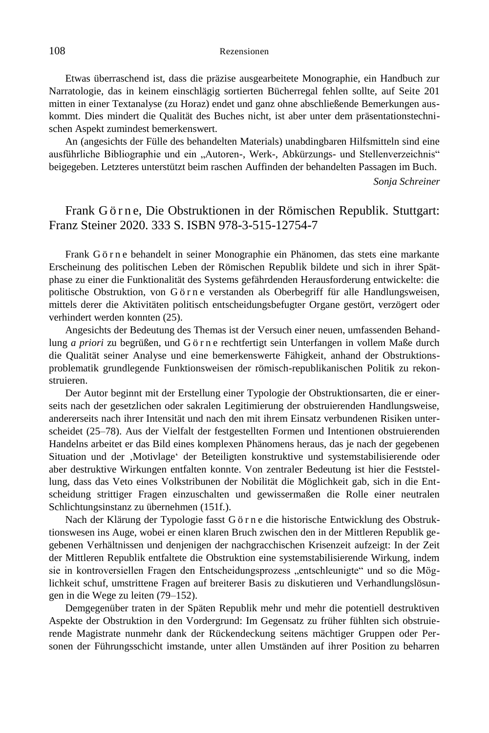Etwas überraschend ist, dass die präzise ausgearbeitete Monographie, ein Handbuch zur Narratologie, das in keinem einschlägig sortierten Bücherregal fehlen sollte, auf Seite 201 mitten in einer Textanalyse (zu Horaz) endet und ganz ohne abschließende Bemerkungen auskommt. Dies mindert die Qualität des Buches nicht, ist aber unter dem präsentationstechnischen Aspekt zumindest bemerkenswert.

An (angesichts der Fülle des behandelten Materials) unabdingbaren Hilfsmitteln sind eine ausführliche Bibliographie und ein "Autoren-, Werk-, Abkürzungs- und Stellenverzeichnis" beigegeben. Letzteres unterstützt beim raschen Auffinden der behandelten Passagen im Buch.

*Sonja Schreiner*

# Frank G ö r n e, Die Obstruktionen in der Römischen Republik. Stuttgart: Franz Steiner 2020. 333 S. ISBN 978-3-515-12754-7

Frank G ö r n e behandelt in seiner Monographie ein Phänomen, das stets eine markante Erscheinung des politischen Leben der Römischen Republik bildete und sich in ihrer Spätphase zu einer die Funktionalität des Systems gefährdenden Herausforderung entwickelte: die politische Obstruktion, von Görne verstanden als Oberbegriff für alle Handlungsweisen, mittels derer die Aktivitäten politisch entscheidungsbefugter Organe gestört, verzögert oder verhindert werden konnten (25).

Angesichts der Bedeutung des Themas ist der Versuch einer neuen, umfassenden Behandlung *a priori* zu begrüßen, und Görne rechtfertigt sein Unterfangen in vollem Maße durch die Qualität seiner Analyse und eine bemerkenswerte Fähigkeit, anhand der Obstruktionsproblematik grundlegende Funktionsweisen der römisch-republikanischen Politik zu rekonstruieren.

Der Autor beginnt mit der Erstellung einer Typologie der Obstruktionsarten, die er einerseits nach der gesetzlichen oder sakralen Legitimierung der obstruierenden Handlungsweise, andererseits nach ihrer Intensität und nach den mit ihrem Einsatz verbundenen Risiken unterscheidet (25–78). Aus der Vielfalt der festgestellten Formen und Intentionen obstruierenden Handelns arbeitet er das Bild eines komplexen Phänomens heraus, das je nach der gegebenen Situation und der 'Motivlage' der Beteiligten konstruktive und systemstabilisierende oder aber destruktive Wirkungen entfalten konnte. Von zentraler Bedeutung ist hier die Feststellung, dass das Veto eines Volkstribunen der Nobilität die Möglichkeit gab, sich in die Entscheidung strittiger Fragen einzuschalten und gewissermaßen die Rolle einer neutralen Schlichtungsinstanz zu übernehmen (151f.).

Nach der Klärung der Typologie fasst G ö r n e die historische Entwicklung des Obstruktionswesen ins Auge, wobei er einen klaren Bruch zwischen den in der Mittleren Republik gegebenen Verhältnissen und denjenigen der nachgracchischen Krisenzeit aufzeigt: In der Zeit der Mittleren Republik entfaltete die Obstruktion eine systemstabilisierende Wirkung, indem sie in kontroversiellen Fragen den Entscheidungsprozess "entschleunigte" und so die Möglichkeit schuf, umstrittene Fragen auf breiterer Basis zu diskutieren und Verhandlungslösungen in die Wege zu leiten (79–152).

Demgegenüber traten in der Späten Republik mehr und mehr die potentiell destruktiven Aspekte der Obstruktion in den Vordergrund: Im Gegensatz zu früher fühlten sich obstruierende Magistrate nunmehr dank der Rückendeckung seitens mächtiger Gruppen oder Personen der Führungsschicht imstande, unter allen Umständen auf ihrer Position zu beharren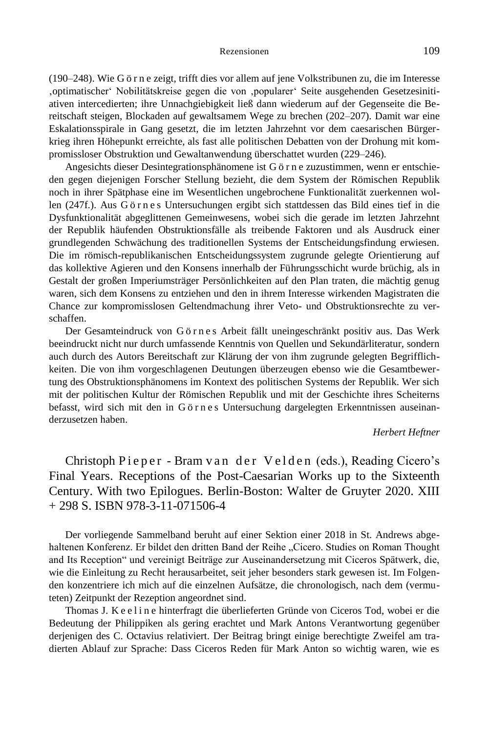(190–248). Wie G ö r n e zeigt, trifft dies vor allem auf jene Volkstribunen zu, die im Interesse 'optimatischer' Nobilitätskreise gegen die von 'popularer' Seite ausgehenden Gesetzesinitiativen intercedierten; ihre Unnachgiebigkeit ließ dann wiederum auf der Gegenseite die Bereitschaft steigen, Blockaden auf gewaltsamem Wege zu brechen (202–207). Damit war eine Eskalationsspirale in Gang gesetzt, die im letzten Jahrzehnt vor dem caesarischen Bürgerkrieg ihren Höhepunkt erreichte, als fast alle politischen Debatten von der Drohung mit kompromissloser Obstruktion und Gewaltanwendung überschattet wurden (229–246).

Angesichts dieser Desintegrationsphänomene ist G ö r n e zuzustimmen, wenn er entschieden gegen diejenigen Forscher Stellung bezieht, die dem System der Römischen Republik noch in ihrer Spätphase eine im Wesentlichen ungebrochene Funktionalität zuerkennen wollen (247f.). Aus Görnes Untersuchungen ergibt sich stattdessen das Bild eines tief in die Dysfunktionalität abgeglittenen Gemeinwesens, wobei sich die gerade im letzten Jahrzehnt der Republik häufenden Obstruktionsfälle als treibende Faktoren und als Ausdruck einer grundlegenden Schwächung des traditionellen Systems der Entscheidungsfindung erwiesen. Die im römisch-republikanischen Entscheidungssystem zugrunde gelegte Orientierung auf das kollektive Agieren und den Konsens innerhalb der Führungsschicht wurde brüchig, als in Gestalt der großen Imperiumsträger Persönlichkeiten auf den Plan traten, die mächtig genug waren, sich dem Konsens zu entziehen und den in ihrem Interesse wirkenden Magistraten die Chance zur kompromisslosen Geltendmachung ihrer Veto- und Obstruktionsrechte zu verschaffen.

Der Gesamteindruck von Görnes Arbeit fällt uneingeschränkt positiv aus. Das Werk beeindruckt nicht nur durch umfassende Kenntnis von Quellen und Sekundärliteratur, sondern auch durch des Autors Bereitschaft zur Klärung der von ihm zugrunde gelegten Begrifflichkeiten. Die von ihm vorgeschlagenen Deutungen überzeugen ebenso wie die Gesamtbewertung des Obstruktionsphänomens im Kontext des politischen Systems der Republik. Wer sich mit der politischen Kultur der Römischen Republik und mit der Geschichte ihres Scheiterns befasst, wird sich mit den in G ö r n e s Untersuchung dargelegten Erkenntnissen auseinanderzusetzen haben.

## *Herbert Heftner*

Christoph Pieper - Bram van der Velden (eds.), Reading Cicero's Final Years. Receptions of the Post-Caesarian Works up to the Sixteenth Century. With two Epilogues. Berlin-Boston: Walter de Gruyter 2020. XIII  $+ 298$  S. ISBN 978-3-11-071506-4

Der vorliegende Sammelband beruht auf einer Sektion einer 2018 in St. Andrews abgehaltenen Konferenz. Er bildet den dritten Band der Reihe "Cicero. Studies on Roman Thought and Its Reception" und vereinigt Beiträge zur Auseinandersetzung mit Ciceros Spätwerk, die, wie die Einleitung zu Recht herausarbeitet, seit jeher besonders stark gewesen ist. Im Folgenden konzentriere ich mich auf die einzelnen Aufsätze, die chronologisch, nach dem (vermuteten) Zeitpunkt der Rezeption angeordnet sind.

Thomas J. K e e l i n e hinterfragt die überlieferten Gründe von Ciceros Tod, wobei er die Bedeutung der Philippiken als gering erachtet und Mark Antons Verantwortung gegenüber derjenigen des C. Octavius relativiert. Der Beitrag bringt einige berechtigte Zweifel am tradierten Ablauf zur Sprache: Dass Ciceros Reden für Mark Anton so wichtig waren, wie es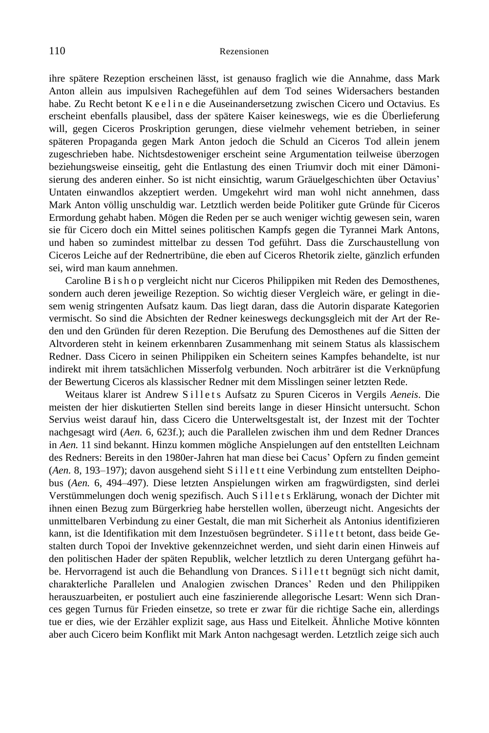ihre spätere Rezeption erscheinen lässt, ist genauso fraglich wie die Annahme, dass Mark Anton allein aus impulsiven Rachegefühlen auf dem Tod seines Widersachers bestanden habe. Zu Recht betont K e e l i n e die Auseinandersetzung zwischen Cicero und Octavius. Es erscheint ebenfalls plausibel, dass der spätere Kaiser keineswegs, wie es die Überlieferung will, gegen Ciceros Proskription gerungen, diese vielmehr vehement betrieben, in seiner späteren Propaganda gegen Mark Anton jedoch die Schuld an Ciceros Tod allein jenem zugeschrieben habe. Nichtsdestoweniger erscheint seine Argumentation teilweise überzogen beziehungsweise einseitig, geht die Entlastung des einen Triumvir doch mit einer Dämonisierung des anderen einher. So ist nicht einsichtig, warum Gräuelgeschichten über Octavius' Untaten einwandlos akzeptiert werden. Umgekehrt wird man wohl nicht annehmen, dass Mark Anton völlig unschuldig war. Letztlich werden beide Politiker gute Gründe für Ciceros Ermordung gehabt haben. Mögen die Reden per se auch weniger wichtig gewesen sein, waren sie für Cicero doch ein Mittel seines politischen Kampfs gegen die Tyrannei Mark Antons, und haben so zumindest mittelbar zu dessen Tod geführt. Dass die Zurschaustellung von Ciceros Leiche auf der Rednertribüne, die eben auf Ciceros Rhetorik zielte, gänzlich erfunden sei, wird man kaum annehmen.

Caroline B i s h o p vergleicht nicht nur Ciceros Philippiken mit Reden des Demosthenes, sondern auch deren jeweilige Rezeption. So wichtig dieser Vergleich wäre, er gelingt in diesem wenig stringenten Aufsatz kaum. Das liegt daran, dass die Autorin disparate Kategorien vermischt. So sind die Absichten der Redner keineswegs deckungsgleich mit der Art der Reden und den Gründen für deren Rezeption. Die Berufung des Demosthenes auf die Sitten der Altvorderen steht in keinem erkennbaren Zusammenhang mit seinem Status als klassischem Redner. Dass Cicero in seinen Philippiken ein Scheitern seines Kampfes behandelte, ist nur indirekt mit ihrem tatsächlichen Misserfolg verbunden. Noch arbiträrer ist die Verknüpfung der Bewertung Ciceros als klassischer Redner mit dem Misslingen seiner letzten Rede.

Weitaus klarer ist Andrew Sillets Aufsatz zu Spuren Ciceros in Vergils *Aeneis*. Die meisten der hier diskutierten Stellen sind bereits lange in dieser Hinsicht untersucht. Schon Servius weist darauf hin, dass Cicero die Unterweltsgestalt ist, der Inzest mit der Tochter nachgesagt wird (*Aen.* 6, 623f.); auch die Parallelen zwischen ihm und dem Redner Drances in *Aen.* 11 sind bekannt. Hinzu kommen mögliche Anspielungen auf den entstellten Leichnam des Redners: Bereits in den 1980er-Jahren hat man diese bei Cacus' Opfern zu finden gemeint (*Aen.* 8, 193–197); davon ausgehend sieht S i l l e t t eine Verbindung zum entstellten Deiphobus (*Aen.* 6, 494–497). Diese letzten Anspielungen wirken am fragwürdigsten, sind derlei Verstümmelungen doch wenig spezifisch. Auch S i l l e t s Erklärung, wonach der Dichter mit ihnen einen Bezug zum Bürgerkrieg habe herstellen wollen, überzeugt nicht. Angesichts der unmittelbaren Verbindung zu einer Gestalt, die man mit Sicherheit als Antonius identifizieren kann, ist die Identifikation mit dem Inzestuösen begründeter. S i l l e t t betont, dass beide Gestalten durch Topoi der Invektive gekennzeichnet werden, und sieht darin einen Hinweis auf den politischen Hader der späten Republik, welcher letztlich zu deren Untergang geführt habe. Hervorragend ist auch die Behandlung von Drances. Sillett begnügt sich nicht damit, charakterliche Parallelen und Analogien zwischen Drances' Reden und den Philippiken herauszuarbeiten, er postuliert auch eine faszinierende allegorische Lesart: Wenn sich Drances gegen Turnus für Frieden einsetze, so trete er zwar für die richtige Sache ein, allerdings tue er dies, wie der Erzähler explizit sage, aus Hass und Eitelkeit. Ähnliche Motive könnten aber auch Cicero beim Konflikt mit Mark Anton nachgesagt werden. Letztlich zeige sich auch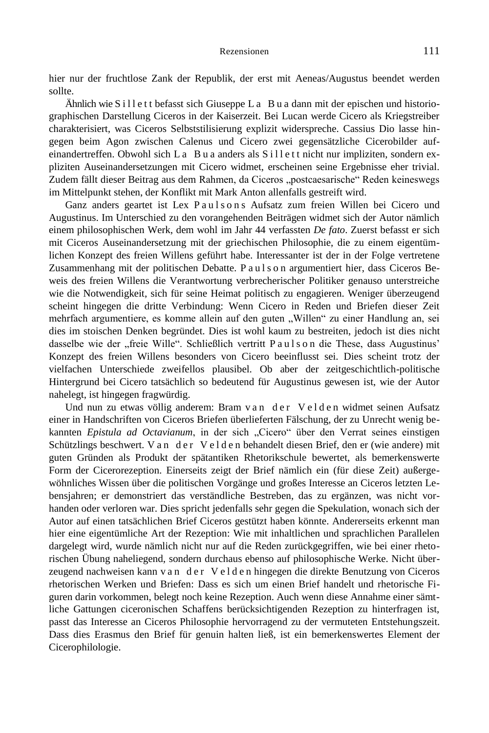hier nur der fruchtlose Zank der Republik, der erst mit Aeneas/Augustus beendet werden sollte.

Ähnlich wie S i l l e t t befasst sich Giuseppe L a B u a dann mit der epischen und historiographischen Darstellung Ciceros in der Kaiserzeit. Bei Lucan werde Cicero als Kriegstreiber charakterisiert, was Ciceros Selbststilisierung explizit widerspreche. Cassius Dio lasse hingegen beim Agon zwischen Calenus und Cicero zwei gegensätzliche Cicerobilder aufeinandertreffen. Obwohl sich La B u a anders als S i l l e t t nicht nur impliziten, sondern expliziten Auseinandersetzungen mit Cicero widmet, erscheinen seine Ergebnisse eher trivial. Zudem fällt dieser Beitrag aus dem Rahmen, da Ciceros "postcaesarische" Reden keineswegs im Mittelpunkt stehen, der Konflikt mit Mark Anton allenfalls gestreift wird.

Ganz anders geartet ist Lex Paulsons Aufsatz zum freien Willen bei Cicero und Augustinus. Im Unterschied zu den vorangehenden Beiträgen widmet sich der Autor nämlich einem philosophischen Werk, dem wohl im Jahr 44 verfassten *De fato*. Zuerst befasst er sich mit Ciceros Auseinandersetzung mit der griechischen Philosophie, die zu einem eigentümlichen Konzept des freien Willens geführt habe. Interessanter ist der in der Folge vertretene Zusammenhang mit der politischen Debatte. P a u l s o n argumentiert hier, dass Ciceros Beweis des freien Willens die Verantwortung verbrecherischer Politiker genauso unterstreiche wie die Notwendigkeit, sich für seine Heimat politisch zu engagieren. Weniger überzeugend scheint hingegen die dritte Verbindung: Wenn Cicero in Reden und Briefen dieser Zeit mehrfach argumentiere, es komme allein auf den guten "Willen" zu einer Handlung an, sei dies im stoischen Denken begründet. Dies ist wohl kaum zu bestreiten, jedoch ist dies nicht dasselbe wie der "freie Wille". Schließlich vertritt P a u l s o n die These, dass Augustinus' Konzept des freien Willens besonders von Cicero beeinflusst sei. Dies scheint trotz der vielfachen Unterschiede zweifellos plausibel. Ob aber der zeitgeschichtlich-politische Hintergrund bei Cicero tatsächlich so bedeutend für Augustinus gewesen ist, wie der Autor nahelegt, ist hingegen fragwürdig.

Und nun zu etwas völlig anderem: Bram v a n d e r V e l d e n widmet seinen Aufsatz einer in Handschriften von Ciceros Briefen überlieferten Fälschung, der zu Unrecht wenig bekannten *Epistula ad Octavianum*, in der sich "Cicero" über den Verrat seines einstigen Schützlings beschwert. V an der V e l den behandelt diesen Brief, den er (wie andere) mit guten Gründen als Produkt der spätantiken Rhetorikschule bewertet, als bemerkenswerte Form der Cicerorezeption. Einerseits zeigt der Brief nämlich ein (für diese Zeit) außergewöhnliches Wissen über die politischen Vorgänge und großes Interesse an Ciceros letzten Lebensjahren; er demonstriert das verständliche Bestreben, das zu ergänzen, was nicht vorhanden oder verloren war. Dies spricht jedenfalls sehr gegen die Spekulation, wonach sich der Autor auf einen tatsächlichen Brief Ciceros gestützt haben könnte. Andererseits erkennt man hier eine eigentümliche Art der Rezeption: Wie mit inhaltlichen und sprachlichen Parallelen dargelegt wird, wurde nämlich nicht nur auf die Reden zurückgegriffen, wie bei einer rhetorischen Übung naheliegend, sondern durchaus ebenso auf philosophische Werke. Nicht überzeugend nachweisen kann v a n d e r V e l d e n hingegen die direkte Benutzung von Ciceros rhetorischen Werken und Briefen: Dass es sich um einen Brief handelt und rhetorische Figuren darin vorkommen, belegt noch keine Rezeption. Auch wenn diese Annahme einer sämtliche Gattungen ciceronischen Schaffens berücksichtigenden Rezeption zu hinterfragen ist, passt das Interesse an Ciceros Philosophie hervorragend zu der vermuteten Entstehungszeit. Dass dies Erasmus den Brief für genuin halten ließ, ist ein bemerkenswertes Element der Cicerophilologie.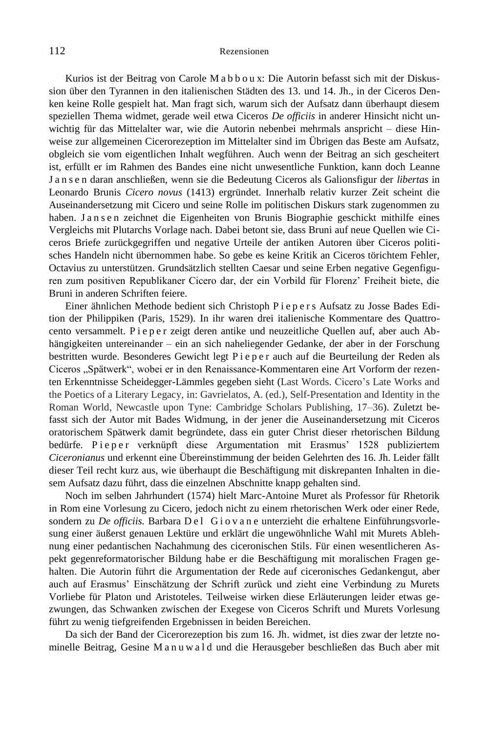Kurios ist der Beitrag von Carole M a b b o u x: Die Autorin befasst sich mit der Diskussion über den Tyrannen in den italienischen Städten des 13. und 14. Jh., in der Ciceros Denken keine Rolle gespielt hat. Man fragt sich, warum sich der Aufsatz dann überhaupt diesem speziellen Thema widmet, gerade weil etwa Ciceros *De officiis* in anderer Hinsicht nicht unwichtig für das Mittelalter war, wie die Autorin nebenbei mehrmals anspricht – diese Hinweise zur allgemeinen Cicerorezeption im Mittelalter sind im Übrigen das Beste am Aufsatz, obgleich sie vom eigentlichen Inhalt wegführen. Auch wenn der Beitrag an sich gescheitert ist, erfüllt er im Rahmen des Bandes eine nicht unwesentliche Funktion, kann doch Leanne J a n s e n daran anschließen, wenn sie die Bedeutung Ciceros als Galionsfigur der *libertas* in Leonardo Brunis *Cicero novus* (1413) ergründet. Innerhalb relativ kurzer Zeit scheint die Auseinandersetzung mit Cicero und seine Rolle im politischen Diskurs stark zugenommen zu haben. Jansen zeichnet die Eigenheiten von Brunis Biographie geschickt mithilfe eines Vergleichs mit Plutarchs Vorlage nach. Dabei betont sie, dass Bruni auf neue Quellen wie Ciceros Briefe zurückgegriffen und negative Urteile der antiken Autoren über Ciceros politisches Handeln nicht übernommen habe. So gebe es keine Kritik an Ciceros törichtem Fehler, Octavius zu unterstützen. Grundsätzlich stellten Caesar und seine Erben negative Gegenfiguren zum positiven Republikaner Cicero dar, der ein Vorbild für Florenz' Freiheit biete, die Bruni in anderen Schriften feiere.

Einer ähnlichen Methode bedient sich Christoph P i e p e r s Aufsatz zu Josse Bades Edition der Philippiken (Paris, 1529). In ihr waren drei italienische Kommentare des Quattrocento versammelt. P i e p e r zeigt deren antike und neuzeitliche Quellen auf, aber auch Abhängigkeiten untereinander – ein an sich naheliegender Gedanke, der aber in der Forschung bestritten wurde. Besonderes Gewicht legt P i e p e r auch auf die Beurteilung der Reden als Ciceros "Spätwerk", wobei er in den Renaissance-Kommentaren eine Art Vorform der rezenten Erkenntnisse Scheidegger-Lämmles gegeben sieht (Last Words. Cicero's Late Works and the Poetics of a Literary Legacy, in: Gavrielatos, A. (ed.), Self-Presentation and Identity in the Roman World, Newcastle upon Tyne: Cambridge Scholars Publishing, 17–36). Zuletzt befasst sich der Autor mit Bades Widmung, in der jener die Auseinandersetzung mit Ciceros oratorischem Spätwerk damit begründete, dass ein guter Christ dieser rhetorischen Bildung bedürfe. Pieper verknüpft diese Argumentation mit Erasmus' 1528 publiziertem *Ciceronianus* und erkennt eine Übereinstimmung der beiden Gelehrten des 16. Jh. Leider fällt dieser Teil recht kurz aus, wie überhaupt die Beschäftigung mit diskrepanten Inhalten in diesem Aufsatz dazu führt, dass die einzelnen Abschnitte knapp gehalten sind.

Noch im selben Jahrhundert (1574) hielt Marc-Antoine Muret als Professor für Rhetorik in Rom eine Vorlesung zu Cicero, jedoch nicht zu einem rhetorischen Werk oder einer Rede, sondern zu *De officiis*. Barbara D e l G i o v a n e unterzieht die erhaltene Einführungsvorlesung einer äußerst genauen Lektüre und erklärt die ungewöhnliche Wahl mit Murets Ablehnung einer pedantischen Nachahmung des ciceronischen Stils. Für einen wesentlicheren Aspekt gegenreformatorischer Bildung habe er die Beschäftigung mit moralischen Fragen gehalten. Die Autorin führt die Argumentation der Rede auf ciceronisches Gedankengut, aber auch auf Erasmus' Einschätzung der Schrift zurück und zieht eine Verbindung zu Murets Vorliebe für Platon und Aristoteles. Teilweise wirken diese Erläuterungen leider etwas gezwungen, das Schwanken zwischen der Exegese von Ciceros Schrift und Murets Vorlesung führt zu wenig tiefgreifenden Ergebnissen in beiden Bereichen.

Da sich der Band der Cicerorezeption bis zum 16. Jh. widmet, ist dies zwar der letzte nominelle Beitrag, Gesine M a n u w a l d und die Herausgeber beschließen das Buch aber mit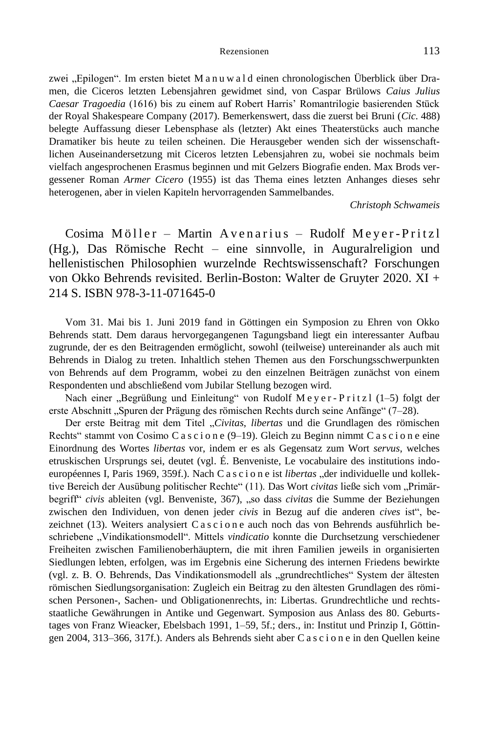zwei "Epilogen". Im ersten bietet M a n u w a l d einen chronologischen Überblick über Dramen, die Ciceros letzten Lebensjahren gewidmet sind, von Caspar Brülows *Caius Julius Caesar Tragoedia* (1616) bis zu einem auf Robert Harris' Romantrilogie basierenden Stück der Royal Shakespeare Company (2017). Bemerkenswert, dass die zuerst bei Bruni (*Cic.* 488) belegte Auffassung dieser Lebensphase als (letzter) Akt eines Theaterstücks auch manche Dramatiker bis heute zu teilen scheinen. Die Herausgeber wenden sich der wissenschaftlichen Auseinandersetzung mit Ciceros letzten Lebensjahren zu, wobei sie nochmals beim vielfach angesprochenen Erasmus beginnen und mit Gelzers Biografie enden. Max Brods vergessener Roman *Armer Cicero* (1955) ist das Thema eines letzten Anhanges dieses sehr heterogenen, aber in vielen Kapiteln hervorragenden Sammelbandes.

*Christoph Schwameis*

Cosima Möller – Martin Avenarius – Rudolf Meyer-Pritzl (Hg.), Das Römische Recht – eine sinnvolle, in Auguralreligion und hellenistischen Philosophien wurzelnde Rechtswissenschaft? Forschungen von Okko Behrends revisited. Berlin-Boston: Walter de Gruyter 2020. XI + 214 S. ISBN 978-3-11-071645-0

Vom 31. Mai bis 1. Juni 2019 fand in Göttingen ein Symposion zu Ehren von Okko Behrends statt. Dem daraus hervorgegangenen Tagungsband liegt ein interessanter Aufbau zugrunde, der es den Beitragenden ermöglicht, sowohl (teilweise) untereinander als auch mit Behrends in Dialog zu treten. Inhaltlich stehen Themen aus den Forschungsschwerpunkten von Behrends auf dem Programm, wobei zu den einzelnen Beiträgen zunächst von einem Respondenten und abschließend vom Jubilar Stellung bezogen wird.

Nach einer "Begrüßung und Einleitung" von Rudolf Meyer-Pritzl (1-5) folgt der erste Abschnitt "Spuren der Prägung des römischen Rechts durch seine Anfänge" (7–28).

Der erste Beitrag mit dem Titel "*Civitas*, *libertas* und die Grundlagen des römischen Rechts" stammt von Cosimo C a s c i o n e  $(9-19)$ . Gleich zu Beginn nimmt C a s c i o n e eine Einordnung des Wortes *libertas* vor, indem er es als Gegensatz zum Wort *servus*, welches etruskischen Ursprungs sei, deutet (vgl. É. Benveniste, Le vocabulaire des institutions indoeuropéennes I, Paris 1969, 359f.). Nach C a s c i o n e ist *libertas* "der individuelle und kollektive Bereich der Ausübung politischer Rechte" (11). Das Wort *civitas* ließe sich vom "Primärbegriff" *civis* ableiten (vgl. Benveniste, 367), "so dass *civitas* die Summe der Beziehungen zwischen den Individuen, von denen jeder *civis* in Bezug auf die anderen *cives* ist", bezeichnet (13). Weiters analysiert C a s c i o n e auch noch das von Behrends ausführlich beschriebene "Vindikationsmodell". Mittels *vindicatio* konnte die Durchsetzung verschiedener Freiheiten zwischen Familienoberhäuptern, die mit ihren Familien jeweils in organisierten Siedlungen lebten, erfolgen, was im Ergebnis eine Sicherung des internen Friedens bewirkte (vgl. z. B. O. Behrends, Das Vindikationsmodell als "grundrechtliches" System der ältesten römischen Siedlungsorganisation: Zugleich ein Beitrag zu den ältesten Grundlagen des römischen Personen-, Sachen- und Obligationenrechts, in: Libertas. Grundrechtliche und rechtsstaatliche Gewährungen in Antike und Gegenwart. Symposion aus Anlass des 80. Geburtstages von Franz Wieacker, Ebelsbach 1991, 1–59, 5f.; ders., in: Institut und Prinzip I, Göttingen 2004, 313–366, 317f.). Anders als Behrends sieht aber C a s c i o n e in den Quellen keine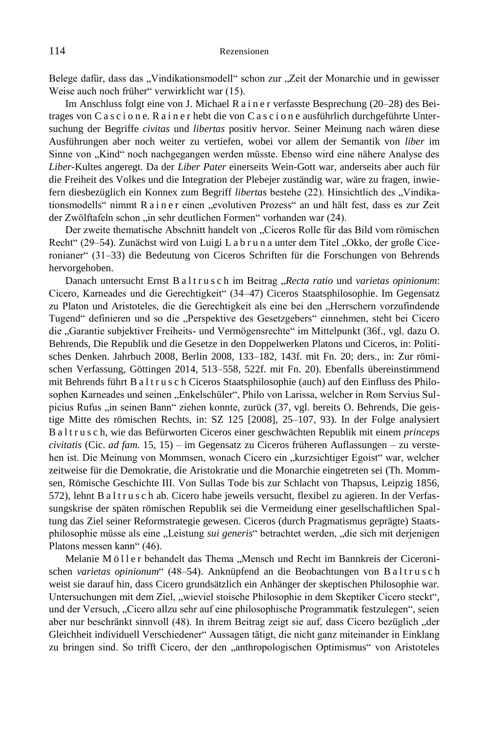Belege dafür, dass das "Vindikationsmodell" schon zur "Zeit der Monarchie und in gewisser Weise auch noch früher" verwirklicht war (15).

Im Anschluss folgt eine von J. Michael R a i n e r verfasste Besprechung (20–28) des Beitrages von C a s c i o n e. R a i n e r hebt die von C a s c i o n e ausführlich durchgeführte Untersuchung der Begriffe *civitas* und *libertas* positiv hervor. Seiner Meinung nach wären diese Ausführungen aber noch weiter zu vertiefen, wobei vor allem der Semantik von *liber* im Sinne von "Kind" noch nachgegangen werden müsste. Ebenso wird eine nähere Analyse des *Liber*-Kultes angeregt. Da der *Liber Pater* einerseits Wein-Gott war, anderseits aber auch für die Freiheit des Volkes und die Integration der Plebejer zuständig war, wäre zu fragen, inwiefern diesbezüglich ein Konnex zum Begriff *libertas* bestehe (22). Hinsichtlich des "Vindikationsmodells" nimmt R a i n e r einen "evolutiven Prozess" an und hält fest, dass es zur Zeit der Zwölftafeln schon "in sehr deutlichen Formen" vorhanden war (24).

Der zweite thematische Abschnitt handelt von "Ciceros Rolle für das Bild vom römischen Recht" (29–54). Zunächst wird von Luigi Labrun a unter dem Titel "Okko, der große Ciceronianer" (31–33) die Bedeutung von Ciceros Schriften für die Forschungen von Behrends hervorgehoben.

Danach untersucht Ernst B a l t r u s c h im Beitrag "Recta ratio und *varietas opinionum*: Cicero, Karneades und die Gerechtigkeit" (34–47) Ciceros Staatsphilosophie. Im Gegensatz zu Platon und Aristoteles, die die Gerechtigkeit als eine bei den "Herrschern vorzufindende Tugend" definieren und so die "Perspektive des Gesetzgebers" einnehmen, steht bei Cicero die "Garantie subjektiver Freiheits- und Vermögensrechte" im Mittelpunkt (36f., vgl. dazu O. Behrends, Die Republik und die Gesetze in den Doppelwerken Platons und Ciceros, in: Politisches Denken. Jahrbuch 2008, Berlin 2008, 133–182, 143f. mit Fn. 20; ders., in: Zur römischen Verfassung, Göttingen 2014, 513–558, 522f. mit Fn. 20). Ebenfalls übereinstimmend mit Behrends führt B a l t r u s c h Ciceros Staatsphilosophie (auch) auf den Einfluss des Philosophen Karneades und seinen "Enkelschüler", Philo von Larissa, welcher in Rom Servius Sulpicius Rufus "in seinen Bann" ziehen konnte, zurück (37, vgl. bereits O. Behrends, Die geistige Mitte des römischen Rechts, in: SZ 125 [2008], 25–107, 93). In der Folge analysiert B a l t r u s c h, wie das Befürworten Ciceros einer geschwächten Republik mit einem *princeps civitatis* (Cic. *ad fam.* 15, 15) – im Gegensatz zu Ciceros früheren Auflassungen – zu verstehen ist. Die Meinung von Mommsen, wonach Cicero ein "kurzsichtiger Egoist" war, welcher zeitweise für die Demokratie, die Aristokratie und die Monarchie eingetreten sei (Th. Mommsen, Römische Geschichte III. Von Sullas Tode bis zur Schlacht von Thapsus, Leipzig 1856, 572), lehnt B a l t r u s c h ab. Cicero habe jeweils versucht, flexibel zu agieren. In der Verfassungskrise der späten römischen Republik sei die Vermeidung einer gesellschaftlichen Spaltung das Ziel seiner Reformstrategie gewesen. Ciceros (durch Pragmatismus geprägte) Staatsphilosophie müsse als eine "Leistung *sui generis*" betrachtet werden, "die sich mit derjenigen Platons messen kann" (46).

Melanie Möller behandelt das Thema "Mensch und Recht im Bannkreis der Ciceronischen *varietas opinionum*" (48–54). Anknüpfend an die Beobachtungen von B altrusch weist sie darauf hin, dass Cicero grundsätzlich ein Anhänger der skeptischen Philosophie war. Untersuchungen mit dem Ziel, "wieviel stoische Philosophie in dem Skeptiker Cicero steckt", und der Versuch, "Cicero allzu sehr auf eine philosophische Programmatik festzulegen", seien aber nur beschränkt sinnvoll (48). In ihrem Beitrag zeigt sie auf, dass Cicero bezüglich "der Gleichheit individuell Verschiedener" Aussagen tätigt, die nicht ganz miteinander in Einklang zu bringen sind. So trifft Cicero, der den "anthropologischen Optimismus" von Aristoteles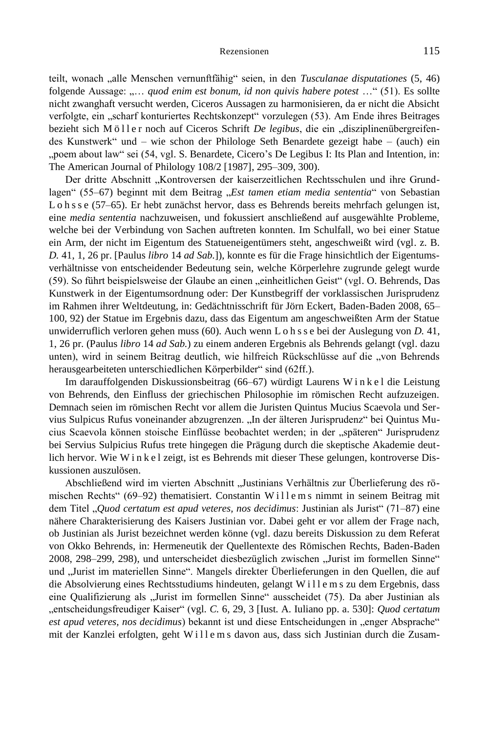teilt, wonach "alle Menschen vernunftfähig" seien, in den *Tusculanae disputationes* (5, 46) folgende Aussage: "... quod enim est bonum, id non quivis habere potest ..." (51). Es sollte nicht zwanghaft versucht werden, Ciceros Aussagen zu harmonisieren, da er nicht die Absicht verfolgte, ein "scharf konturiertes Rechtskonzept" vorzulegen (53). Am Ende ihres Beitrages bezieht sich Möller noch auf Ciceros Schrift *De legibus*, die ein "disziplinenübergreifendes Kunstwerk" und – wie schon der Philologe Seth Benardete gezeigt habe – (auch) ein "poem about law" sei (54, vgl. S. Benardete, Cicero's De Legibus I: Its Plan and Intention, in: The American Journal of Philology 108/2 [1987], 295–309, 300).

Der dritte Abschnitt "Kontroversen der kaiserzeitlichen Rechtsschulen und ihre Grundlagen" (55–67) beginnt mit dem Beitrag "Est tamen etiam media sententia" von Sebastian L o h s s e (57–65). Er hebt zunächst hervor, dass es Behrends bereits mehrfach gelungen ist, eine *media sententia* nachzuweisen, und fokussiert anschließend auf ausgewählte Probleme, welche bei der Verbindung von Sachen auftreten konnten. Im Schulfall, wo bei einer Statue ein Arm, der nicht im Eigentum des Statueneigentümers steht, angeschweißt wird (vgl. z. B. *D.* 41, 1, 26 pr. [Paulus *libro* 14 *ad Sab.*]), konnte es für die Frage hinsichtlich der Eigentumsverhältnisse von entscheidender Bedeutung sein, welche Körperlehre zugrunde gelegt wurde (59). So führt beispielsweise der Glaube an einen "einheitlichen Geist" (vgl. O. Behrends, Das Kunstwerk in der Eigentumsordnung oder: Der Kunstbegriff der vorklassischen Jurisprudenz im Rahmen ihrer Weltdeutung, in: Gedächtnisschrift für Jörn Eckert, Baden-Baden 2008, 65– 100, 92) der Statue im Ergebnis dazu, dass das Eigentum am angeschweißten Arm der Statue unwiderruflich verloren gehen muss (60). Auch wenn L o h s s e bei der Auslegung von *D.* 41, 1, 26 pr. (Paulus *libro* 14 *ad Sab.*) zu einem anderen Ergebnis als Behrends gelangt (vgl. dazu unten), wird in seinem Beitrag deutlich, wie hilfreich Rückschlüsse auf die "von Behrends herausgearbeiteten unterschiedlichen Körperbilder" sind (62ff.).

Im darauffolgenden Diskussionsbeitrag (66–67) würdigt Laurens W i n k e l die Leistung von Behrends, den Einfluss der griechischen Philosophie im römischen Recht aufzuzeigen. Demnach seien im römischen Recht vor allem die Juristen Quintus Mucius Scaevola und Servius Sulpicus Rufus voneinander abzugrenzen. "In der älteren Jurisprudenz" bei Quintus Mucius Scaevola können stoische Einflüsse beobachtet werden; in der "späteren" Jurisprudenz bei Servius Sulpicius Rufus trete hingegen die Prägung durch die skeptische Akademie deutlich hervor. Wie W i n k e l zeigt, ist es Behrends mit dieser These gelungen, kontroverse Diskussionen auszulösen.

Abschließend wird im vierten Abschnitt "Justinians Verhältnis zur Überlieferung des römischen Rechts" (69–92) thematisiert. Constantin Willems nimmt in seinem Beitrag mit dem Titel "*Quod certatum est apud veteres, nos decidimus*: Justinian als Jurist" (71–87) eine nähere Charakterisierung des Kaisers Justinian vor. Dabei geht er vor allem der Frage nach, ob Justinian als Jurist bezeichnet werden könne (vgl. dazu bereits Diskussion zu dem Referat von Okko Behrends, in: Hermeneutik der Quellentexte des Römischen Rechts, Baden-Baden 2008, 298–299, 298), und unterscheidet diesbezüglich zwischen "Jurist im formellen Sinne" und "Jurist im materiellen Sinne". Mangels direkter Überlieferungen in den Quellen, die auf die Absolvierung eines Rechtsstudiums hindeuten, gelangt Willems zu dem Ergebnis, dass eine Qualifizierung als "Jurist im formellen Sinne" ausscheidet (75). Da aber Justinian als "entscheidungsfreudiger Kaiser" (vgl. *C.* 6, 29, 3 [Iust. A. Iuliano pp. a. 530]: *Quod certatum*  est apud veteres, nos decidimus) bekannt ist und diese Entscheidungen in "enger Absprache" mit der Kanzlei erfolgten, geht Willems davon aus, dass sich Justinian durch die Zusam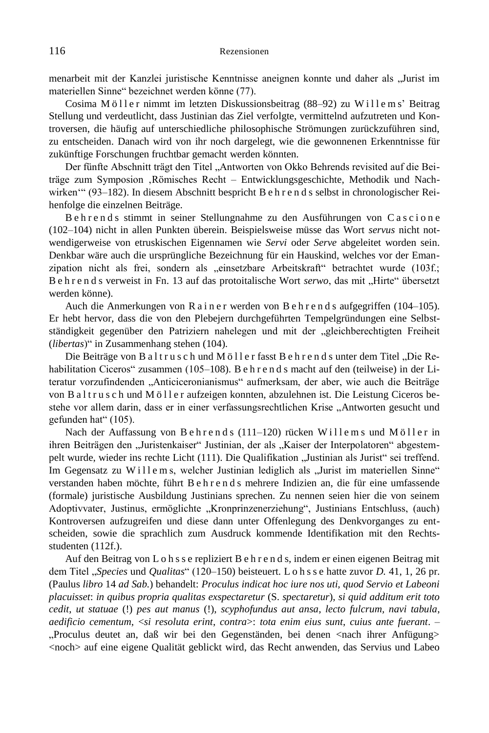menarbeit mit der Kanzlei juristische Kenntnisse aneignen konnte und daher als "Jurist im materiellen Sinne" bezeichnet werden könne (77).

Cosima Möller nimmt im letzten Diskussionsbeitrag (88–92) zu Willems' Beitrag Stellung und verdeutlicht, dass Justinian das Ziel verfolgte, vermittelnd aufzutreten und Kontroversen, die häufig auf unterschiedliche philosophische Strömungen zurückzuführen sind, zu entscheiden. Danach wird von ihr noch dargelegt, wie die gewonnenen Erkenntnisse für zukünftige Forschungen fruchtbar gemacht werden könnten.

Der fünfte Abschnitt trägt den Titel "Antworten von Okko Behrends revisited auf die Beiträge zum Symposion 'Römisches Recht – Entwicklungsgeschichte, Methodik und Nachwirken'" (93–182). In diesem Abschnitt bespricht B e h r e n d s selbst in chronologischer Reihenfolge die einzelnen Beiträge.

Behrends stimmt in seiner Stellungnahme zu den Ausführungen von Cascione (102–104) nicht in allen Punkten überein. Beispielsweise müsse das Wort *servus* nicht notwendigerweise von etruskischen Eigennamen wie *Servi* oder *Serve* abgeleitet worden sein. Denkbar wäre auch die ursprüngliche Bezeichnung für ein Hauskind, welches vor der Emanzipation nicht als frei, sondern als "einsetzbare Arbeitskraft" betrachtet wurde (103f.; B e h r e n d s verweist in Fn. 13 auf das protoitalische Wort *serwo*, das mit "Hirte" übersetzt werden könne).

Auch die Anmerkungen von R a i n e r werden von B e h r e n d s aufgegriffen (104–105). Er hebt hervor, dass die von den Plebejern durchgeführten Tempelgründungen eine Selbstständigkeit gegenüber den Patriziern nahelegen und mit der "gleichberechtigten Freiheit (*libertas*)" in Zusammenhang stehen (104).

Die Beiträge von Baltrusch und Möller fasst Behrends unter dem Titel "Die Rehabilitation Ciceros" zusammen (105–108). B e h r e n d s macht auf den (teilweise) in der Literatur vorzufindenden "Anticiceronianismus" aufmerksam, der aber, wie auch die Beiträge von B a l t r u s c h und M ö l l e r aufzeigen konnten, abzulehnen ist. Die Leistung Ciceros bestehe vor allem darin, dass er in einer verfassungsrechtlichen Krise "Antworten gesucht und gefunden hat" (105).

Nach der Auffassung von Behrends (111–120) rücken Willems und Möller in ihren Beiträgen den "Juristenkaiser" Justinian, der als "Kaiser der Interpolatoren" abgestempelt wurde, wieder ins rechte Licht (111). Die Qualifikation "Justinian als Jurist" sei treffend. Im Gegensatz zu Willems, welcher Justinian lediglich als "Jurist im materiellen Sinne" verstanden haben möchte, führt B e h r e n d s mehrere Indizien an, die für eine umfassende (formale) juristische Ausbildung Justinians sprechen. Zu nennen seien hier die von seinem Adoptivvater, Justinus, ermöglichte "Kronprinzenerziehung", Justinians Entschluss, (auch) Kontroversen aufzugreifen und diese dann unter Offenlegung des Denkvorganges zu entscheiden, sowie die sprachlich zum Ausdruck kommende Identifikation mit den Rechtsstudenten (112f.).

Auf den Beitrag von L o h s s e repliziert B e h r e n d s, indem er einen eigenen Beitrag mit dem Titel "*Species* und *Qualitas*" (120–150) beisteuert. L o h s s e hatte zuvor *D.* 41, 1, 26 pr. (Paulus *libro* 14 *ad Sab.*) behandelt: *Proculus indicat hoc iure nos uti, quod Servio et Labeoni placuisset*: *in quibus propria qualitas exspectaretur* (S. *spectaretur*), *si quid additum erit toto cedit*, *ut statuae* (!) *pes aut manus* (!), *scyphofundus aut ansa*, *lecto fulcrum, navi tabula*, *aedificio cementum*, <*si resoluta erint*, *contra*>: *tota enim eius sunt*, *cuius ante fuerant*. – "Proculus deutet an, daß wir bei den Gegenständen, bei denen <nach ihrer Anfügung> <noch> auf eine eigene Qualität geblickt wird, das Recht anwenden, das Servius und Labeo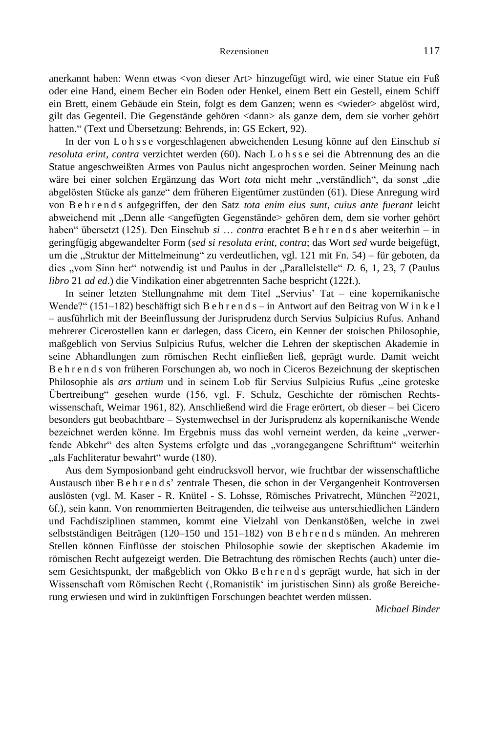anerkannt haben: Wenn etwas <von dieser Art> hinzugefügt wird, wie einer Statue ein Fuß oder eine Hand, einem Becher ein Boden oder Henkel, einem Bett ein Gestell, einem Schiff ein Brett, einem Gebäude ein Stein, folgt es dem Ganzen; wenn es <wieder> abgelöst wird, gilt das Gegenteil. Die Gegenstände gehören <dann> als ganze dem, dem sie vorher gehört hatten." (Text und Übersetzung: Behrends, in: GS Eckert, 92).

In der von L o h s s e vorgeschlagenen abweichenden Lesung könne auf den Einschub *si resoluta erint, contra* verzichtet werden (60). Nach L o h s s e sei die Abtrennung des an die Statue angeschweißten Armes von Paulus nicht angesprochen worden. Seiner Meinung nach wäre bei einer solchen Ergänzung das Wort *tota* nicht mehr "verständlich", da sonst "die abgelösten Stücke als ganze" dem früheren Eigentümer zustünden (61). Diese Anregung wird von B e h r e n d s aufgegriffen, der den Satz *tota enim eius sunt*, *cuius ante fuerant* leicht abweichend mit "Denn alle <angefügten Gegenstände> gehören dem, dem sie vorher gehört haben" übersetzt (125). Den Einschub *si* … *contra* erachtet B e h r e n d s aber weiterhin – in geringfügig abgewandelter Form (*sed si resoluta erint*, *contra*; das Wort *sed* wurde beigefügt, um die "Struktur der Mittelmeinung" zu verdeutlichen, vgl. 121 mit Fn. 54) – für geboten, da dies "vom Sinn her" notwendig ist und Paulus in der "Parallelstelle" *D.* 6, 1, 23, 7 (Paulus *libro* 21 *ad ed*.) die Vindikation einer abgetrennten Sache bespricht (122f.).

In seiner letzten Stellungnahme mit dem Titel "Servius' Tat – eine kopernikanische Wende?" (151–182) beschäftigt sich B e h r e n d s – in Antwort auf den Beitrag von W i n k e l – ausführlich mit der Beeinflussung der Jurisprudenz durch Servius Sulpicius Rufus. Anhand mehrerer Cicerostellen kann er darlegen, dass Cicero, ein Kenner der stoischen Philosophie, maßgeblich von Servius Sulpicius Rufus, welcher die Lehren der skeptischen Akademie in seine Abhandlungen zum römischen Recht einfließen ließ, geprägt wurde. Damit weicht B e h r e n d s von früheren Forschungen ab, wo noch in Ciceros Bezeichnung der skeptischen Philosophie als *ars artium* und in seinem Lob für Servius Sulpicius Rufus "eine groteske Übertreibung" gesehen wurde (156, vgl. F. Schulz, Geschichte der römischen Rechtswissenschaft, Weimar 1961, 82). Anschließend wird die Frage erörtert, ob dieser – bei Cicero besonders gut beobachtbare – Systemwechsel in der Jurisprudenz als kopernikanische Wende bezeichnet werden könne. Im Ergebnis muss das wohl verneint werden, da keine "verwerfende Abkehr" des alten Systems erfolgte und das "vorangegangene Schrifttum" weiterhin "als Fachliteratur bewahrt" wurde (180).

Aus dem Symposionband geht eindrucksvoll hervor, wie fruchtbar der wissenschaftliche Austausch über B e h r e n d s' zentrale Thesen, die schon in der Vergangenheit Kontroversen auslösten (vgl. M. Kaser - R. Knütel - S. Lohsse, Römisches Privatrecht, München <sup>22</sup>2021, 6f.), sein kann. Von renommierten Beitragenden, die teilweise aus unterschiedlichen Ländern und Fachdisziplinen stammen, kommt eine Vielzahl von Denkanstößen, welche in zwei selbstständigen Beiträgen (120–150 und 151–182) von B e h r e n d s münden. An mehreren Stellen können Einflüsse der stoischen Philosophie sowie der skeptischen Akademie im römischen Recht aufgezeigt werden. Die Betrachtung des römischen Rechts (auch) unter diesem Gesichtspunkt, der maßgeblich von Okko B e h r e n d s geprägt wurde, hat sich in der Wissenschaft vom Römischen Recht ("Romanistik" im juristischen Sinn) als große Bereicherung erwiesen und wird in zukünftigen Forschungen beachtet werden müssen.

*Michael Binder*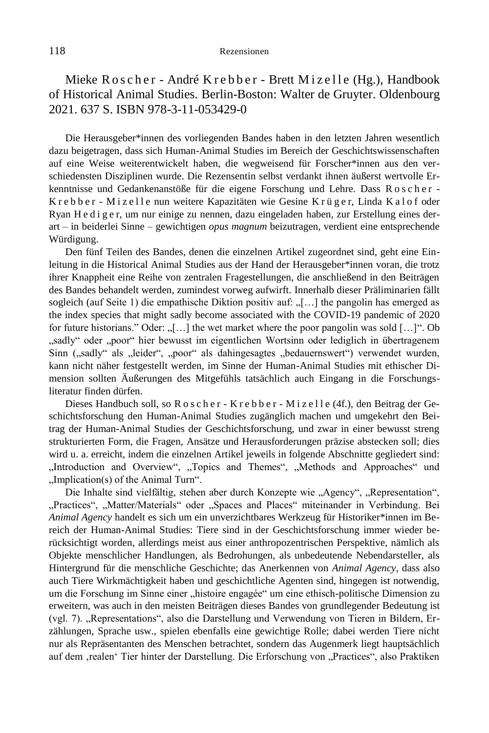Mieke Roscher - André Krebber - Brett Mizelle (Hg.), Handbook of Historical Animal Studies. Berlin-Boston: Walter de Gruyter. Oldenbourg 2021. 637 S. ISBN 978-3-11-053429-0

Die Herausgeber\*innen des vorliegenden Bandes haben in den letzten Jahren wesentlich dazu beigetragen, dass sich Human-Animal Studies im Bereich der Geschichtswissenschaften auf eine Weise weiterentwickelt haben, die wegweisend für Forscher\*innen aus den verschiedensten Disziplinen wurde. Die Rezensentin selbst verdankt ihnen äußerst wertvolle Erkenntnisse und Gedankenanstöße für die eigene Forschung und Lehre. Dass R o s c h e r - Krebber - Mizelle nun weitere Kapazitäten wie Gesine Krüger, Linda Kalof oder Ryan H e d i g e r, um nur einige zu nennen, dazu eingeladen haben, zur Erstellung eines derart – in beiderlei Sinne – gewichtigen *opus magnum* beizutragen, verdient eine entsprechende Würdigung.

Den fünf Teilen des Bandes, denen die einzelnen Artikel zugeordnet sind, geht eine Einleitung in die Historical Animal Studies aus der Hand der Herausgeber\*innen voran, die trotz ihrer Knappheit eine Reihe von zentralen Fragestellungen, die anschließend in den Beiträgen des Bandes behandelt werden, zumindest vorweg aufwirft. Innerhalb dieser Präliminarien fällt sogleich (auf Seite 1) die empathische Diktion positiv auf:  $\ldots$ ] the pangolin has emerged as the index species that might sadly become associated with the COVID-19 pandemic of 2020 for future historians." Oder: " $[...]$  the wet market where the poor pangolin was sold  $[...]$ ". Ob "sadly" oder "poor" hier bewusst im eigentlichen Wortsinn oder lediglich in übertragenem Sinn ("sadly" als "leider", "poor" als dahingesagtes "bedauernswert") verwendet wurden, kann nicht näher festgestellt werden, im Sinne der Human-Animal Studies mit ethischer Dimension sollten Äußerungen des Mitgefühls tatsächlich auch Eingang in die Forschungsliteratur finden dürfen.

Dieses Handbuch soll, so R o s c h e r - K r e b b e r - M i z e l l e (4f.), den Beitrag der Geschichtsforschung den Human-Animal Studies zugänglich machen und umgekehrt den Beitrag der Human-Animal Studies der Geschichtsforschung, und zwar in einer bewusst streng strukturierten Form, die Fragen, Ansätze und Herausforderungen präzise abstecken soll; dies wird u. a. erreicht, indem die einzelnen Artikel jeweils in folgende Abschnitte gegliedert sind: "Introduction and Overview", "Topics and Themes", "Methods and Approaches" und "Implication(s) of the Animal Turn".

Die Inhalte sind vielfältig, stehen aber durch Konzepte wie "Agency", "Representation", "Practices", "Matter/Materials" oder "Spaces and Places" miteinander in Verbindung. Bei *Animal Agency* handelt es sich um ein unverzichtbares Werkzeug für Historiker\*innen im Bereich der Human-Animal Studies: Tiere sind in der Geschichtsforschung immer wieder berücksichtigt worden, allerdings meist aus einer anthropozentrischen Perspektive, nämlich als Objekte menschlicher Handlungen, als Bedrohungen, als unbedeutende Nebendarsteller, als Hintergrund für die menschliche Geschichte; das Anerkennen von *Animal Agency*, dass also auch Tiere Wirkmächtigkeit haben und geschichtliche Agenten sind, hingegen ist notwendig, um die Forschung im Sinne einer "histoire engagée" um eine ethisch-politische Dimension zu erweitern, was auch in den meisten Beiträgen dieses Bandes von grundlegender Bedeutung ist (vgl. 7). "Representations", also die Darstellung und Verwendung von Tieren in Bildern, Erzählungen, Sprache usw., spielen ebenfalls eine gewichtige Rolle; dabei werden Tiere nicht nur als Repräsentanten des Menschen betrachtet, sondern das Augenmerk liegt hauptsächlich auf dem ,realen' Tier hinter der Darstellung. Die Erforschung von "Practices", also Praktiken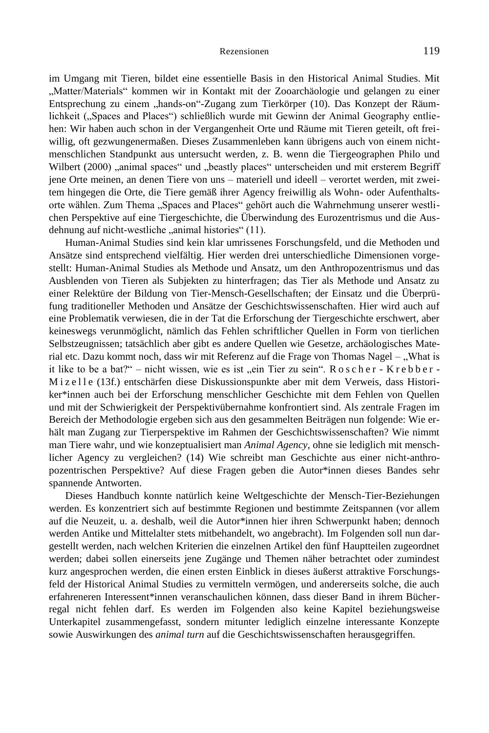im Umgang mit Tieren, bildet eine essentielle Basis in den Historical Animal Studies. Mit "Matter/Materials" kommen wir in Kontakt mit der Zooarchäologie und gelangen zu einer Entsprechung zu einem "hands-on"-Zugang zum Tierkörper (10). Das Konzept der Räumlichkeit ("Spaces and Places") schließlich wurde mit Gewinn der Animal Geography entliehen: Wir haben auch schon in der Vergangenheit Orte und Räume mit Tieren geteilt, oft freiwillig, oft gezwungenermaßen. Dieses Zusammenleben kann übrigens auch von einem nichtmenschlichen Standpunkt aus untersucht werden, z. B. wenn die Tiergeographen Philo und Wilbert (2000) "animal spaces" und "beastly places" unterscheiden und mit ersterem Begriff jene Orte meinen, an denen Tiere von uns – materiell und ideell – verortet werden, mit zweitem hingegen die Orte, die Tiere gemäß ihrer Agency freiwillig als Wohn- oder Aufenthaltsorte wählen. Zum Thema "Spaces and Places" gehört auch die Wahrnehmung unserer westlichen Perspektive auf eine Tiergeschichte, die Überwindung des Eurozentrismus und die Ausdehnung auf nicht-westliche "animal histories" (11).

Human-Animal Studies sind kein klar umrissenes Forschungsfeld, und die Methoden und Ansätze sind entsprechend vielfältig. Hier werden drei unterschiedliche Dimensionen vorgestellt: Human-Animal Studies als Methode und Ansatz, um den Anthropozentrismus und das Ausblenden von Tieren als Subjekten zu hinterfragen; das Tier als Methode und Ansatz zu einer Relektüre der Bildung von Tier-Mensch-Gesellschaften; der Einsatz und die Überprüfung traditioneller Methoden und Ansätze der Geschichtswissenschaften. Hier wird auch auf eine Problematik verwiesen, die in der Tat die Erforschung der Tiergeschichte erschwert, aber keineswegs verunmöglicht, nämlich das Fehlen schriftlicher Quellen in Form von tierlichen Selbstzeugnissen; tatsächlich aber gibt es andere Quellen wie Gesetze, archäologisches Material etc. Dazu kommt noch, dass wir mit Referenz auf die Frage von Thomas Nagel – "What is it like to be a bat?" – nicht wissen, wie es ist "ein Tier zu sein".  $R$  o s c h e r - K r e b b e r -M i z e l l e (13f.) entschärfen diese Diskussionspunkte aber mit dem Verweis, dass Historiker\*innen auch bei der Erforschung menschlicher Geschichte mit dem Fehlen von Quellen und mit der Schwierigkeit der Perspektivübernahme konfrontiert sind. Als zentrale Fragen im Bereich der Methodologie ergeben sich aus den gesammelten Beiträgen nun folgende: Wie erhält man Zugang zur Tierperspektive im Rahmen der Geschichtswissenschaften? Wie nimmt man Tiere wahr, und wie konzeptualisiert man *Animal Agency*, ohne sie lediglich mit menschlicher Agency zu vergleichen? (14) Wie schreibt man Geschichte aus einer nicht-anthropozentrischen Perspektive? Auf diese Fragen geben die Autor\*innen dieses Bandes sehr spannende Antworten.

Dieses Handbuch konnte natürlich keine Weltgeschichte der Mensch-Tier-Beziehungen werden. Es konzentriert sich auf bestimmte Regionen und bestimmte Zeitspannen (vor allem auf die Neuzeit, u. a. deshalb, weil die Autor\*innen hier ihren Schwerpunkt haben; dennoch werden Antike und Mittelalter stets mitbehandelt, wo angebracht). Im Folgenden soll nun dargestellt werden, nach welchen Kriterien die einzelnen Artikel den fünf Hauptteilen zugeordnet werden; dabei sollen einerseits jene Zugänge und Themen näher betrachtet oder zumindest kurz angesprochen werden, die einen ersten Einblick in dieses äußerst attraktive Forschungsfeld der Historical Animal Studies zu vermitteln vermögen, und andererseits solche, die auch erfahreneren Interessent\*innen veranschaulichen können, dass dieser Band in ihrem Bücherregal nicht fehlen darf. Es werden im Folgenden also keine Kapitel beziehungsweise Unterkapitel zusammengefasst, sondern mitunter lediglich einzelne interessante Konzepte sowie Auswirkungen des *animal turn* auf die Geschichtswissenschaften herausgegriffen.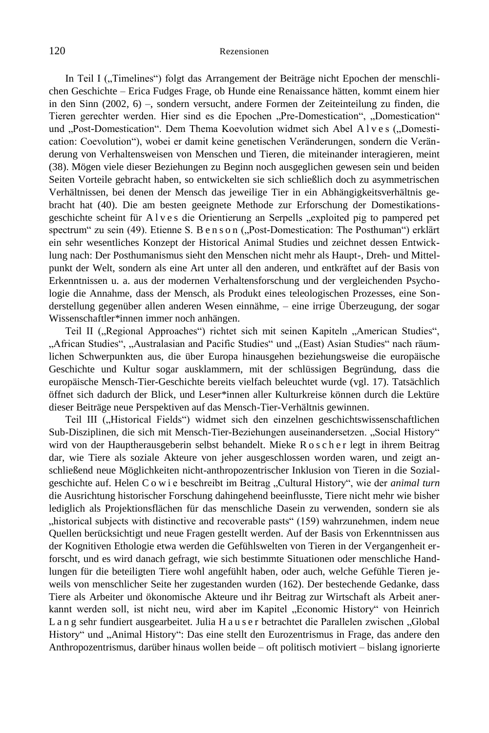In Teil I ("Timelines") folgt das Arrangement der Beiträge nicht Epochen der menschlichen Geschichte – Erica Fudges Frage, ob Hunde eine Renaissance hätten, kommt einem hier in den Sinn (2002, 6) –, sondern versucht, andere Formen der Zeiteinteilung zu finden, die Tieren gerechter werden. Hier sind es die Epochen "Pre-Domestication", "Domestication" und "Post-Domestication". Dem Thema Koevolution widmet sich Abel Alves ("Domestication: Coevolution"), wobei er damit keine genetischen Veränderungen, sondern die Veränderung von Verhaltensweisen von Menschen und Tieren, die miteinander interagieren, meint (38). Mögen viele dieser Beziehungen zu Beginn noch ausgeglichen gewesen sein und beiden Seiten Vorteile gebracht haben, so entwickelten sie sich schließlich doch zu asymmetrischen Verhältnissen, bei denen der Mensch das jeweilige Tier in ein Abhängigkeitsverhältnis gebracht hat (40). Die am besten geeignete Methode zur Erforschung der Domestikationsgeschichte scheint für Alves die Orientierung an Serpells "exploited pig to pampered pet spectrum" zu sein (49). Etienne S. B e n s o n ("Post-Domestication: The Posthuman") erklärt ein sehr wesentliches Konzept der Historical Animal Studies und zeichnet dessen Entwicklung nach: Der Posthumanismus sieht den Menschen nicht mehr als Haupt-, Dreh- und Mittelpunkt der Welt, sondern als eine Art unter all den anderen, und entkräftet auf der Basis von Erkenntnissen u. a. aus der modernen Verhaltensforschung und der vergleichenden Psychologie die Annahme, dass der Mensch, als Produkt eines teleologischen Prozesses, eine Sonderstellung gegenüber allen anderen Wesen einnähme, – eine irrige Überzeugung, der sogar Wissenschaftler\*innen immer noch anhängen.

Teil II ("Regional Approaches") richtet sich mit seinen Kapiteln "American Studies", "African Studies", "Australasian and Pacific Studies" und "(East) Asian Studies" nach räumlichen Schwerpunkten aus, die über Europa hinausgehen beziehungsweise die europäische Geschichte und Kultur sogar ausklammern, mit der schlüssigen Begründung, dass die europäische Mensch-Tier-Geschichte bereits vielfach beleuchtet wurde (vgl. 17). Tatsächlich öffnet sich dadurch der Blick, und Leser\*innen aller Kulturkreise können durch die Lektüre dieser Beiträge neue Perspektiven auf das Mensch-Tier-Verhältnis gewinnen.

Teil III ("Historical Fields") widmet sich den einzelnen geschichtswissenschaftlichen Sub-Disziplinen, die sich mit Mensch-Tier-Beziehungen auseinandersetzen. "Social History" wird von der Hauptherausgeberin selbst behandelt. Mieke R o s c h e r legt in ihrem Beitrag dar, wie Tiere als soziale Akteure von jeher ausgeschlossen worden waren, und zeigt anschließend neue Möglichkeiten nicht-anthropozentrischer Inklusion von Tieren in die Sozialgeschichte auf. Helen C o w i e beschreibt im Beitrag "Cultural History", wie der *animal turn* die Ausrichtung historischer Forschung dahingehend beeinflusste, Tiere nicht mehr wie bisher lediglich als Projektionsflächen für das menschliche Dasein zu verwenden, sondern sie als "historical subjects with distinctive and recoverable pasts" (159) wahrzunehmen, indem neue Quellen berücksichtigt und neue Fragen gestellt werden. Auf der Basis von Erkenntnissen aus der Kognitiven Ethologie etwa werden die Gefühlswelten von Tieren in der Vergangenheit erforscht, und es wird danach gefragt, wie sich bestimmte Situationen oder menschliche Handlungen für die beteiligten Tiere wohl angefühlt haben, oder auch, welche Gefühle Tieren jeweils von menschlicher Seite her zugestanden wurden (162). Der bestechende Gedanke, dass Tiere als Arbeiter und ökonomische Akteure und ihr Beitrag zur Wirtschaft als Arbeit anerkannt werden soll, ist nicht neu, wird aber im Kapitel "Economic History" von Heinrich Lang sehr fundiert ausgearbeitet. Julia Hauser betrachtet die Parallelen zwischen "Global History" und "Animal History": Das eine stellt den Eurozentrismus in Frage, das andere den Anthropozentrismus, darüber hinaus wollen beide – oft politisch motiviert – bislang ignorierte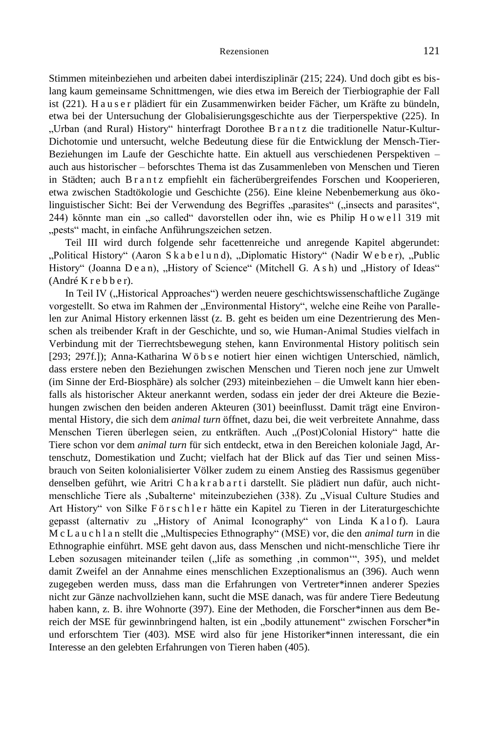Stimmen miteinbeziehen und arbeiten dabei interdisziplinär (215; 224). Und doch gibt es bislang kaum gemeinsame Schnittmengen, wie dies etwa im Bereich der Tierbiographie der Fall ist (221). H a u s e r plädiert für ein Zusammenwirken beider Fächer, um Kräfte zu bündeln, etwa bei der Untersuchung der Globalisierungsgeschichte aus der Tierperspektive (225). In "Urban (and Rural) History" hinterfragt Dorothee B r a n t z die traditionelle Natur-Kultur-Dichotomie und untersucht, welche Bedeutung diese für die Entwicklung der Mensch-Tier-Beziehungen im Laufe der Geschichte hatte. Ein aktuell aus verschiedenen Perspektiven – auch aus historischer – beforschtes Thema ist das Zusammenleben von Menschen und Tieren in Städten; auch B r a n t z empfiehlt ein fächerübergreifendes Forschen und Kooperieren, etwa zwischen Stadtökologie und Geschichte (256). Eine kleine Nebenbemerkung aus ökolinguistischer Sicht: Bei der Verwendung des Begriffes "parasites" ("insects and parasites", 244) könnte man ein "so called" davorstellen oder ihn, wie es Philip H o w e l l 319 mit "pests" macht, in einfache Anführungszeichen setzen.

Teil III wird durch folgende sehr facettenreiche und anregende Kapitel abgerundet: "Political History" (Aaron Sk a b e l u n d), "Diplomatic History" (Nadir W e b e r), "Public History" (Joanna De a n), "History of Science" (Mitchell G. As h) und "History of Ideas" (André K r e b b e r).

In Teil IV ("Historical Approaches") werden neuere geschichtswissenschaftliche Zugänge vorgestellt. So etwa im Rahmen der "Environmental History", welche eine Reihe von Parallelen zur Animal History erkennen lässt (z. B. geht es beiden um eine Dezentrierung des Menschen als treibender Kraft in der Geschichte, und so, wie Human-Animal Studies vielfach in Verbindung mit der Tierrechtsbewegung stehen, kann Environmental History politisch sein [293; 297f.]); Anna-Katharina W ö b s e notiert hier einen wichtigen Unterschied, nämlich, dass erstere neben den Beziehungen zwischen Menschen und Tieren noch jene zur Umwelt (im Sinne der Erd-Biosphäre) als solcher (293) miteinbeziehen – die Umwelt kann hier ebenfalls als historischer Akteur anerkannt werden, sodass ein jeder der drei Akteure die Beziehungen zwischen den beiden anderen Akteuren (301) beeinflusst. Damit trägt eine Environmental History, die sich dem *animal turn* öffnet, dazu bei, die weit verbreitete Annahme, dass Menschen Tieren überlegen seien, zu entkräften. Auch "(Post)Colonial History" hatte die Tiere schon vor dem *animal turn* für sich entdeckt, etwa in den Bereichen koloniale Jagd, Artenschutz, Domestikation und Zucht; vielfach hat der Blick auf das Tier und seinen Missbrauch von Seiten kolonialisierter Völker zudem zu einem Anstieg des Rassismus gegenüber denselben geführt, wie Aritri Chakrabarti darstellt. Sie plädiert nun dafür, auch nichtmenschliche Tiere als 'Subalterne' miteinzubeziehen (338). Zu "Visual Culture Studies and Art History" von Silke F ö r s c h l e r hätte ein Kapitel zu Tieren in der Literaturgeschichte gepasst (alternativ zu "History of Animal Iconography" von Linda K a l o f). Laura M c L a u c h l a n stellt die "Multispecies Ethnography" (MSE) vor, die den *animal turn* in die Ethnographie einführt. MSE geht davon aus, dass Menschen und nicht-menschliche Tiere ihr Leben sozusagen miteinander teilen ("life as something ,in common", 395), und meldet damit Zweifel an der Annahme eines menschlichen Exzeptionalismus an (396). Auch wenn zugegeben werden muss, dass man die Erfahrungen von Vertreter\*innen anderer Spezies nicht zur Gänze nachvollziehen kann, sucht die MSE danach, was für andere Tiere Bedeutung haben kann, z. B. ihre Wohnorte (397). Eine der Methoden, die Forscher\*innen aus dem Bereich der MSE für gewinnbringend halten, ist ein "bodily attunement" zwischen Forscher\*in und erforschtem Tier (403). MSE wird also für jene Historiker\*innen interessant, die ein Interesse an den gelebten Erfahrungen von Tieren haben (405).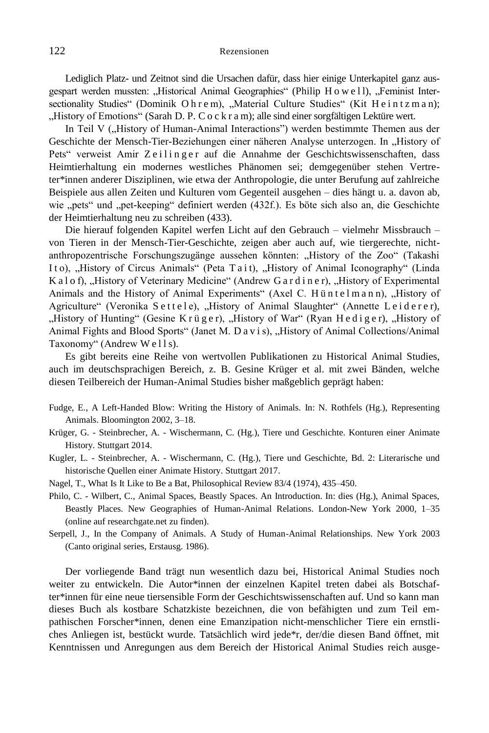Lediglich Platz- und Zeitnot sind die Ursachen dafür, dass hier einige Unterkapitel ganz ausgespart werden mussten: "Historical Animal Geographies" (Philip H o w e l l), "Feminist Intersectionality Studies" (Dominik Ohrem), "Material Culture Studies" (Kit Heintzman); "History of Emotions" (Sarah D. P. C o c k r a m); alle sind einer sorgfältigen Lektüre wert.

In Teil V ("History of Human-Animal Interactions") werden bestimmte Themen aus der Geschichte der Mensch-Tier-Beziehungen einer näheren Analyse unterzogen. In "History of Pets" verweist Amir Zeilinger auf die Annahme der Geschichtswissenschaften, dass Heimtierhaltung ein modernes westliches Phänomen sei; demgegenüber stehen Vertreter\*innen anderer Disziplinen, wie etwa der Anthropologie, die unter Berufung auf zahlreiche Beispiele aus allen Zeiten und Kulturen vom Gegenteil ausgehen – dies hängt u. a. davon ab, wie "pets" und "pet-keeping" definiert werden (432f.). Es böte sich also an, die Geschichte der Heimtierhaltung neu zu schreiben (433).

Die hierauf folgenden Kapitel werfen Licht auf den Gebrauch – vielmehr Missbrauch – von Tieren in der Mensch-Tier-Geschichte, zeigen aber auch auf, wie tiergerechte, nichtanthropozentrische Forschungszugänge aussehen könnten: "History of the Zoo" (Takashi Ito), "History of Circus Animals" (Peta Tait), "History of Animal Iconography" (Linda K a l o f), "History of Veterinary Medicine" (Andrew G a r d i n e r), "History of Experimental Animals and the History of Animal Experiments" (Axel C. Hüntelmann), "History of Agriculture" (Veronika Settele), "History of Animal Slaughter" (Annette Leiderer),  $H$  History of Hunting" (Gesine K r ü g e r),  $H$  History of War" (Ryan H e d i g e r),  $H$  History of Animal Fights and Blood Sports" (Janet M. D a v i s), "History of Animal Collections/Animal Taxonomy" (Andrew Wells).

Es gibt bereits eine Reihe von wertvollen Publikationen zu Historical Animal Studies, auch im deutschsprachigen Bereich, z. B. Gesine Krüger et al. mit zwei Bänden, welche diesen Teilbereich der Human-Animal Studies bisher maßgeblich geprägt haben:

- Fudge, E., A Left-Handed Blow: Writing the History of Animals. In: N. Rothfels (Hg.), Representing Animals. Bloomington 2002, 3–18.
- Krüger, G. Steinbrecher, A. Wischermann, C. (Hg.), Tiere und Geschichte. Konturen einer Animate History. Stuttgart 2014.
- [Kugler, L.](https://elibrary.steiner-verlag.de/search?facet%5Bauthors_path%5D=K%401%7CKugler%2C+Lena%400) [Steinbrecher, A.](https://elibrary.steiner-verlag.de/search?facet%5Bauthors_path%5D=S%401%7CSteinbrecher%2C+Aline%400) [Wischermann, C. \(Hg.\),](https://elibrary.steiner-verlag.de/search?facet%5Bauthors_path%5D=W%401%7CWischermann%2C+Clemens%400) Tiere und Geschichte, Bd. 2: Literarische und historische Quellen einer Animate History. Stuttgart 2017.
- Nagel, T., What Is It Like to Be a Bat, Philosophical Review 83/4 (1974), 435–450.
- Philo, C. Wilbert, C., Animal Spaces, Beastly Spaces. An Introduction. In: dies (Hg.), Animal Spaces, Beastly Places. New Geographies of Human-Animal Relations. London-New York 2000, 1–35 (online auf researchgate.net zu finden).
- Serpell, J., In the Company of Animals. A Study of Human-Animal Relationships. New York 2003 (Canto original series, Erstausg. 1986).

Der vorliegende Band trägt nun wesentlich dazu bei, Historical Animal Studies noch weiter zu entwickeln. Die Autor\*innen der einzelnen Kapitel treten dabei als Botschafter\*innen für eine neue tiersensible Form der Geschichtswissenschaften auf. Und so kann man dieses Buch als kostbare Schatzkiste bezeichnen, die von befähigten und zum Teil empathischen Forscher\*innen, denen eine Emanzipation nicht-menschlicher Tiere ein ernstliches Anliegen ist, bestückt wurde. Tatsächlich wird jede\*r, der/die diesen Band öffnet, mit Kenntnissen und Anregungen aus dem Bereich der Historical Animal Studies reich ausge-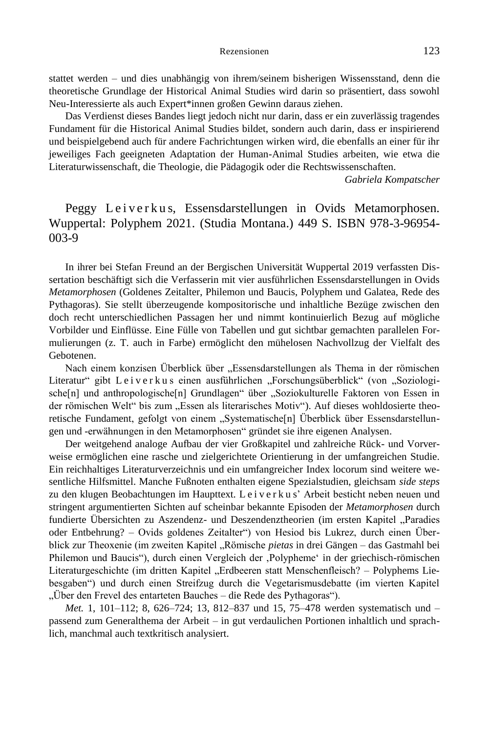stattet werden – und dies unabhängig von ihrem/seinem bisherigen Wissensstand, denn die theoretische Grundlage der Historical Animal Studies wird darin so präsentiert, dass sowohl Neu-Interessierte als auch Expert\*innen großen Gewinn daraus ziehen.

Das Verdienst dieses Bandes liegt jedoch nicht nur darin, dass er ein zuverlässig tragendes Fundament für die Historical Animal Studies bildet, sondern auch darin, dass er inspirierend und beispielgebend auch für andere Fachrichtungen wirken wird, die ebenfalls an einer für ihr jeweiliges Fach geeigneten Adaptation der Human-Animal Studies arbeiten, wie etwa die Literaturwissenschaft, die Theologie, die Pädagogik oder die Rechtswissenschaften.

*Gabriela Kompatscher*

# Peggy Leiverkus, Essensdarstellungen in Ovids Metamorphosen. Wuppertal: Polyphem 2021. (Studia Montana.) 449 S. ISBN 978-3-96954- 003-9

In ihrer bei Stefan Freund an der Bergischen Universität Wuppertal 2019 verfassten Dissertation beschäftigt sich die Verfasserin mit vier ausführlichen Essensdarstellungen in Ovids *Metamorphosen* (Goldenes Zeitalter, Philemon und Baucis, Polyphem und Galatea, Rede des Pythagoras). Sie stellt überzeugende kompositorische und inhaltliche Bezüge zwischen den doch recht unterschiedlichen Passagen her und nimmt kontinuierlich Bezug auf mögliche Vorbilder und Einflüsse. Eine Fülle von Tabellen und gut sichtbar gemachten parallelen Formulierungen (z. T. auch in Farbe) ermöglicht den mühelosen Nachvollzug der Vielfalt des Gebotenen.

Nach einem konzisen Überblick über "Essensdarstellungen als Thema in der römischen Literatur" gibt Leiverkus einen ausführlichen "Forschungsüberblick" (von "Soziologische[n] und anthropologische[n] Grundlagen" über "Soziokulturelle Faktoren von Essen in der römischen Welt" bis zum "Essen als literarisches Motiv"). Auf dieses wohldosierte theoretische Fundament, gefolgt von einem "Systematische[n] Überblick über Essensdarstellungen und -erwähnungen in den Metamorphosen" gründet sie ihre eigenen Analysen.

Der weitgehend analoge Aufbau der vier Großkapitel und zahlreiche Rück- und Vorverweise ermöglichen eine rasche und zielgerichtete Orientierung in der umfangreichen Studie. Ein reichhaltiges Literaturverzeichnis und ein umfangreicher Index locorum sind weitere wesentliche Hilfsmittel. Manche Fußnoten enthalten eigene Spezialstudien, gleichsam *side steps* zu den klugen Beobachtungen im Haupttext. L e i v e r k u s' Arbeit besticht neben neuen und stringent argumentierten Sichten auf scheinbar bekannte Episoden der *Metamorphosen* durch fundierte Übersichten zu Aszendenz- und Deszendenztheorien (im ersten Kapitel "Paradies oder Entbehrung? – Ovids goldenes Zeitalter") von Hesiod bis Lukrez, durch einen Überblick zur Theoxenie (im zweiten Kapitel "Römische *pietas* in drei Gängen – das Gastmahl bei Philemon und Baucis"), durch einen Vergleich der "Polypheme' in der griechisch-römischen Literaturgeschichte (im dritten Kapitel "Erdbeeren statt Menschenfleisch? – Polyphems Liebesgaben") und durch einen Streifzug durch die Vegetarismusdebatte (im vierten Kapitel "Über den Frevel des entarteten Bauches – die Rede des Pythagoras").

*Met.* 1, 101–112; 8, 626–724; 13, 812–837 und 15, 75–478 werden systematisch und – passend zum Generalthema der Arbeit – in gut verdaulichen Portionen inhaltlich und sprachlich, manchmal auch textkritisch analysiert.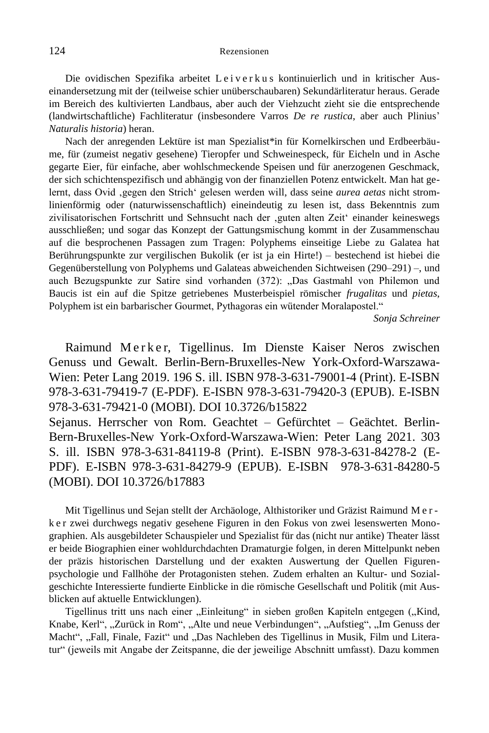Die ovidischen Spezifika arbeitet L e i v e r k u s kontinuierlich und in kritischer Auseinandersetzung mit der (teilweise schier unüberschaubaren) Sekundärliteratur heraus. Gerade im Bereich des kultivierten Landbaus, aber auch der Viehzucht zieht sie die entsprechende (landwirtschaftliche) Fachliteratur (insbesondere Varros *De re rustica*, aber auch Plinius' *Naturalis historia*) heran.

Nach der anregenden Lektüre ist man Spezialist\*in für Kornelkirschen und Erdbeerbäume, für (zumeist negativ gesehene) Tieropfer und Schweinespeck, für Eicheln und in Asche gegarte Eier, für einfache, aber wohlschmeckende Speisen und für anerzogenen Geschmack, der sich schichtenspezifisch und abhängig von der finanziellen Potenz entwickelt. Man hat gelernt, dass Ovid 'gegen den Strich' gelesen werden will, dass seine *aurea aetas* nicht stromlinienförmig oder (naturwissenschaftlich) eineindeutig zu lesen ist, dass Bekenntnis zum zivilisatorischen Fortschritt und Sehnsucht nach der 'guten alten Zeit' einander keineswegs ausschließen; und sogar das Konzept der Gattungsmischung kommt in der Zusammenschau auf die besprochenen Passagen zum Tragen: Polyphems einseitige Liebe zu Galatea hat Berührungspunkte zur vergilischen Bukolik (er ist ja ein Hirte!) – bestechend ist hiebei die Gegenüberstellung von Polyphems und Galateas abweichenden Sichtweisen (290–291) –, und auch Bezugspunkte zur Satire sind vorhanden (372): "Das Gastmahl von Philemon und Baucis ist ein auf die Spitze getriebenes Musterbeispiel römischer *frugalitas* und *pietas*, Polyphem ist ein barbarischer Gourmet, Pythagoras ein wütender Moralapostel."

*Sonja Schreiner*

Raimund Merker, Tigellinus. Im Dienste Kaiser Neros zwischen Genuss und Gewalt. Berlin-Bern-Bruxelles-New York-Oxford-Warszawa-Wien: Peter Lang 2019. 196 S. ill. ISBN 978-3-631-79001-4 (Print). E-ISBN 978-3-631-79419-7 (E-PDF). E-ISBN 978-3-631-79420-3 (EPUB). E-ISBN 978-3-631-79421-0 (MOBI). DOI 10.3726/b15822

Sejanus. Herrscher von Rom. Geachtet – Gefürchtet – Geächtet. Berlin-Bern-Bruxelles-New York-Oxford-Warszawa-Wien: Peter Lang 2021. 303 S. ill. ISBN 978-3-631-84119-8 (Print). E-ISBN 978-3-631-84278-2 (E-PDF). E-ISBN 978-3-631-84279-9 (EPUB). E-ISBN 978-3-631-84280-5 (MOBI). DOI 10.3726/b17883

Mit Tigellinus und Sejan stellt der Archäologe, Althistoriker und Gräzist Raimund M e r k e r zwei durchwegs negativ gesehene Figuren in den Fokus von zwei lesenswerten Monographien. Als ausgebildeter Schauspieler und Spezialist für das (nicht nur antike) Theater lässt er beide Biographien einer wohldurchdachten Dramaturgie folgen, in deren Mittelpunkt neben der präzis historischen Darstellung und der exakten Auswertung der Quellen Figurenpsychologie und Fallhöhe der Protagonisten stehen. Zudem erhalten an Kultur- und Sozialgeschichte Interessierte fundierte Einblicke in die römische Gesellschaft und Politik (mit Ausblicken auf aktuelle Entwicklungen).

Tigellinus tritt uns nach einer "Einleitung" in sieben großen Kapiteln entgegen ("Kind, Knabe, Kerl", "Zurück in Rom", "Alte und neue Verbindungen", "Aufstieg", "Im Genuss der Macht", "Fall, Finale, Fazit" und "Das Nachleben des Tigellinus in Musik, Film und Literatur" (jeweils mit Angabe der Zeitspanne, die der jeweilige Abschnitt umfasst). Dazu kommen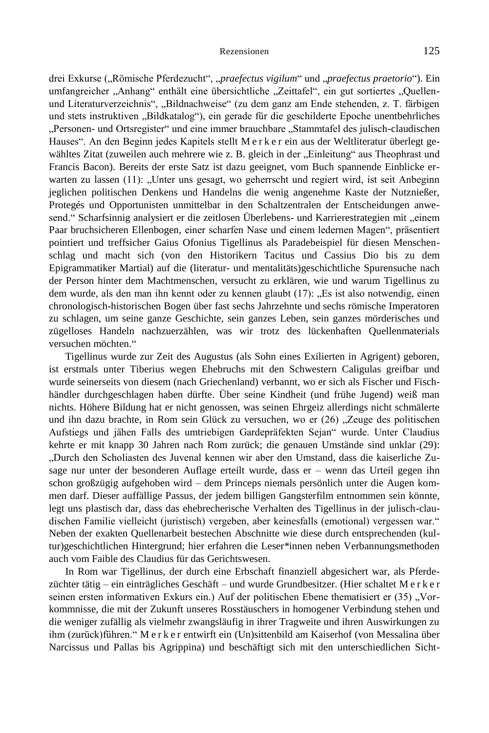drei Exkurse ("Römische Pferdezucht", "praefectus vigilum" und "praefectus praetorio"). Ein umfangreicher "Anhang" enthält eine übersichtliche "Zeittafel", ein gut sortiertes "Quellenund Literaturverzeichnis", "Bildnachweise" (zu dem ganz am Ende stehenden, z. T. färbigen

und stets instruktiven "Bildkatalog"), ein gerade für die geschilderte Epoche unentbehrliches "Personen- und Ortsregister" und eine immer brauchbare "Stammtafel des julisch-claudischen Hauses". An den Beginn jedes Kapitels stellt M e r k e r ein aus der Weltliteratur überlegt gewähltes Zitat (zuweilen auch mehrere wie z. B. gleich in der "Einleitung" aus Theophrast und Francis Bacon). Bereits der erste Satz ist dazu geeignet, vom Buch spannende Einblicke erwarten zu lassen (11): "Unter uns gesagt, wo geherrscht und regiert wird, ist seit Anbeginn jeglichen politischen Denkens und Handelns die wenig angenehme Kaste der Nutznießer, Protegés und Opportunisten unmittelbar in den Schaltzentralen der Entscheidungen anwesend." Scharfsinnig analysiert er die zeitlosen Überlebens- und Karrierestrategien mit "einem Paar bruchsicheren Ellenbogen, einer scharfen Nase und einem ledernen Magen", präsentiert pointiert und treffsicher Gaius Ofonius Tigellinus als Paradebeispiel für diesen Menschenschlag und macht sich (von den Historikern Tacitus und Cassius Dio bis zu dem Epigrammatiker Martial) auf die (literatur- und mentalitäts)geschichtliche Spurensuche nach der Person hinter dem Machtmenschen, versucht zu erklären, wie und warum Tigellinus zu dem wurde, als den man ihn kennt oder zu kennen glaubt (17): "Es ist also notwendig, einen chronologisch-historischen Bogen über fast sechs Jahrzehnte und sechs römische Imperatoren zu schlagen, um seine ganze Geschichte, sein ganzes Leben, sein ganzes mörderisches und zügelloses Handeln nachzuerzählen, was wir trotz des lückenhaften Quellenmaterials versuchen möchten."

Tigellinus wurde zur Zeit des Augustus (als Sohn eines Exilierten in Agrigent) geboren, ist erstmals unter Tiberius wegen Ehebruchs mit den Schwestern Caligulas greifbar und wurde seinerseits von diesem (nach Griechenland) verbannt, wo er sich als Fischer und Fischhändler durchgeschlagen haben dürfte. Über seine Kindheit (und frühe Jugend) weiß man nichts. Höhere Bildung hat er nicht genossen, was seinen Ehrgeiz allerdings nicht schmälerte und ihn dazu brachte, in Rom sein Glück zu versuchen, wo er  $(26)$  . Zeuge des politischen Aufstiegs und jähen Falls des umtriebigen Gardepräfekten Sejan" wurde. Unter Claudius kehrte er mit knapp 30 Jahren nach Rom zurück; die genauen Umstände sind unklar (29): "Durch den Scholiasten des Juvenal kennen wir aber den Umstand, dass die kaiserliche Zusage nur unter der besonderen Auflage erteilt wurde, dass er – wenn das Urteil gegen ihn schon großzügig aufgehoben wird – dem Princeps niemals persönlich unter die Augen kommen darf. Dieser auffällige Passus, der jedem billigen Gangsterfilm entnommen sein könnte, legt uns plastisch dar, dass das ehebrecherische Verhalten des Tigellinus in der julisch-claudischen Familie vielleicht (juristisch) vergeben, aber keinesfalls (emotional) vergessen war." Neben der exakten Quellenarbeit bestechen Abschnitte wie diese durch entsprechenden (kultur)geschichtlichen Hintergrund; hier erfahren die Leser\*innen neben Verbannungsmethoden auch vom Faible des Claudius für das Gerichtswesen.

In Rom war Tigellinus, der durch eine Erbschaft finanziell abgesichert war, als Pferdezüchter tätig – ein einträgliches Geschäft – und wurde Grundbesitzer. (Hier schaltet M e r k e r seinen ersten informativen Exkurs ein.) Auf der politischen Ebene thematisiert er (35) "Vorkommnisse, die mit der Zukunft unseres Rosstäuschers in homogener Verbindung stehen und die weniger zufällig als vielmehr zwangsläufig in ihrer Tragweite und ihren Auswirkungen zu ihm (zurück)führen." M e r k e r entwirft ein (Un)sittenbild am Kaiserhof (von Messalina über Narcissus und Pallas bis Agrippina) und beschäftigt sich mit den unterschiedlichen Sicht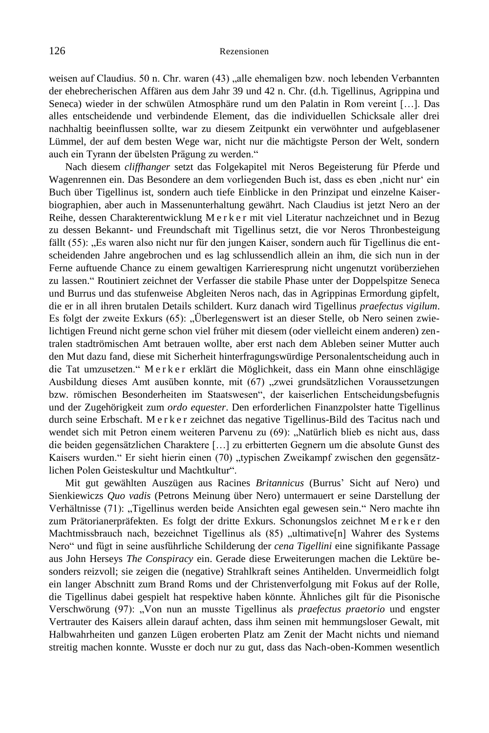weisen auf Claudius. 50 n. Chr. waren (43) "alle ehemaligen bzw. noch lebenden Verbannten der ehebrecherischen Affären aus dem Jahr 39 und 42 n. Chr. (d.h. Tigellinus, Agrippina und Seneca) wieder in der schwülen Atmosphäre rund um den Palatin in Rom vereint […]. Das alles entscheidende und verbindende Element, das die individuellen Schicksale aller drei nachhaltig beeinflussen sollte, war zu diesem Zeitpunkt ein verwöhnter und aufgeblasener Lümmel, der auf dem besten Wege war, nicht nur die mächtigste Person der Welt, sondern auch ein Tyrann der übelsten Prägung zu werden."

Nach diesem *cliffhanger* setzt das Folgekapitel mit Neros Begeisterung für Pferde und Wagenrennen ein. Das Besondere an dem vorliegenden Buch ist, dass es eben ,nicht nur' ein Buch über Tigellinus ist, sondern auch tiefe Einblicke in den Prinzipat und einzelne Kaiserbiographien, aber auch in Massenunterhaltung gewährt. Nach Claudius ist jetzt Nero an der Reihe, dessen Charakterentwicklung M e r k e r mit viel Literatur nachzeichnet und in Bezug zu dessen Bekannt- und Freundschaft mit Tigellinus setzt, die vor Neros Thronbesteigung fällt (55): "Es waren also nicht nur für den jungen Kaiser, sondern auch für Tigellinus die entscheidenden Jahre angebrochen und es lag schlussendlich allein an ihm, die sich nun in der Ferne auftuende Chance zu einem gewaltigen Karrieresprung nicht ungenutzt vorüberziehen zu lassen." Routiniert zeichnet der Verfasser die stabile Phase unter der Doppelspitze Seneca und Burrus und das stufenweise Abgleiten Neros nach, das in Agrippinas Ermordung gipfelt, die er in all ihren brutalen Details schildert. Kurz danach wird Tigellinus *praefectus vigilum*. Es folgt der zweite Exkurs (65): "Überlegenswert ist an dieser Stelle, ob Nero seinen zwielichtigen Freund nicht gerne schon viel früher mit diesem (oder vielleicht einem anderen) zentralen stadtrömischen Amt betrauen wollte, aber erst nach dem Ableben seiner Mutter auch den Mut dazu fand, diese mit Sicherheit hinterfragungswürdige Personalentscheidung auch in die Tat umzusetzen." M e r k e r erklärt die Möglichkeit, dass ein Mann ohne einschlägige Ausbildung dieses Amt ausüben konnte, mit (67) "zwei grundsätzlichen Voraussetzungen bzw. römischen Besonderheiten im Staatswesen", der kaiserlichen Entscheidungsbefugnis und der Zugehörigkeit zum *ordo equester*. Den erforderlichen Finanzpolster hatte Tigellinus durch seine Erbschaft. M e r k e r zeichnet das negative Tigellinus-Bild des Tacitus nach und wendet sich mit Petron einem weiteren Parvenu zu (69): "Natürlich blieb es nicht aus, dass die beiden gegensätzlichen Charaktere […] zu erbitterten Gegnern um die absolute Gunst des Kaisers wurden." Er sieht hierin einen (70) "typischen Zweikampf zwischen den gegensätzlichen Polen Geisteskultur und Machtkultur".

Mit gut gewählten Auszügen aus Racines *Britannicus* (Burrus' Sicht auf Nero) und Sienkiewiczs *Quo vadis* (Petrons Meinung über Nero) untermauert er seine Darstellung der Verhältnisse (71): "Tigellinus werden beide Ansichten egal gewesen sein." Nero machte ihn zum Prätorianerpräfekten. Es folgt der dritte Exkurs. Schonungslos zeichnet M e r k e r den Machtmissbrauch nach, bezeichnet Tigellinus als (85) "ultimative[n] Wahrer des Systems Nero" und fügt in seine ausführliche Schilderung der *cena Tigellini* eine signifikante Passage aus John Herseys *The Conspiracy* ein. Gerade diese Erweiterungen machen die Lektüre besonders reizvoll; sie zeigen die (negative) Strahlkraft seines Antihelden. Unvermeidlich folgt ein langer Abschnitt zum Brand Roms und der Christenverfolgung mit Fokus auf der Rolle, die Tigellinus dabei gespielt hat respektive haben könnte. Ähnliches gilt für die Pisonische Verschwörung (97): "Von nun an musste Tigellinus als *praefectus praetorio* und engster Vertrauter des Kaisers allein darauf achten, dass ihm seinen mit hemmungsloser Gewalt, mit Halbwahrheiten und ganzen Lügen eroberten Platz am Zenit der Macht nichts und niemand streitig machen konnte. Wusste er doch nur zu gut, dass das Nach-oben-Kommen wesentlich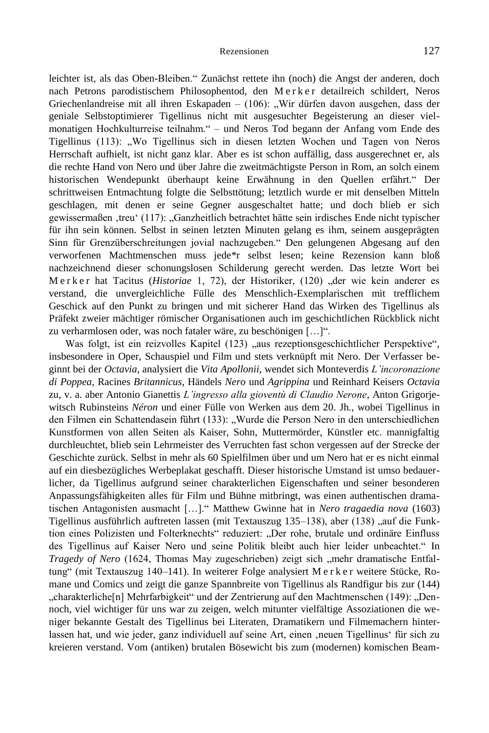leichter ist, als das Oben-Bleiben." Zunächst rettete ihn (noch) die Angst der anderen, doch nach Petrons parodistischem Philosophentod, den Merker detailreich schildert, Neros Griechenlandreise mit all ihren Eskapaden  $-$  (106): "Wir dürfen davon ausgehen, dass der geniale Selbstoptimierer Tigellinus nicht mit ausgesuchter Begeisterung an dieser vielmonatigen Hochkulturreise teilnahm." – und Neros Tod begann der Anfang vom Ende des Tigellinus (113): "Wo Tigellinus sich in diesen letzten Wochen und Tagen von Neros Herrschaft aufhielt, ist nicht ganz klar. Aber es ist schon auffällig, dass ausgerechnet er, als die rechte Hand von Nero und über Jahre die zweitmächtigste Person in Rom, an solch einem historischen Wendepunkt überhaupt keine Erwähnung in den Quellen erfährt." Der schrittweisen Entmachtung folgte die Selbsttötung; letztlich wurde er mit denselben Mitteln geschlagen, mit denen er seine Gegner ausgeschaltet hatte; und doch blieb er sich gewissermaßen ,treu' (117): "Ganzheitlich betrachtet hätte sein irdisches Ende nicht typischer für ihn sein können. Selbst in seinen letzten Minuten gelang es ihm, seinem ausgeprägten Sinn für Grenzüberschreitungen jovial nachzugeben." Den gelungenen Abgesang auf den verworfenen Machtmenschen muss jede\*r selbst lesen; keine Rezension kann bloß nachzeichnend dieser schonungslosen Schilderung gerecht werden. Das letzte Wort bei M e r k e r hat Tacitus (*Historiae* 1, 72), der Historiker, (120) "der wie kein anderer es verstand, die unvergleichliche Fülle des Menschlich-Exemplarischen mit trefflichem Geschick auf den Punkt zu bringen und mit sicherer Hand das Wirken des Tigellinus als Präfekt zweier mächtiger römischer Organisationen auch im geschichtlichen Rückblick nicht zu verharmlosen oder, was noch fataler wäre, zu beschönigen […]".

Was folgt, ist ein reizvolles Kapitel (123) "aus rezeptionsgeschichtlicher Perspektive", insbesondere in Oper, Schauspiel und Film und stets verknüpft mit Nero. Der Verfasser beginnt bei der *Octavia*, analysiert die *Vita Apollonii*, wendet sich Monteverdis *L'incoronazione di Poppea,* Racines *Britannicus*, Händels *Nero* und *Agrippina* und Reinhard Keisers *Octavia*  zu, v. a. aber Antonio Gianettis *L'ingresso alla gioventù di Claudio Nerone*, Anton Grigorjewitsch Rubinsteins *Néron* und einer Fülle von Werken aus dem 20. Jh., wobei Tigellinus in den Filmen ein Schattendasein führt (133): "Wurde die Person Nero in den unterschiedlichen Kunstformen von allen Seiten als Kaiser, Sohn, Muttermörder, Künstler etc. mannigfaltig durchleuchtet, blieb sein Lehrmeister des Verruchten fast schon vergessen auf der Strecke der Geschichte zurück. Selbst in mehr als 60 Spielfilmen über und um Nero hat er es nicht einmal auf ein diesbezügliches Werbeplakat geschafft. Dieser historische Umstand ist umso bedauerlicher, da Tigellinus aufgrund seiner charakterlichen Eigenschaften und seiner besonderen Anpassungsfähigkeiten alles für Film und Bühne mitbringt, was einen authentischen dramatischen Antagonisten ausmacht […]." Matthew Gwinne hat in *Nero tragaedia nova* (1603) Tigellinus ausführlich auftreten lassen (mit Textauszug 135–138), aber (138) "auf die Funktion eines Polizisten und Folterknechts" reduziert: "Der rohe, brutale und ordinäre Einfluss des Tigellinus auf Kaiser Nero und seine Politik bleibt auch hier leider unbeachtet." In *Tragedy of Nero* (1624, Thomas May zugeschrieben) zeigt sich "mehr dramatische Entfaltung" (mit Textauszug 140–141). In weiterer Folge analysiert M e r k e r weitere Stücke, Romane und Comics und zeigt die ganze Spannbreite von Tigellinus als Randfigur bis zur (144) "charakterliche[n] Mehrfarbigkeit" und der Zentrierung auf den Machtmenschen (149): "Dennoch, viel wichtiger für uns war zu zeigen, welch mitunter vielfältige Assoziationen die weniger bekannte Gestalt des Tigellinus bei Literaten, Dramatikern und Filmemachern hinterlassen hat, und wie jeder, ganz individuell auf seine Art, einen ,neuen Tigellinus' für sich zu kreieren verstand. Vom (antiken) brutalen Bösewicht bis zum (modernen) komischen Beam-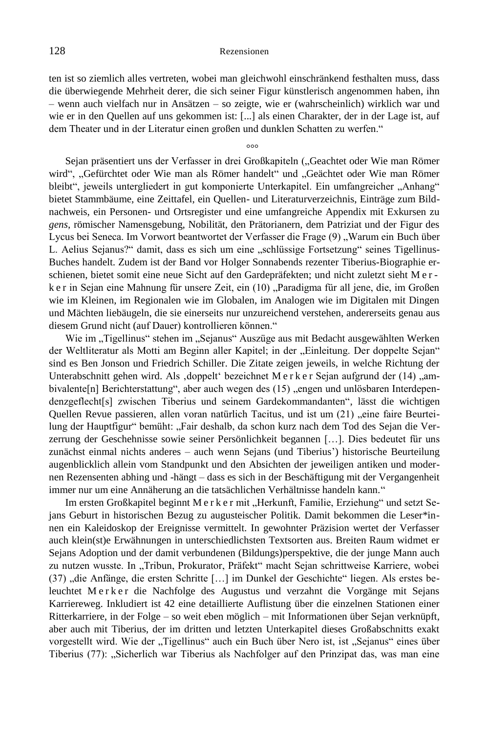ten ist so ziemlich alles vertreten, wobei man gleichwohl einschränkend festhalten muss, dass die überwiegende Mehrheit derer, die sich seiner Figur künstlerisch angenommen haben, ihn – wenn auch vielfach nur in Ansätzen – so zeigte, wie er (wahrscheinlich) wirklich war und wie er in den Quellen auf uns gekommen ist: [...] als einen Charakter, der in der Lage ist, auf dem Theater und in der Literatur einen großen und dunklen Schatten zu werfen."

 $^{\circ}$ 

Sejan präsentiert uns der Verfasser in drei Großkapiteln ("Geachtet oder Wie man Römer wird", "Gefürchtet oder Wie man als Römer handelt" und "Geächtet oder Wie man Römer bleibt", jeweils untergliedert in gut komponierte Unterkapitel. Ein umfangreicher "Anhang" bietet Stammbäume, eine Zeittafel, ein Quellen- und Literaturverzeichnis, Einträge zum Bildnachweis, ein Personen- und Ortsregister und eine umfangreiche Appendix mit Exkursen zu *gens*, römischer Namensgebung, Nobilität, den Prätorianern, dem Patriziat und der Figur des Lycus bei Seneca. Im Vorwort beantwortet der Verfasser die Frage (9) "Warum ein Buch über L. Aelius Sejanus?" damit, dass es sich um eine "schlüssige Fortsetzung" seines Tigellinus-Buches handelt. Zudem ist der Band vor Holger Sonnabends rezenter Tiberius-Biographie erschienen, bietet somit eine neue Sicht auf den Gardepräfekten; und nicht zuletzt sieht M e r k e r in Sejan eine Mahnung für unsere Zeit, ein (10) "Paradigma für all jene, die, im Großen wie im Kleinen, im Regionalen wie im Globalen, im Analogen wie im Digitalen mit Dingen und Mächten liebäugeln, die sie einerseits nur unzureichend verstehen, andererseits genau aus diesem Grund nicht (auf Dauer) kontrollieren können."

Wie im "Tigellinus" stehen im "Sejanus" Auszüge aus mit Bedacht ausgewählten Werken der Weltliteratur als Motti am Beginn aller Kapitel; in der "Einleitung. Der doppelte Sejan" sind es Ben Jonson und Friedrich Schiller. Die Zitate zeigen jeweils, in welche Richtung der Unterabschnitt gehen wird. Als ,doppelt' bezeichnet M e r k e r Sejan aufgrund der (14) "ambivalente[n] Berichterstattung", aber auch wegen des (15) "engen und unlösbaren Interdependenzgeflecht[s] zwischen Tiberius und seinem Gardekommandanten", lässt die wichtigen Quellen Revue passieren, allen voran natürlich Tacitus, und ist um  $(21)$ , eine faire Beurteilung der Hauptfigur" bemüht: "Fair deshalb, da schon kurz nach dem Tod des Sejan die Verzerrung der Geschehnisse sowie seiner Persönlichkeit begannen […]. Dies bedeutet für uns zunächst einmal nichts anderes – auch wenn Sejans (und Tiberius') historische Beurteilung augenblicklich allein vom Standpunkt und den Absichten der jeweiligen antiken und modernen Rezensenten abhing und -hängt – dass es sich in der Beschäftigung mit der Vergangenheit immer nur um eine Annäherung an die tatsächlichen Verhältnisse handeln kann."

Im ersten Großkapitel beginnt M e r k e r mit "Herkunft, Familie, Erziehung" und setzt Sejans Geburt in historischen Bezug zu augusteischer Politik. Damit bekommen die Leser\*innen ein Kaleidoskop der Ereignisse vermittelt. In gewohnter Präzision wertet der Verfasser auch klein(st)e Erwähnungen in unterschiedlichsten Textsorten aus. Breiten Raum widmet er Sejans Adoption und der damit verbundenen (Bildungs)perspektive, die der junge Mann auch zu nutzen wusste. In "Tribun, Prokurator, Präfekt" macht Sejan schrittweise Karriere, wobei (37) "die Anfänge, die ersten Schritte […] im Dunkel der Geschichte" liegen. Als erstes beleuchtet Merker die Nachfolge des Augustus und verzahnt die Vorgänge mit Sejans Karriereweg. Inkludiert ist 42 eine detaillierte Auflistung über die einzelnen Stationen einer Ritterkarriere, in der Folge – so weit eben möglich – mit Informationen über Sejan verknüpft, aber auch mit Tiberius, der im dritten und letzten Unterkapitel dieses Großabschnitts exakt vorgestellt wird. Wie der "Tigellinus" auch ein Buch über Nero ist, ist "Sejanus" eines über Tiberius (77): "Sicherlich war Tiberius als Nachfolger auf den Prinzipat das, was man eine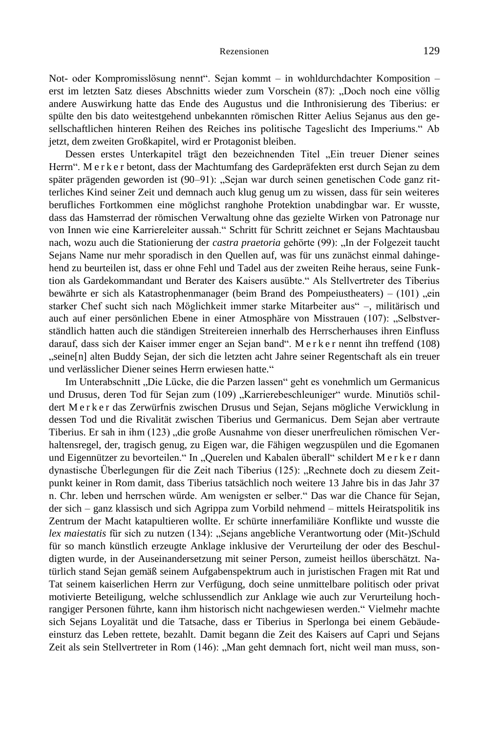Not- oder Kompromisslösung nennt". Sejan kommt – in wohldurchdachter Komposition – erst im letzten Satz dieses Abschnitts wieder zum Vorschein (87): "Doch noch eine völlig andere Auswirkung hatte das Ende des Augustus und die Inthronisierung des Tiberius: er spülte den bis dato weitestgehend unbekannten römischen Ritter Aelius Sejanus aus den gesellschaftlichen hinteren Reihen des Reiches ins politische Tageslicht des Imperiums." Ab jetzt, dem zweiten Großkapitel, wird er Protagonist bleiben.

Dessen erstes Unterkapitel trägt den bezeichnenden Titel "Ein treuer Diener seines Herrn". M e r k e r betont, dass der Machtumfang des Gardepräfekten erst durch Sejan zu dem später prägenden geworden ist (90–91): "Sejan war durch seinen genetischen Code ganz ritterliches Kind seiner Zeit und demnach auch klug genug um zu wissen, dass für sein weiteres berufliches Fortkommen eine möglichst ranghohe Protektion unabdingbar war. Er wusste, dass das Hamsterrad der römischen Verwaltung ohne das gezielte Wirken von Patronage nur von Innen wie eine Karriereleiter aussah." Schritt für Schritt zeichnet er Sejans Machtausbau nach, wozu auch die Stationierung der *castra praetoria* gehörte (99): "In der Folgezeit taucht Sejans Name nur mehr sporadisch in den Quellen auf, was für uns zunächst einmal dahingehend zu beurteilen ist, dass er ohne Fehl und Tadel aus der zweiten Reihe heraus, seine Funktion als Gardekommandant und Berater des Kaisers ausübte." Als Stellvertreter des Tiberius bewährte er sich als Katastrophenmanager (beim Brand des Pompeiustheaters) –  $(101)$ , ein starker Chef sucht sich nach Möglichkeit immer starke Mitarbeiter aus" –, militärisch und auch auf einer persönlichen Ebene in einer Atmosphäre von Misstrauen (107): "Selbstverständlich hatten auch die ständigen Streitereien innerhalb des Herrscherhauses ihren Einfluss darauf, dass sich der Kaiser immer enger an Sejan band". M e r k e r nennt ihn treffend (108) "seine[n] alten Buddy Sejan, der sich die letzten acht Jahre seiner Regentschaft als ein treuer und verlässlicher Diener seines Herrn erwiesen hatte."

Im Unterabschnitt "Die Lücke, die die Parzen lassen" geht es vonehmlich um Germanicus und Drusus, deren Tod für Sejan zum (109) "Karrierebeschleuniger" wurde. Minutiös schildert M e r k e r das Zerwürfnis zwischen Drusus und Sejan, Sejans mögliche Verwicklung in dessen Tod und die Rivalität zwischen Tiberius und Germanicus. Dem Sejan aber vertraute Tiberius. Er sah in ihm (123) "die große Ausnahme von dieser unerfreulichen römischen Verhaltensregel, der, tragisch genug, zu Eigen war, die Fähigen wegzuspülen und die Egomanen und Eigennützer zu bevorteilen." In "Querelen und Kabalen überall" schildert M e r k e r dann dynastische Überlegungen für die Zeit nach Tiberius (125): "Rechnete doch zu diesem Zeitpunkt keiner in Rom damit, dass Tiberius tatsächlich noch weitere 13 Jahre bis in das Jahr 37 n. Chr. leben und herrschen würde. Am wenigsten er selber." Das war die Chance für Sejan, der sich – ganz klassisch und sich Agrippa zum Vorbild nehmend – mittels Heiratspolitik ins Zentrum der Macht katapultieren wollte. Er schürte innerfamiliäre Konflikte und wusste die *lex maiestatis* für sich zu nutzen (134): "Sejans angebliche Verantwortung oder (Mit-)Schuld für so manch künstlich erzeugte Anklage inklusive der Verurteilung der oder des Beschuldigten wurde, in der Auseinandersetzung mit seiner Person, zumeist heillos überschätzt. Natürlich stand Sejan gemäß seinem Aufgabenspektrum auch in juristischen Fragen mit Rat und Tat seinem kaiserlichen Herrn zur Verfügung, doch seine unmittelbare politisch oder privat motivierte Beteiligung, welche schlussendlich zur Anklage wie auch zur Verurteilung hochrangiger Personen führte, kann ihm historisch nicht nachgewiesen werden." Vielmehr machte sich Sejans Loyalität und die Tatsache, dass er Tiberius in Sperlonga bei einem Gebäudeeinsturz das Leben rettete, bezahlt. Damit begann die Zeit des Kaisers auf Capri und Sejans Zeit als sein Stellvertreter in Rom (146): "Man geht demnach fort, nicht weil man muss, son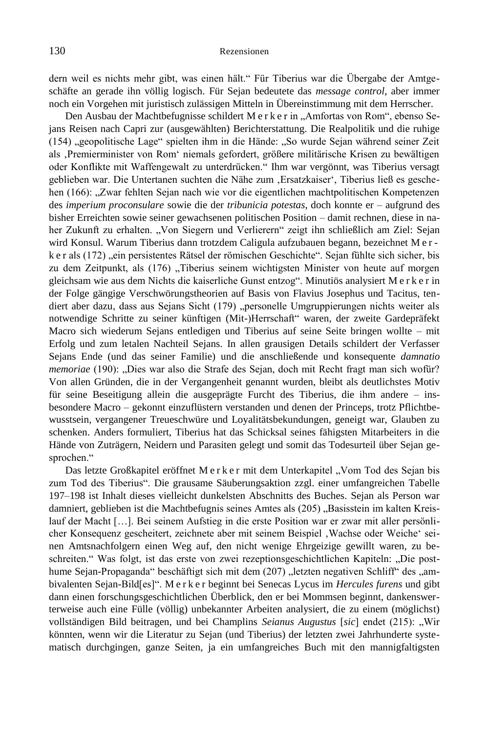dern weil es nichts mehr gibt, was einen hält." Für Tiberius war die Übergabe der Amtgeschäfte an gerade ihn völlig logisch. Für Sejan bedeutete das *message control*, aber immer noch ein Vorgehen mit juristisch zulässigen Mitteln in Übereinstimmung mit dem Herrscher.

Den Ausbau der Machtbefugnisse schildert M e r k e r in "Amfortas von Rom", ebenso Sejans Reisen nach Capri zur (ausgewählten) Berichterstattung. Die Realpolitik und die ruhige (154) "geopolitische Lage" spielten ihm in die Hände: "So wurde Sejan während seiner Zeit als ,Premierminister von Rom' niemals gefordert, größere militärische Krisen zu bewältigen oder Konflikte mit Waffengewalt zu unterdrücken." Ihm war vergönnt, was Tiberius versagt geblieben war. Die Untertanen suchten die Nähe zum ,Ersatzkaiser', Tiberius ließ es geschehen (166): "Zwar fehlten Sejan nach wie vor die eigentlichen machtpolitischen Kompetenzen des *imperium proconsulare* sowie die der *tribunicia potestas*, doch konnte er – aufgrund des bisher Erreichten sowie seiner gewachsenen politischen Position – damit rechnen, diese in naher Zukunft zu erhalten. "Von Siegern und Verlierern" zeigt ihn schließlich am Ziel: Sejan wird Konsul. Warum Tiberius dann trotzdem Caligula aufzubauen begann, bezeichnet M e r k e r als (172), ein persistentes Rätsel der römischen Geschichte". Sejan fühlte sich sicher, bis zu dem Zeitpunkt, als (176) "Tiberius seinem wichtigsten Minister von heute auf morgen gleichsam wie aus dem Nichts die kaiserliche Gunst entzog". Minutiös analysiert M e r k e r in der Folge gängige Verschwörungstheorien auf Basis von Flavius Josephus und Tacitus, tendiert aber dazu, dass aus Sejans Sicht (179) "personelle Umgruppierungen nichts weiter als notwendige Schritte zu seiner künftigen (Mit-)Herrschaft" waren, der zweite Gardepräfekt Macro sich wiederum Sejans entledigen und Tiberius auf seine Seite bringen wollte – mit Erfolg und zum letalen Nachteil Sejans. In allen grausigen Details schildert der Verfasser Sejans Ende (und das seiner Familie) und die anschließende und konsequente *damnatio memoriae* (190): "Dies war also die Strafe des Sejan, doch mit Recht fragt man sich wofür? Von allen Gründen, die in der Vergangenheit genannt wurden, bleibt als deutlichstes Motiv für seine Beseitigung allein die ausgeprägte Furcht des Tiberius, die ihm andere – insbesondere Macro – gekonnt einzuflüstern verstanden und denen der Princeps, trotz Pflichtbewusstsein, vergangener Treueschwüre und Loyalitätsbekundungen, geneigt war, Glauben zu schenken. Anders formuliert, Tiberius hat das Schicksal seines fähigsten Mitarbeiters in die Hände von Zuträgern, Neidern und Parasiten gelegt und somit das Todesurteil über Sejan gesprochen."

Das letzte Großkapitel eröffnet M e r k e r mit dem Unterkapitel "Vom Tod des Sejan bis zum Tod des Tiberius". Die grausame Säuberungsaktion zzgl. einer umfangreichen Tabelle 197–198 ist Inhalt dieses vielleicht dunkelsten Abschnitts des Buches. Sejan als Person war damniert, geblieben ist die Machtbefugnis seines Amtes als (205) "Basisstein im kalten Kreislauf der Macht […]. Bei seinem Aufstieg in die erste Position war er zwar mit aller persönlicher Konsequenz gescheitert, zeichnete aber mit seinem Beispiel 'Wachse oder Weiche' seinen Amtsnachfolgern einen Weg auf, den nicht wenige Ehrgeizige gewillt waren, zu beschreiten." Was folgt, ist das erste von zwei rezeptionsgeschichtlichen Kapiteln: "Die posthume Sejan-Propaganda" beschäftigt sich mit dem (207) "letzten negativen Schliff" des "ambivalenten Sejan-Bild[es]". M e r k e r beginnt bei Senecas Lycus im *Hercules furens* und gibt dann einen forschungsgeschichtlichen Überblick, den er bei Mommsen beginnt, dankenswerterweise auch eine Fülle (völlig) unbekannter Arbeiten analysiert, die zu einem (möglichst) vollständigen Bild beitragen, und bei Champlins *Seianus Augustus* [sic] endet (215): "Wir könnten, wenn wir die Literatur zu Sejan (und Tiberius) der letzten zwei Jahrhunderte systematisch durchgingen, ganze Seiten, ja ein umfangreiches Buch mit den mannigfaltigsten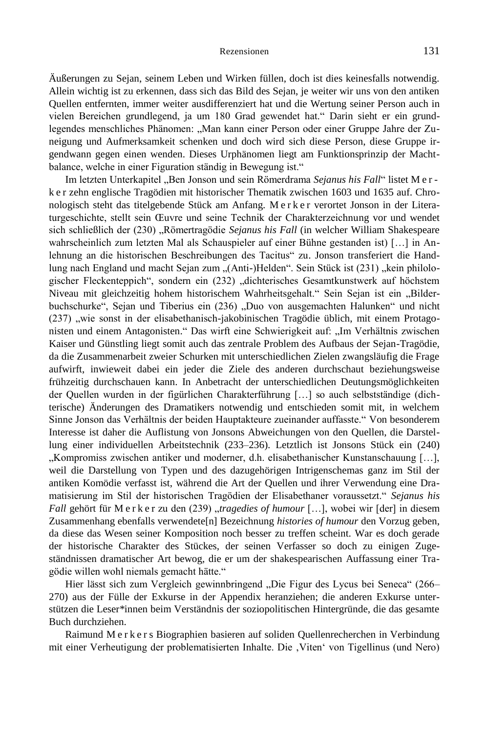Äußerungen zu Sejan, seinem Leben und Wirken füllen, doch ist dies keinesfalls notwendig. Allein wichtig ist zu erkennen, dass sich das Bild des Sejan, je weiter wir uns von den antiken Quellen entfernten, immer weiter ausdifferenziert hat und die Wertung seiner Person auch in vielen Bereichen grundlegend, ja um 180 Grad gewendet hat." Darin sieht er ein grundlegendes menschliches Phänomen: "Man kann einer Person oder einer Gruppe Jahre der Zuneigung und Aufmerksamkeit schenken und doch wird sich diese Person, diese Gruppe irgendwann gegen einen wenden. Dieses Urphänomen liegt am Funktionsprinzip der Machtbalance, welche in einer Figuration ständig in Bewegung ist."

Im letzten Unterkapitel "Ben Jonson und sein Römerdrama *Sejanus his Fall"* listet M e r k e r zehn englische Tragödien mit historischer Thematik zwischen 1603 und 1635 auf. Chronologisch steht das titelgebende Stück am Anfang. M e r k e r verortet Jonson in der Literaturgeschichte, stellt sein Œuvre und seine Technik der Charakterzeichnung vor und wendet sich schließlich der (230) "Römertragödie Sejanus his Fall (in welcher William Shakespeare wahrscheinlich zum letzten Mal als Schauspieler auf einer Bühne gestanden ist) […] in Anlehnung an die historischen Beschreibungen des Tacitus" zu. Jonson transferiert die Handlung nach England und macht Sejan zum "(Anti-)Helden". Sein Stück ist (231) "kein philologischer Fleckenteppich", sondern ein (232) "dichterisches Gesamtkunstwerk auf höchstem Niveau mit gleichzeitig hohem historischem Wahrheitsgehalt." Sein Sejan ist ein "Bilderbuchschurke", Sejan und Tiberius ein (236) "Duo von ausgemachten Halunken" und nicht (237) "wie sonst in der elisabethanisch-jakobinischen Tragödie üblich, mit einem Protagonisten und einem Antagonisten." Das wirft eine Schwierigkeit auf: "Im Verhältnis zwischen Kaiser und Günstling liegt somit auch das zentrale Problem des Aufbaus der Sejan-Tragödie, da die Zusammenarbeit zweier Schurken mit unterschiedlichen Zielen zwangsläufig die Frage aufwirft, inwieweit dabei ein jeder die Ziele des anderen durchschaut beziehungsweise frühzeitig durchschauen kann. In Anbetracht der unterschiedlichen Deutungsmöglichkeiten der Quellen wurden in der figürlichen Charakterführung […] so auch selbstständige (dichterische) Änderungen des Dramatikers notwendig und entschieden somit mit, in welchem Sinne Jonson das Verhältnis der beiden Hauptakteure zueinander auffasste." Von besonderem Interesse ist daher die Auflistung von Jonsons Abweichungen von den Quellen, die Darstellung einer individuellen Arbeitstechnik (233–236). Letztlich ist Jonsons Stück ein (240) "Kompromiss zwischen antiker und moderner, d.h. elisabethanischer Kunstanschauung […], weil die Darstellung von Typen und des dazugehörigen Intrigenschemas ganz im Stil der antiken Komödie verfasst ist, während die Art der Quellen und ihrer Verwendung eine Dramatisierung im Stil der historischen Tragödien der Elisabethaner voraussetzt." *Sejanus his Fall gehört für M e r k e r zu den (239) "tragedies of humour [...]*, wobei wir [der] in diesem Zusammenhang ebenfalls verwendete[n] Bezeichnung *histories of humour* den Vorzug geben, da diese das Wesen seiner Komposition noch besser zu treffen scheint. War es doch gerade der historische Charakter des Stückes, der seinen Verfasser so doch zu einigen Zugeständnissen dramatischer Art bewog, die er um der shakespearischen Auffassung einer Tragödie willen wohl niemals gemacht hätte."

Hier lässt sich zum Vergleich gewinnbringend "Die Figur des Lycus bei Seneca" (266– 270) aus der Fülle der Exkurse in der Appendix heranziehen; die anderen Exkurse unterstützen die Leser\*innen beim Verständnis der soziopolitischen Hintergründe, die das gesamte Buch durchziehen.

Raimund M e r k e r s Biographien basieren auf soliden Quellenrecherchen in Verbindung mit einer Verheutigung der problematisierten Inhalte. Die 'Viten' von Tigellinus (und Nero)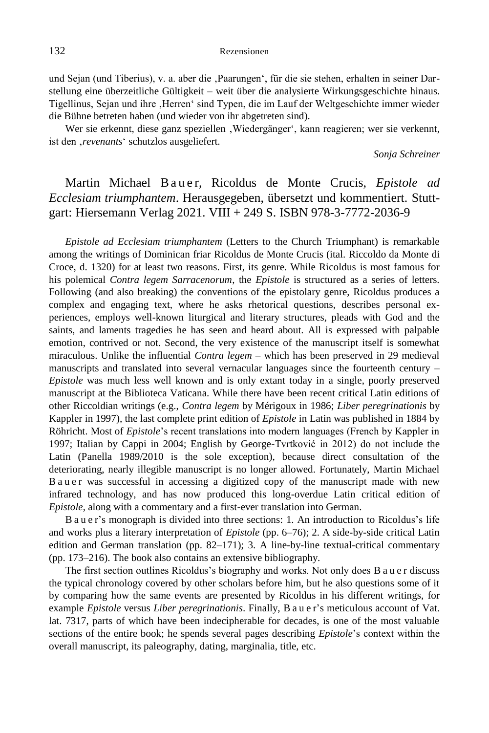und Sejan (und Tiberius), v. a. aber die ,Paarungen', für die sie stehen, erhalten in seiner Darstellung eine überzeitliche Gültigkeit – weit über die analysierte Wirkungsgeschichte hinaus. Tigellinus, Sejan und ihre ,Herren' sind Typen, die im Lauf der Weltgeschichte immer wieder die Bühne betreten haben (und wieder von ihr abgetreten sind).

Wer sie erkennt, diese ganz speziellen , Wiedergänger', kann reagieren; wer sie verkennt, ist den , revenants' schutzlos ausgeliefert.

*Sonja Schreiner*

# Martin Michael B a u e r, Ricoldus de Monte Crucis, *Epistole ad Ecclesiam triumphantem*. Herausgegeben, übersetzt und kommentiert. Stuttgart: Hiersemann Verlag 2021. VIII + 249 S. ISBN 978-3-7772-2036-9

*Epistole ad Ecclesiam triumphantem* (Letters to the Church Triumphant) is remarkable among the writings of Dominican friar Ricoldus de Monte Crucis (ital. Riccoldo da Monte di Croce, d. 1320) for at least two reasons. First, its genre. While Ricoldus is most famous for his polemical *Contra legem Sarracenorum*, the *Epistole* is structured as a series of letters. Following (and also breaking) the conventions of the epistolary genre, Ricoldus produces a complex and engaging text, where he asks rhetorical questions, describes personal experiences, employs well-known liturgical and literary structures, pleads with God and the saints, and laments tragedies he has seen and heard about. All is expressed with palpable emotion, contrived or not. Second, the very existence of the manuscript itself is somewhat miraculous. Unlike the influential *Contra legem –* which has been preserved in 29 medieval manuscripts and translated into several vernacular languages since the fourteenth century – *Epistole* was much less well known and is only extant today in a single, poorly preserved manuscript at the Biblioteca Vaticana. While there have been recent critical Latin editions of other Riccoldian writings (e.g., *Contra legem* by Mérigoux in 1986; *Liber peregrinationis* by Kappler in 1997), the last complete print edition of *Epistole* in Latin was published in 1884 by Röhricht. Most of *Epistole*'s recent translations into modern languages (French by Kappler in 1997; Italian by Cappi in 2004; English by George-Tvrtković in 2012) do not include the Latin (Panella 1989/2010 is the sole exception), because direct consultation of the deteriorating, nearly illegible manuscript is no longer allowed. Fortunately, Martin Michael B a u e r was successful in accessing a digitized copy of the manuscript made with new infrared technology, and has now produced this long-overdue Latin critical edition of *Epistole*, along with a commentary and a first-ever translation into German.

B a u e r's monograph is divided into three sections: 1. An introduction to Ricoldus's life and works plus a literary interpretation of *Epistole* (pp. 6–76); 2. A side-by-side critical Latin edition and German translation (pp. 82–171); 3. A line-by-line textual-critical commentary (pp. 173–216). The book also contains an extensive bibliography.

The first section outlines Ricoldus's biography and works. Not only does B a u e r discuss the typical chronology covered by other scholars before him, but he also questions some of it by comparing how the same events are presented by Ricoldus in his different writings, for example *Epistole* versus *Liber peregrinationis*. Finally, B a u e r's meticulous account of Vat. lat. 7317, parts of which have been indecipherable for decades, is one of the most valuable sections of the entire book; he spends several pages describing *Epistole*'s context within the overall manuscript, its paleography, dating, marginalia, title, etc.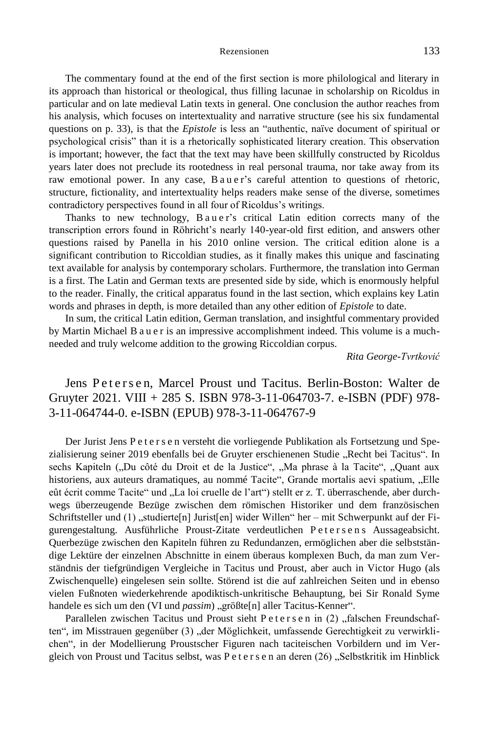The commentary found at the end of the first section is more philological and literary in its approach than historical or theological, thus filling lacunae in scholarship on Ricoldus in particular and on late medieval Latin texts in general. One conclusion the author reaches from his analysis, which focuses on intertextuality and narrative structure (see his six fundamental questions on p. 33), is that the *Epistole* is less an "authentic, naïve document of spiritual or psychological crisis" than it is a rhetorically sophisticated literary creation. This observation is important; however, the fact that the text may have been skillfully constructed by Ricoldus years later does not preclude its rootedness in real personal trauma, nor take away from its raw emotional power. In any case, B a u e r's careful attention to questions of rhetoric, structure, fictionality, and intertextuality helps readers make sense of the diverse, sometimes contradictory perspectives found in all four of Ricoldus's writings.

Thanks to new technology, B a u e r's critical Latin edition corrects many of the transcription errors found in Röhricht's nearly 140-year-old first edition, and answers other questions raised by Panella in his 2010 online version. The critical edition alone is a significant contribution to Riccoldian studies, as it finally makes this unique and fascinating text available for analysis by contemporary scholars. Furthermore, the translation into German is a first. The Latin and German texts are presented side by side, which is enormously helpful to the reader. Finally, the critical apparatus found in the last section, which explains key Latin words and phrases in depth, is more detailed than any other edition of *Epistole* to date.

In sum, the critical Latin edition, German translation, and insightful commentary provided by Martin Michael B a u e r is an impressive accomplishment indeed. This volume is a muchneeded and truly welcome addition to the growing Riccoldian corpus.

*Rita George-Tvrtković*

Jens Petersen, Marcel Proust und Tacitus. Berlin-Boston: Walter de Gruyter 2021. VIII + 285 S. ISBN 978-3-11-064703-7. e-ISBN (PDF) 978- 3-11-064744-0. e-ISBN (EPUB) 978-3-11-064767-9

Der Jurist Jens P e t e r s e n versteht die vorliegende Publikation als Fortsetzung und Spezialisierung seiner 2019 ebenfalls bei de Gruyter erschienenen Studie "Recht bei Tacitus". In sechs Kapiteln ("Du côté du Droit et de la Justice", "Ma phrase à la Tacite", "Quant aux historiens, aux auteurs dramatiques, au nommé Tacite", Grande mortalis aevi spatium, "Elle eût écrit comme Tacite" und "La loi cruelle de l'art") stellt er z. T. überraschende, aber durchwegs überzeugende Bezüge zwischen dem römischen Historiker und dem französischen Schriftsteller und (1) "studierte[n] Jurist[en] wider Willen" her – mit Schwerpunkt auf der Figurengestaltung. Ausführliche Proust-Zitate verdeutlichen Petersens Aussageabsicht. Querbezüge zwischen den Kapiteln führen zu Redundanzen, ermöglichen aber die selbstständige Lektüre der einzelnen Abschnitte in einem überaus komplexen Buch, da man zum Verständnis der tiefgründigen Vergleiche in Tacitus und Proust, aber auch in Victor Hugo (als Zwischenquelle) eingelesen sein sollte. Störend ist die auf zahlreichen Seiten und in ebenso vielen Fußnoten wiederkehrende apodiktisch-unkritische Behauptung, bei Sir Ronald Syme handele es sich um den (VI und *passim*) "größte[n] aller Tacitus-Kenner".

Parallelen zwischen Tacitus und Proust sieht Petersen in (2) "falschen Freundschaften", im Misstrauen gegenüber (3) "der Möglichkeit, umfassende Gerechtigkeit zu verwirklichen", in der Modellierung Proustscher Figuren nach taciteischen Vorbildern und im Vergleich von Proust und Tacitus selbst, was P e t e r s e n an deren  $(26)$ , Selbstkritik im Hinblick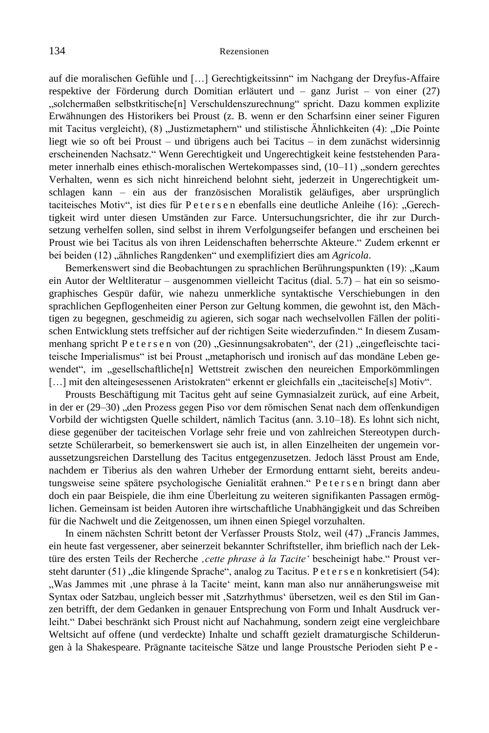auf die moralischen Gefühle und […] Gerechtigkeitssinn" im Nachgang der Dreyfus-Affaire respektive der Förderung durch Domitian erläutert und – ganz Jurist – von einer (27) "solchermaßen selbstkritische[n] Verschuldenszurechnung" spricht. Dazu kommen explizite Erwähnungen des Historikers bei Proust (z. B. wenn er den Scharfsinn einer seiner Figuren mit Tacitus vergleicht), (8) "Justizmetaphern" und stilistische Ähnlichkeiten (4): "Die Pointe liegt wie so oft bei Proust – und übrigens auch bei Tacitus – in dem zunächst widersinnig erscheinenden Nachsatz." Wenn Gerechtigkeit und Ungerechtigkeit keine feststehenden Parameter innerhalb eines ethisch-moralischen Wertekompasses sind,  $(10-11)$  "sondern gerechtes Verhalten, wenn es sich nicht hinreichend belohnt sieht, jederzeit in Ungerechtigkeit umschlagen kann – ein aus der französischen Moralistik geläufiges, aber ursprünglich taciteisches Motiv", ist dies für P e t e r s e n ebenfalls eine deutliche Anleihe (16): "Gerechtigkeit wird unter diesen Umständen zur Farce. Untersuchungsrichter, die ihr zur Durchsetzung verhelfen sollen, sind selbst in ihrem Verfolgungseifer befangen und erscheinen bei Proust wie bei Tacitus als von ihren Leidenschaften beherrschte Akteure." Zudem erkennt er bei beiden (12) "ähnliches Rangdenken" und exemplifiziert dies am *Agricola*.

Bemerkenswert sind die Beobachtungen zu sprachlichen Berührungspunkten (19): "Kaum ein Autor der Weltliteratur – ausgenommen vielleicht Tacitus (dial. 5.7) – hat ein so seismographisches Gespür dafür, wie nahezu unmerkliche syntaktische Verschiebungen in den sprachlichen Gepflogenheiten einer Person zur Geltung kommen, die gewohnt ist, den Mächtigen zu begegnen, geschmeidig zu agieren, sich sogar nach wechselvollen Fällen der politischen Entwicklung stets treffsicher auf der richtigen Seite wiederzufinden." In diesem Zusammenhang spricht P e t e r s e n von (20) "Gesinnungsakrobaten", der (21) "eingefleischte taciteische Imperialismus" ist bei Proust "metaphorisch und ironisch auf das mondäne Leben gewendet", im "gesellschaftliche[n] Wettstreit zwischen den neureichen Emporkömmlingen [...] mit den alteingesessenen Aristokraten" erkennt er gleichfalls ein "taciteische[s] Motiv".

Prousts Beschäftigung mit Tacitus geht auf seine Gymnasialzeit zurück, auf eine Arbeit, in der er (29–30) "den Prozess gegen Piso vor dem römischen Senat nach dem offenkundigen Vorbild der wichtigsten Quelle schildert, nämlich Tacitus (ann. 3.10–18). Es lohnt sich nicht, diese gegenüber der taciteischen Vorlage sehr freie und von zahlreichen Stereotypen durchsetzte Schülerarbeit, so bemerkenswert sie auch ist, in allen Einzelheiten der ungemein voraussetzungsreichen Darstellung des Tacitus entgegenzusetzen. Jedoch lässt Proust am Ende, nachdem er Tiberius als den wahren Urheber der Ermordung enttarnt sieht, bereits andeutungsweise seine spätere psychologische Genialität erahnen." P e t e r s e n bringt dann aber doch ein paar Beispiele, die ihm eine Überleitung zu weiteren signifikanten Passagen ermöglichen. Gemeinsam ist beiden Autoren ihre wirtschaftliche Unabhängigkeit und das Schreiben für die Nachwelt und die Zeitgenossen, um ihnen einen Spiegel vorzuhalten.

In einem nächsten Schritt betont der Verfasser Prousts Stolz, weil (47) "Francis Jammes, ein heute fast vergessener, aber seinerzeit bekannter Schriftsteller, ihm brieflich nach der Lektüre des ersten Teils der Recherche *'cette phrase à la Tacite'* bescheinigt habe." Proust versteht darunter (51) "die klingende Sprache", analog zu Tacitus. P e t e r s e n konkretisiert (54): "Was Jammes mit 'une phrase à la Tacite' meint, kann man also nur annäherungsweise mit Syntax oder Satzbau, ungleich besser mit 'Satzrhythmus' übersetzen, weil es den Stil im Ganzen betrifft, der dem Gedanken in genauer Entsprechung von Form und Inhalt Ausdruck verleiht." Dabei beschränkt sich Proust nicht auf Nachahmung, sondern zeigt eine vergleichbare Weltsicht auf offene (und verdeckte) Inhalte und schafft gezielt dramaturgische Schilderungen à la Shakespeare. Prägnante taciteische Sätze und lange Proustsche Perioden sieht P e -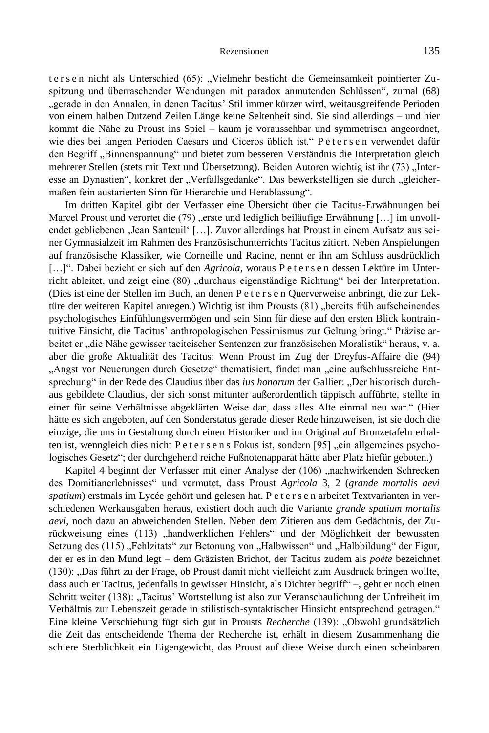ters en nicht als Unterschied (65): "Vielmehr besticht die Gemeinsamkeit pointierter Zuspitzung und überraschender Wendungen mit paradox anmutenden Schlüssen", zumal (68) "gerade in den Annalen, in denen Tacitus' Stil immer kürzer wird, weitausgreifende Perioden von einem halben Dutzend Zeilen Länge keine Seltenheit sind. Sie sind allerdings – und hier kommt die Nähe zu Proust ins Spiel – kaum je voraussehbar und symmetrisch angeordnet, wie dies bei langen Perioden Caesars und Ciceros üblich ist." Petersen verwendet dafür den Begriff "Binnenspannung" und bietet zum besseren Verständnis die Interpretation gleich mehrerer Stellen (stets mit Text und Übersetzung). Beiden Autoren wichtig ist ihr (73) "Interesse an Dynastien", konkret der "Verfallsgedanke". Das bewerkstelligen sie durch "gleichermaßen fein austarierten Sinn für Hierarchie und Herablassung".

Im dritten Kapitel gibt der Verfasser eine Übersicht über die Tacitus-Erwähnungen bei Marcel Proust und verortet die  $(79)$  "erste und lediglich beiläufige Erwähnung [...] im unvollendet gebliebenen , Jean Santeuil' [...]. Zuvor allerdings hat Proust in einem Aufsatz aus seiner Gymnasialzeit im Rahmen des Französischunterrichts Tacitus zitiert. Neben Anspielungen auf französische Klassiker, wie Corneille und Racine, nennt er ihn am Schluss ausdrücklich [...]". Dabei bezieht er sich auf den *Agricola*, woraus P et er s e n dessen Lektüre im Unterricht ableitet, und zeigt eine (80) "durchaus eigenständige Richtung" bei der Interpretation. (Dies ist eine der Stellen im Buch, an denen P e t e r s e n Querverweise anbringt, die zur Lektüre der weiteren Kapitel anregen.) Wichtig ist ihm Prousts (81) "bereits früh aufscheinendes psychologisches Einfühlungsvermögen und sein Sinn für diese auf den ersten Blick kontraintuitive Einsicht, die Tacitus' anthropologischen Pessimismus zur Geltung bringt." Präzise arbeitet er "die Nähe gewisser taciteischer Sentenzen zur französischen Moralistik" heraus, v. a. aber die große Aktualität des Tacitus: Wenn Proust im Zug der Dreyfus-Affaire die (94) "Angst vor Neuerungen durch Gesetze" thematisiert, findet man "eine aufschlussreiche Entsprechung" in der Rede des Claudius über das *ius honorum* der Gallier: "Der historisch durchaus gebildete Claudius, der sich sonst mitunter außerordentlich täppisch aufführte, stellte in einer für seine Verhältnisse abgeklärten Weise dar, dass alles Alte einmal neu war." (Hier hätte es sich angeboten, auf den Sonderstatus gerade dieser Rede hinzuweisen, ist sie doch die einzige, die uns in Gestaltung durch einen Historiker und im Original auf Bronzetafeln erhalten ist, wenngleich dies nicht P e t e r s e n s Fokus ist, sondern [95] "ein allgemeines psychologisches Gesetz"; der durchgehend reiche Fußnotenapparat hätte aber Platz hiefür geboten.)

Kapitel 4 beginnt der Verfasser mit einer Analyse der (106) "nachwirkenden Schrecken des Domitianerlebnisses" und vermutet, dass Proust *Agricola* 3, 2 (*grande mortalis aevi spatium*) erstmals im Lycée gehört und gelesen hat. P e t e r s e n arbeitet Textvarianten in verschiedenen Werkausgaben heraus, existiert doch auch die Variante *grande spatium mortalis aevi*, noch dazu an abweichenden Stellen. Neben dem Zitieren aus dem Gedächtnis, der Zurückweisung eines (113) "handwerklichen Fehlers" und der Möglichkeit der bewussten Setzung des (115) "Fehlzitats" zur Betonung von "Halbwissen" und "Halbbildung" der Figur, der er es in den Mund legt – dem Gräzisten Brichot, der Tacitus zudem als *poète* bezeichnet (130): "Das führt zu der Frage, ob Proust damit nicht vielleicht zum Ausdruck bringen wollte, dass auch er Tacitus, jedenfalls in gewisser Hinsicht, als Dichter begriff" –, geht er noch einen Schritt weiter (138): "Tacitus' Wortstellung ist also zur Veranschaulichung der Unfreiheit im Verhältnis zur Lebenszeit gerade in stilistisch-syntaktischer Hinsicht entsprechend getragen." Eine kleine Verschiebung fügt sich gut in Prousts *Recherche* (139): "Obwohl grundsätzlich die Zeit das entscheidende Thema der Recherche ist, erhält in diesem Zusammenhang die schiere Sterblichkeit ein Eigengewicht, das Proust auf diese Weise durch einen scheinbaren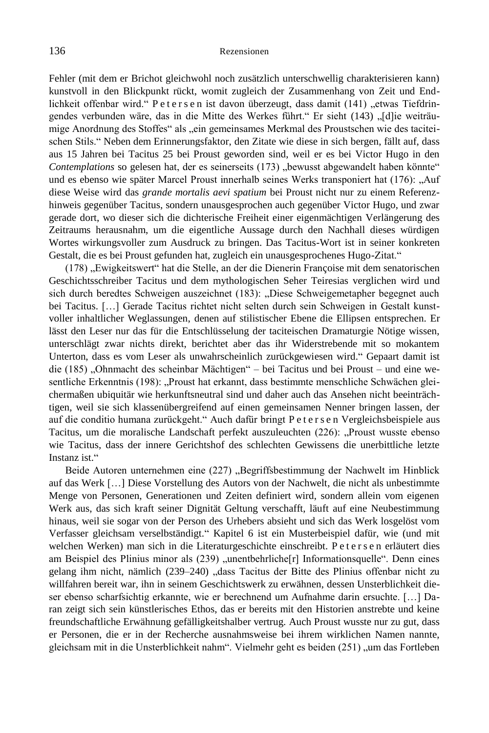Fehler (mit dem er Brichot gleichwohl noch zusätzlich unterschwellig charakterisieren kann) kunstvoll in den Blickpunkt rückt, womit zugleich der Zusammenhang von Zeit und Endlichkeit offenbar wird." P e t e r s e n ist davon überzeugt, dass damit (141) "etwas Tiefdringendes verbunden wäre, das in die Mitte des Werkes führt." Er sieht (143) "[d]ie weiträumige Anordnung des Stoffes" als "ein gemeinsames Merkmal des Proustschen wie des taciteischen Stils." Neben dem Erinnerungsfaktor, den Zitate wie diese in sich bergen, fällt auf, dass aus 15 Jahren bei Tacitus 25 bei Proust geworden sind, weil er es bei Victor Hugo in den *Contemplations* so gelesen hat, der es seinerseits (173) "bewusst abgewandelt haben könnte" und es ebenso wie später Marcel Proust innerhalb seines Werks transponiert hat (176): "Auf diese Weise wird das *grande mortalis aevi spatium* bei Proust nicht nur zu einem Referenzhinweis gegenüber Tacitus, sondern unausgesprochen auch gegenüber Victor Hugo, und zwar gerade dort, wo dieser sich die dichterische Freiheit einer eigenmächtigen Verlängerung des Zeitraums herausnahm, um die eigentliche Aussage durch den Nachhall dieses würdigen Wortes wirkungsvoller zum Ausdruck zu bringen. Das Tacitus-Wort ist in seiner konkreten Gestalt, die es bei Proust gefunden hat, zugleich ein unausgesprochenes Hugo-Zitat."

(178) "Ewigkeitswert" hat die Stelle, an der die Dienerin Françoise mit dem senatorischen Geschichtsschreiber Tacitus und dem mythologischen Seher Teiresias verglichen wird und sich durch beredtes Schweigen auszeichnet (183): "Diese Schweigemetapher begegnet auch bei Tacitus. […] Gerade Tacitus richtet nicht selten durch sein Schweigen in Gestalt kunstvoller inhaltlicher Weglassungen, denen auf stilistischer Ebene die Ellipsen entsprechen. Er lässt den Leser nur das für die Entschlüsselung der taciteischen Dramaturgie Nötige wissen, unterschlägt zwar nichts direkt, berichtet aber das ihr Widerstrebende mit so mokantem Unterton, dass es vom Leser als unwahrscheinlich zurückgewiesen wird." Gepaart damit ist die (185) "Ohnmacht des scheinbar Mächtigen" – bei Tacitus und bei Proust – und eine wesentliche Erkenntnis (198): "Proust hat erkannt, dass bestimmte menschliche Schwächen gleichermaßen ubiquitär wie herkunftsneutral sind und daher auch das Ansehen nicht beeinträchtigen, weil sie sich klassenübergreifend auf einen gemeinsamen Nenner bringen lassen, der auf die conditio humana zurückgeht." Auch dafür bringt P e t e r s e n Vergleichsbeispiele aus Tacitus, um die moralische Landschaft perfekt auszuleuchten (226): "Proust wusste ebenso wie Tacitus, dass der innere Gerichtshof des schlechten Gewissens die unerbittliche letzte Instanz ist."

Beide Autoren unternehmen eine (227) "Begriffsbestimmung der Nachwelt im Hinblick auf das Werk […] Diese Vorstellung des Autors von der Nachwelt, die nicht als unbestimmte Menge von Personen, Generationen und Zeiten definiert wird, sondern allein vom eigenen Werk aus, das sich kraft seiner Dignität Geltung verschafft, läuft auf eine Neubestimmung hinaus, weil sie sogar von der Person des Urhebers absieht und sich das Werk losgelöst vom Verfasser gleichsam verselbständigt." Kapitel 6 ist ein Musterbeispiel dafür, wie (und mit welchen Werken) man sich in die Literaturgeschichte einschreibt. P e t e r s e n erläutert dies am Beispiel des Plinius minor als (239) "unentbehrliche[r] Informationsquelle". Denn eines gelang ihm nicht, nämlich (239–240) "dass Tacitus der Bitte des Plinius offenbar nicht zu willfahren bereit war, ihn in seinem Geschichtswerk zu erwähnen, dessen Unsterblichkeit dieser ebenso scharfsichtig erkannte, wie er berechnend um Aufnahme darin ersuchte. […] Daran zeigt sich sein künstlerisches Ethos, das er bereits mit den Historien anstrebte und keine freundschaftliche Erwähnung gefälligkeitshalber vertrug. Auch Proust wusste nur zu gut, dass er Personen, die er in der Recherche ausnahmsweise bei ihrem wirklichen Namen nannte, gleichsam mit in die Unsterblichkeit nahm". Vielmehr geht es beiden (251) "um das Fortleben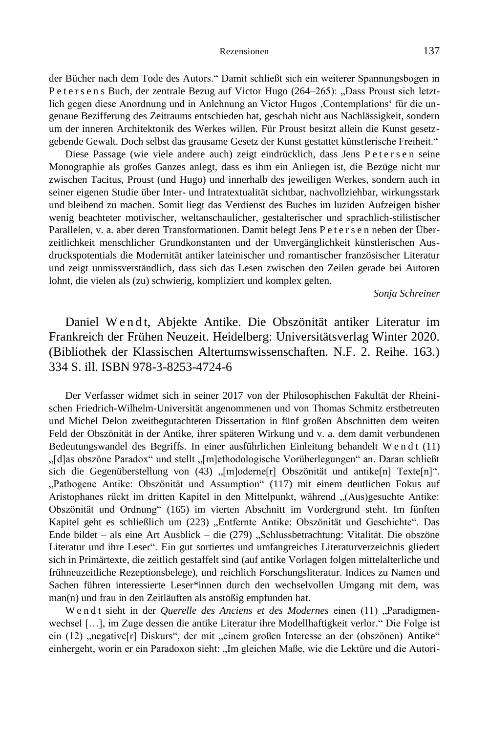der Bücher nach dem Tode des Autors." Damit schließt sich ein weiterer Spannungsbogen in Petersens Buch, der zentrale Bezug auf Victor Hugo (264-265): "Dass Proust sich letztlich gegen diese Anordnung und in Anlehnung an Victor Hugos , Contemplations' für die ungenaue Bezifferung des Zeitraums entschieden hat, geschah nicht aus Nachlässigkeit, sondern um der inneren Architektonik des Werkes willen. Für Proust besitzt allein die Kunst gesetzgebende Gewalt. Doch selbst das grausame Gesetz der Kunst gestattet künstlerische Freiheit."

Diese Passage (wie viele andere auch) zeigt eindrücklich, dass Jens Petersen seine Monographie als großes Ganzes anlegt, dass es ihm ein Anliegen ist, die Bezüge nicht nur zwischen Tacitus, Proust (und Hugo) und innerhalb des jeweiligen Werkes, sondern auch in seiner eigenen Studie über Inter- und Intratextualität sichtbar, nachvollziehbar, wirkungsstark und bleibend zu machen. Somit liegt das Verdienst des Buches im luziden Aufzeigen bisher wenig beachteter motivischer, weltanschaulicher, gestalterischer und sprachlich-stilistischer Parallelen, v. a. aber deren Transformationen. Damit belegt Jens P e t e r s e n neben der Überzeitlichkeit menschlicher Grundkonstanten und der Unvergänglichkeit künstlerischen Ausdruckspotentials die Modernität antiker lateinischer und romantischer französischer Literatur und zeigt unmissverständlich, dass sich das Lesen zwischen den Zeilen gerade bei Autoren lohnt, die vielen als (zu) schwierig, kompliziert und komplex gelten.

*Sonja Schreiner*

Daniel Wendt, Abjekte Antike. Die Obszönität antiker Literatur im Frankreich der Frühen Neuzeit. Heidelberg: Universitätsverlag Winter 2020. (Bibliothek der Klassischen Altertumswissenschaften. N.F. 2. Reihe. 163.) 334 S. ill. ISBN 978-3-8253-4724-6

Der Verfasser widmet sich in seiner 2017 von der Philosophischen Fakultät der Rheinischen Friedrich-Wilhelm-Universität angenommenen und von Thomas Schmitz erstbetreuten und Michel Delon zweitbegutachteten Dissertation in fünf großen Abschnitten dem weiten Feld der Obszönität in der Antike, ihrer späteren Wirkung und v. a. dem damit verbundenen Bedeutungswandel des Begriffs. In einer ausführlichen Einleitung behandelt W e n d t (11) "[d]as obszöne Paradox" und stellt "[m]ethodologische Vorüberlegungen" an. Daran schließt sich die Gegenüberstellung von (43) "[m]oderne[r] Obszönität und antike[n] Texte[n]". "Pathogene Antike: Obszönität und Assumption" (117) mit einem deutlichen Fokus auf Aristophanes rückt im dritten Kapitel in den Mittelpunkt, während "(Aus)gesuchte Antike: Obszönität und Ordnung" (165) im vierten Abschnitt im Vordergrund steht. Im fünften Kapitel geht es schließlich um (223) "Entfernte Antike: Obszönität und Geschichte". Das Ende bildet – als eine Art Ausblick – die (279) "Schlussbetrachtung: Vitalität. Die obszöne Literatur und ihre Leser". Ein gut sortiertes und umfangreiches Literaturverzeichnis gliedert sich in Primärtexte, die zeitlich gestaffelt sind (auf antike Vorlagen folgen mittelalterliche und frühneuzeitliche Rezeptionsbelege), und reichlich Forschungsliteratur. Indices zu Namen und Sachen führen interessierte Leser\*innen durch den wechselvollen Umgang mit dem, was man(n) und frau in den Zeitläuften als anstößig empfunden hat.

W e n d t sieht in der *Querelle des Anciens et des Modernes* einen (11) "Paradigmenwechsel […], im Zuge dessen die antike Literatur ihre Modellhaftigkeit verlor." Die Folge ist ein (12) "negative[r] Diskurs", der mit "einem großen Interesse an der (obszönen) Antike" einhergeht, worin er ein Paradoxon sieht: "Im gleichen Maße, wie die Lektüre und die Autori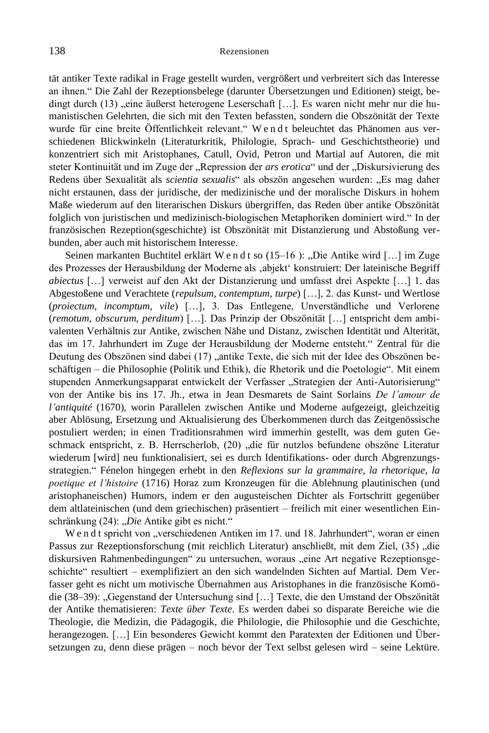tät antiker Texte radikal in Frage gestellt wurden, vergrößert und verbreitert sich das Interesse an ihnen." Die Zahl der Rezeptionsbelege (darunter Übersetzungen und Editionen) steigt, bedingt durch (13) "eine äußerst heterogene Leserschaft [...]. Es waren nicht mehr nur die humanistischen Gelehrten, die sich mit den Texten befassten, sondern die Obszönität der Texte wurde für eine breite Öffentlichkeit relevant." W e n d t beleuchtet das Phänomen aus verschiedenen Blickwinkeln (Literaturkritik, Philologie, Sprach- und Geschichtstheorie) und konzentriert sich mit Aristophanes, Catull, Ovid, Petron und Martial auf Autoren, die mit steter Kontinuität und im Zuge der "Repression der *ars erotica*" und der "Diskursivierung des Redens über Sexualität als *scientia sexualis*" als obszön angesehen wurden: "Es mag daher nicht erstaunen, dass der juridische, der medizinische und der moralische Diskurs in hohem Maße wiederum auf den literarischen Diskurs übergriffen, das Reden über antike Obszönität folglich von juristischen und medizinisch-biologischen Metaphoriken dominiert wird." In der französischen Rezeption(sgeschichte) ist Obszönität mit Distanzierung und Abstoßung verbunden, aber auch mit historischem Interesse.

Seinen markanten Buchtitel erklärt W e n d t so  $(15-16)$ : "Die Antike wird [...] im Zuge des Prozesses der Herausbildung der Moderne als 'abjekt' konstruiert: Der lateinische Begriff *abiectus* […] verweist auf den Akt der Distanzierung und umfasst drei Aspekte […] 1. das Abgestoßene und Verachtete (*repulsum, contemptum, turpe*) […], 2. das Kunst- und Wertlose (*proiectum, incomptum, vile*) […], 3. Das Entlegene, Unverständliche und Verlorene (*remotum, obscurum, perditum*) […]. Das Prinzip der Obszönität […] entspricht dem ambivalenten Verhältnis zur Antike, zwischen Nähe und Distanz, zwischen Identität und Alterität, das im 17. Jahrhundert im Zuge der Herausbildung der Moderne entsteht." Zentral für die Deutung des Obszönen sind dabei (17) "antike Texte, die sich mit der Idee des Obszönen beschäftigen – die Philosophie (Politik und Ethik), die Rhetorik und die Poetologie". Mit einem stupenden Anmerkungsapparat entwickelt der Verfasser "Strategien der Anti-Autorisierung" von der Antike bis ins 17. Jh., etwa in Jean Desmarets de Saint Sorlains *De l'amour de l'antiquité* (1670), worin Parallelen zwischen Antike und Moderne aufgezeigt, gleichzeitig aber Ablösung, Ersetzung und Aktualisierung des Überkommenen durch das Zeitgenössische postuliert werden; in einen Traditionsrahmen wird immerhin gestellt, was dem guten Geschmack entspricht, z. B. Herrscherlob, (20) "die für nutzlos befundene obszöne Literatur wiederum [wird] neu funktionalisiert, sei es durch Identifikations- oder durch Abgrenzungsstrategien." Fénelon hingegen erhebt in den *Reflexions sur la grammaire, la rhetorique, la poetique et l'histoire* (1716) Horaz zum Kronzeugen für die Ablehnung plautinischen (und aristophaneischen) Humors, indem er den augusteischen Dichter als Fortschritt gegenüber dem altlateinischen (und dem griechischen) präsentiert – freilich mit einer wesentlichen Einschränkung (24): "Die Antike gibt es nicht."

W e n d t spricht von "verschiedenen Antiken im 17. und 18. Jahrhundert", woran er einen Passus zur Rezeptionsforschung (mit reichlich Literatur) anschließt, mit dem Ziel, (35) "die diskursiven Rahmenbedingungen" zu untersuchen, woraus "eine Art negative Rezeptionsgeschichte" resultiert – exemplifiziert an den sich wandelnden Sichten auf Martial. Dem Verfasser geht es nicht um motivische Übernahmen aus Aristophanes in die französische Komödie (38–39): "Gegenstand der Untersuchung sind [...] Texte, die den Umstand der Obszönität der Antike thematisieren: *Texte über Texte*. Es werden dabei so disparate Bereiche wie die Theologie, die Medizin, die Pädagogik, die Philologie, die Philosophie und die Geschichte, herangezogen. […] Ein besonderes Gewicht kommt den Paratexten der Editionen und Übersetzungen zu, denn diese prägen – noch bevor der Text selbst gelesen wird – seine Lektüre.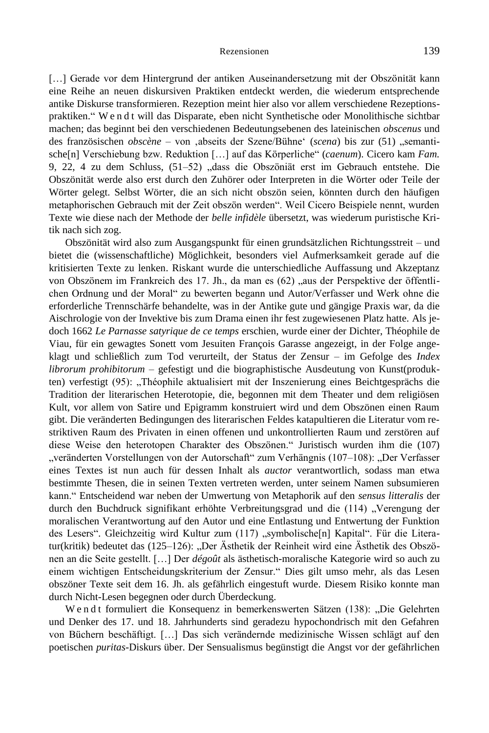[...] Gerade vor dem Hintergrund der antiken Auseinandersetzung mit der Obszönität kann eine Reihe an neuen diskursiven Praktiken entdeckt werden, die wiederum entsprechende antike Diskurse transformieren. Rezeption meint hier also vor allem verschiedene Rezeptionspraktiken." W e n d t will das Disparate, eben nicht Synthetische oder Monolithische sichtbar machen; das beginnt bei den verschiedenen Bedeutungsebenen des lateinischen *obscenus* und des französischen *obscène* – von ,abseits der Szene/Bühne' (*scena*) bis zur (51) "semantische[n] Verschiebung bzw. Reduktion […] auf das Körperliche" (*caenum*). Cicero kam *Fam.*  9, 22, 4 zu dem Schluss, (51–52) "dass die Obszöniät erst im Gebrauch entstehe. Die Obszönität werde also erst durch den Zuhörer oder Interpreten in die Wörter oder Teile der Wörter gelegt. Selbst Wörter, die an sich nicht obszön seien, könnten durch den häufigen metaphorischen Gebrauch mit der Zeit obszön werden". Weil Cicero Beispiele nennt, wurden Texte wie diese nach der Methode der *belle infidèle* übersetzt, was wiederum puristische Kritik nach sich zog.

Obszönität wird also zum Ausgangspunkt für einen grundsätzlichen Richtungsstreit – und bietet die (wissenschaftliche) Möglichkeit, besonders viel Aufmerksamkeit gerade auf die kritisierten Texte zu lenken. Riskant wurde die unterschiedliche Auffassung und Akzeptanz von Obszönem im Frankreich des 17. Jh., da man es (62) "aus der Perspektive der öffentlichen Ordnung und der Moral" zu bewerten begann und Autor/Verfasser und Werk ohne die erforderliche Trennschärfe behandelte, was in der Antike gute und gängige Praxis war, da die Aischrologie von der Invektive bis zum Drama einen ihr fest zugewiesenen Platz hatte. Als jedoch 1662 *Le Parnasse satyrique de ce temps* erschien, wurde einer der Dichter, Théophile de Viau, für ein gewagtes Sonett vom Jesuiten François Garasse angezeigt, in der Folge angeklagt und schließlich zum Tod verurteilt, der Status der Zensur – im Gefolge des *Index librorum prohibitorum* – gefestigt und die biographistische Ausdeutung von Kunst(produkten) verfestigt (95): "Théophile aktualisiert mit der Inszenierung eines Beichtgesprächs die Tradition der literarischen Heterotopie, die, begonnen mit dem Theater und dem religiösen Kult, vor allem von Satire und Epigramm konstruiert wird und dem Obszönen einen Raum gibt. Die veränderten Bedingungen des literarischen Feldes katapultieren die Literatur vom restriktiven Raum des Privaten in einen offenen und unkontrollierten Raum und zerstören auf diese Weise den heterotopen Charakter des Obszönen." Juristisch wurden ihm die (107) "veränderten Vorstellungen von der Autorschaft" zum Verhängnis (107–108): "Der Verfasser eines Textes ist nun auch für dessen Inhalt als *auctor* verantwortlich, sodass man etwa bestimmte Thesen, die in seinen Texten vertreten werden, unter seinem Namen subsumieren kann." Entscheidend war neben der Umwertung von Metaphorik auf den *sensus litteralis* der durch den Buchdruck signifikant erhöhte Verbreitungsgrad und die (114) "Verengung der moralischen Verantwortung auf den Autor und eine Entlastung und Entwertung der Funktion des Lesers". Gleichzeitig wird Kultur zum (117) "symbolische[n] Kapital". Für die Literatur(kritik) bedeutet das (125–126): "Der Ästhetik der Reinheit wird eine Ästhetik des Obszönen an die Seite gestellt. […] Der *dégoût* als ästhetisch-moralische Kategorie wird so auch zu einem wichtigen Entscheidungskriterium der Zensur." Dies gilt umso mehr, als das Lesen obszöner Texte seit dem 16. Jh. als gefährlich eingestuft wurde. Diesem Risiko konnte man durch Nicht-Lesen begegnen oder durch Überdeckung.

W e n d t formuliert die Konsequenz in bemerkenswerten Sätzen (138): "Die Gelehrten und Denker des 17. und 18. Jahrhunderts sind geradezu hypochondrisch mit den Gefahren von Büchern beschäftigt. […] Das sich verändernde medizinische Wissen schlägt auf den poetischen *puritas*-Diskurs über. Der Sensualismus begünstigt die Angst vor der gefährlichen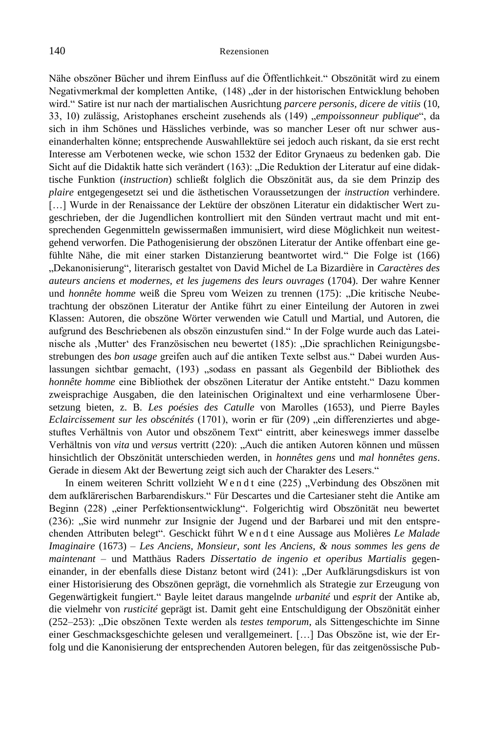Nähe obszöner Bücher und ihrem Einfluss auf die Öffentlichkeit." Obszönität wird zu einem Negativmerkmal der kompletten Antike, (148), der in der historischen Entwicklung behoben wird." Satire ist nur nach der martialischen Ausrichtung *parcere personis, dicere de vitiis* (10, 33, 10) zulässig, Aristophanes erscheint zusehends als (149) "empoissonneur publique", da sich in ihm Schönes und Hässliches verbinde, was so mancher Leser oft nur schwer auseinanderhalten könne; entsprechende Auswahllektüre sei jedoch auch riskant, da sie erst recht Interesse am Verbotenen wecke, wie schon 1532 der Editor Grynaeus zu bedenken gab. Die Sicht auf die Didaktik hatte sich verändert (163): "Die Reduktion der Literatur auf eine didaktische Funktion (*instruction*) schließt folglich die Obszönität aus, da sie dem Prinzip des *plaire* entgegengesetzt sei und die ästhetischen Voraussetzungen der *instruction* verhindere. [...] Wurde in der Renaissance der Lektüre der obszönen Literatur ein didaktischer Wert zugeschrieben, der die Jugendlichen kontrolliert mit den Sünden vertraut macht und mit entsprechenden Gegenmitteln gewissermaßen immunisiert, wird diese Möglichkeit nun weitestgehend verworfen. Die Pathogenisierung der obszönen Literatur der Antike offenbart eine gefühlte Nähe, die mit einer starken Distanzierung beantwortet wird." Die Folge ist (166) "Dekanonisierung", literarisch gestaltet von David Michel de La Bizardière in *Caractères des auteurs anciens et modernes, et les jugemens des leurs ouvrages* (1704). Der wahre Kenner und *honnête homme* weiß die Spreu vom Weizen zu trennen (175): "Die kritische Neubetrachtung der obszönen Literatur der Antike führt zu einer Einteilung der Autoren in zwei Klassen: Autoren, die obszöne Wörter verwenden wie Catull und Martial, und Autoren, die aufgrund des Beschriebenen als obszön einzustufen sind." In der Folge wurde auch das Lateinische als 'Mutter' des Französischen neu bewertet (185): "Die sprachlichen Reinigungsbestrebungen des *bon usage* greifen auch auf die antiken Texte selbst aus." Dabei wurden Auslassungen sichtbar gemacht, (193) "sodass en passant als Gegenbild der Bibliothek des *honnête homme* eine Bibliothek der obszönen Literatur der Antike entsteht." Dazu kommen zweisprachige Ausgaben, die den lateinischen Originaltext und eine verharmlosene Übersetzung bieten, z. B. *Les poésies des Catulle* von Marolles (1653), und Pierre Bayles *Eclaircissement sur les obscénités* (1701), worin er für (209) "ein differenziertes und abgestuftes Verhältnis von Autor und obszönem Text" eintritt, aber keineswegs immer dasselbe Verhältnis von *vita* und *versus* vertritt (220): "Auch die antiken Autoren können und müssen hinsichtlich der Obszönität unterschieden werden, in *honnêtes gens* und *mal honnêtes gens*. Gerade in diesem Akt der Bewertung zeigt sich auch der Charakter des Lesers."

In einem weiteren Schritt vollzieht W e n d t eine (225) "Verbindung des Obszönen mit dem aufklärerischen Barbarendiskurs." Für Descartes und die Cartesianer steht die Antike am Beginn (228) "einer Perfektionsentwicklung". Folgerichtig wird Obszönität neu bewertet (236): "Sie wird nunmehr zur Insignie der Jugend und der Barbarei und mit den entsprechenden Attributen belegt". Geschickt führt W e n d t eine Aussage aus Molières *Le Malade Imaginaire* (1673) – *Les Anciens, Monsieur, sont les Anciens, & nous sommes les gens de maintenant* – und Matthäus Raders *Dissertatio de ingenio et operibus Martialis* gegeneinander, in der ebenfalls diese Distanz betont wird (241): "Der Aufklärungsdiskurs ist von einer Historisierung des Obszönen geprägt, die vornehmlich als Strategie zur Erzeugung von Gegenwärtigkeit fungiert." Bayle leitet daraus mangelnde *urbanité* und *esprit* der Antike ab, die vielmehr von *rusticité* geprägt ist. Damit geht eine Entschuldigung der Obszönität einher (252–253): "Die obszönen Texte werden als *testes temporum*, als Sittengeschichte im Sinne einer Geschmacksgeschichte gelesen und verallgemeinert. […] Das Obszöne ist, wie der Erfolg und die Kanonisierung der entsprechenden Autoren belegen, für das zeitgenössische Pub-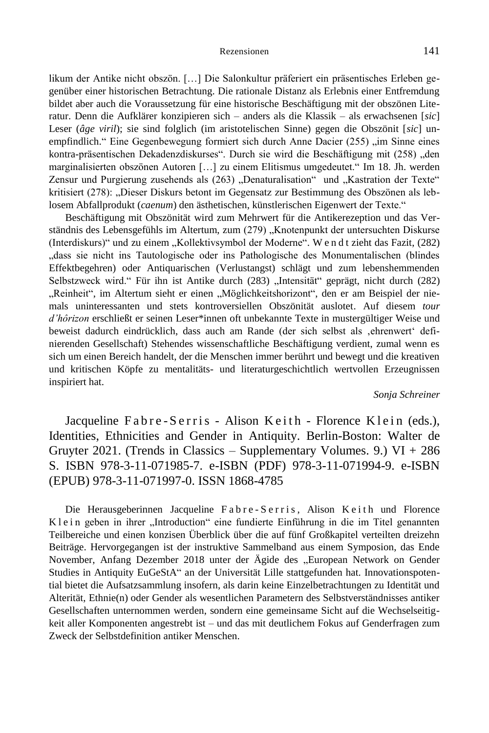likum der Antike nicht obszön. […] Die Salonkultur präferiert ein präsentisches Erleben gegenüber einer historischen Betrachtung. Die rationale Distanz als Erlebnis einer Entfremdung bildet aber auch die Voraussetzung für eine historische Beschäftigung mit der obszönen Literatur. Denn die Aufklärer konzipieren sich – anders als die Klassik – als erwachsenen [*sic*] Leser (*âge viril*); sie sind folglich (im aristotelischen Sinne) gegen die Obszönit [*sic*] unempfindlich." Eine Gegenbewegung formiert sich durch Anne Dacier (255) "im Sinne eines kontra-präsentischen Dekadenzdiskurses". Durch sie wird die Beschäftigung mit (258) "den marginalisierten obszönen Autoren […] zu einem Elitismus umgedeutet." Im 18. Jh. werden Zensur und Purgierung zusehends als (263) "Denaturalisation" und "Kastration der Texte" kritisiert (278): "Dieser Diskurs betont im Gegensatz zur Bestimmung des Obszönen als leblosem Abfallprodukt (*caenum*) den ästhetischen, künstlerischen Eigenwert der Texte."

Beschäftigung mit Obszönität wird zum Mehrwert für die Antikerezeption und das Verständnis des Lebensgefühls im Altertum, zum (279) "Knotenpunkt der untersuchten Diskurse (Interdiskurs)" und zu einem "Kollektivsymbol der Moderne". W en d t zieht das Fazit, (282) "dass sie nicht ins Tautologische oder ins Pathologische des Monumentalischen (blindes Effektbegehren) oder Antiquarischen (Verlustangst) schlägt und zum lebenshemmenden Selbstzweck wird." Für ihn ist Antike durch (283) "Intensität" geprägt, nicht durch (282) "Reinheit", im Altertum sieht er einen "Möglichkeitshorizont", den er am Beispiel der niemals uninteressanten und stets kontroversiellen Obszönität auslotet. Auf diesem *tour d'hôrizon* erschließt er seinen Leser\*innen oft unbekannte Texte in mustergültiger Weise und beweist dadurch eindrücklich, dass auch am Rande (der sich selbst als 'ehrenwert' definierenden Gesellschaft) Stehendes wissenschaftliche Beschäftigung verdient, zumal wenn es sich um einen Bereich handelt, der die Menschen immer berührt und bewegt und die kreativen und kritischen Köpfe zu mentalitäts- und literaturgeschichtlich wertvollen Erzeugnissen inspiriert hat.

## *Sonja Schreiner*

Jacqueline Fabre-Serris - Alison Keith - Florence Klein (eds.), Identities, Ethnicities and Gender in Antiquity. Berlin-Boston: Walter de Gruyter 2021. (Trends in Classics – Supplementary Volumes. 9.)  $VI + 286$ S. ISBN 978-3-11-071985-7. e-ISBN (PDF) 978-3-11-071994-9. e-ISBN (EPUB) 978-3-11-071997-0. ISSN 1868-4785

Die Herausgeberinnen Jacqueline Fabre-Serris, Alison Keith und Florence Klein geben in ihrer "Introduction" eine fundierte Einführung in die im Titel genannten Teilbereiche und einen konzisen Überblick über die auf fünf Großkapitel verteilten dreizehn Beiträge. Hervorgegangen ist der instruktive Sammelband aus einem Symposion, das Ende November, Anfang Dezember 2018 unter der Ägide des "European Network on Gender Studies in Antiquity EuGeStA" an der Universität Lille stattgefunden hat. Innovationspotential bietet die Aufsatzsammlung insofern, als darin keine Einzelbetrachtungen zu Identität und Alterität, Ethnie(n) oder Gender als wesentlichen Parametern des Selbstverständnisses antiker Gesellschaften unternommen werden, sondern eine gemeinsame Sicht auf die Wechselseitigkeit aller Komponenten angestrebt ist – und das mit deutlichem Fokus auf Genderfragen zum Zweck der Selbstdefinition antiker Menschen.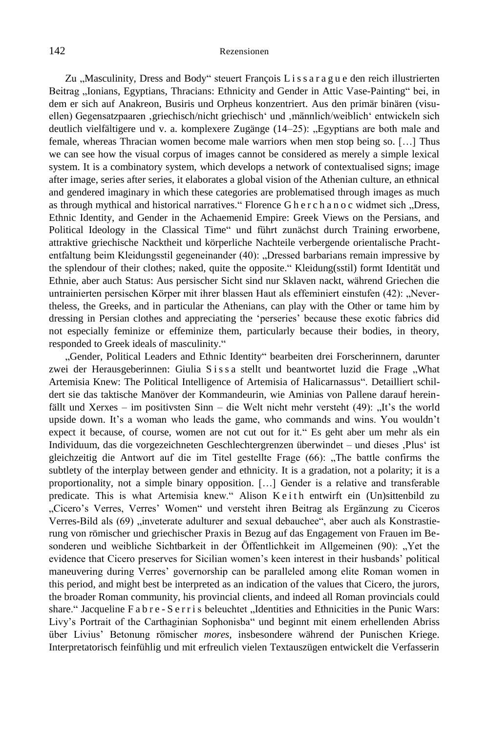Zu "Masculinity, Dress and Body" steuert François L i s s a r a g u e den reich illustrierten Beitrag "Ionians, Egyptians, Thracians: Ethnicity and Gender in Attic Vase-Painting" bei, in dem er sich auf Anakreon, Busiris und Orpheus konzentriert. Aus den primär binären (visuellen) Gegensatzpaaren 'griechisch/nicht griechisch' und 'männlich/weiblich' entwickeln sich deutlich vielfältigere und v. a. komplexere Zugänge (14–25): "Egyptians are both male and female, whereas Thracian women become male warriors when men stop being so. […] Thus we can see how the visual corpus of images cannot be considered as merely a simple lexical system. It is a combinatory system, which develops a network of contextualised signs; image after image, series after series, it elaborates a global vision of the Athenian culture, an ethnical and gendered imaginary in which these categories are problematised through images as much as through mythical and historical narratives." Florence G h e r c h a n o c widmet sich "Dress, Ethnic Identity, and Gender in the Achaemenid Empire: Greek Views on the Persians, and Political Ideology in the Classical Time" und führt zunächst durch Training erworbene, attraktive griechische Nacktheit und körperliche Nachteile verbergende orientalische Prachtentfaltung beim Kleidungsstil gegeneinander (40): "Dressed barbarians remain impressive by the splendour of their clothes; naked, quite the opposite." Kleidung(sstil) formt Identität und Ethnie, aber auch Status: Aus persischer Sicht sind nur Sklaven nackt, während Griechen die untrainierten persischen Körper mit ihrer blassen Haut als effeminiert einstufen (42): "Nevertheless, the Greeks, and in particular the Athenians, can play with the Other or tame him by dressing in Persian clothes and appreciating the 'perseries' because these exotic fabrics did not especially feminize or effeminize them, particularly because their bodies, in theory, responded to Greek ideals of masculinity."

"Gender, Political Leaders and Ethnic Identity" bearbeiten drei Forscherinnern, darunter zwei der Herausgeberinnen: Giulia S i s s a stellt und beantwortet luzid die Frage "What Artemisia Knew: The Political Intelligence of Artemisia of Halicarnassus". Detailliert schildert sie das taktische Manöver der Kommandeurin, wie Aminias von Pallene darauf hereinfällt und Xerxes – im positivsten Sinn – die Welt nicht mehr versteht  $(49)$ : "It's the world upside down. It's a woman who leads the game, who commands and wins. You wouldn't expect it because, of course, women are not cut out for it." Es geht aber um mehr als ein Individuum, das die vorgezeichneten Geschlechtergrenzen überwindet – und dieses 'Plus' ist gleichzeitig die Antwort auf die im Titel gestellte Frage (66): "The battle confirms the subtlety of the interplay between gender and ethnicity. It is a gradation, not a polarity; it is a proportionality, not a simple binary opposition. […] Gender is a relative and transferable predicate. This is what Artemisia knew." Alison K e i th entwirft ein (Un)sittenbild zu "Cicero's Verres, Verres' Women" und versteht ihren Beitrag als Ergänzung zu Ciceros Verres-Bild als (69) "inveterate adulturer and sexual debauchee", aber auch als Konstrastierung von römischer und griechischer Praxis in Bezug auf das Engagement von Frauen im Besonderen und weibliche Sichtbarkeit in der Öffentlichkeit im Allgemeinen (90): "Yet the evidence that Cicero preserves for Sicilian women's keen interest in their husbands' political maneuvering during Verres' governorship can be paralleled among elite Roman women in this period, and might best be interpreted as an indication of the values that Cicero, the jurors, the broader Roman community, his provincial clients, and indeed all Roman provincials could share." Jacqueline F a b r e - S e r r i s beleuchtet "Identities and Ethnicities in the Punic Wars: Livy's Portrait of the Carthaginian Sophonisba" und beginnt mit einem erhellenden Abriss über Livius' Betonung römischer *mores*, insbesondere während der Punischen Kriege. Interpretatorisch feinfühlig und mit erfreulich vielen Textauszügen entwickelt die Verfasserin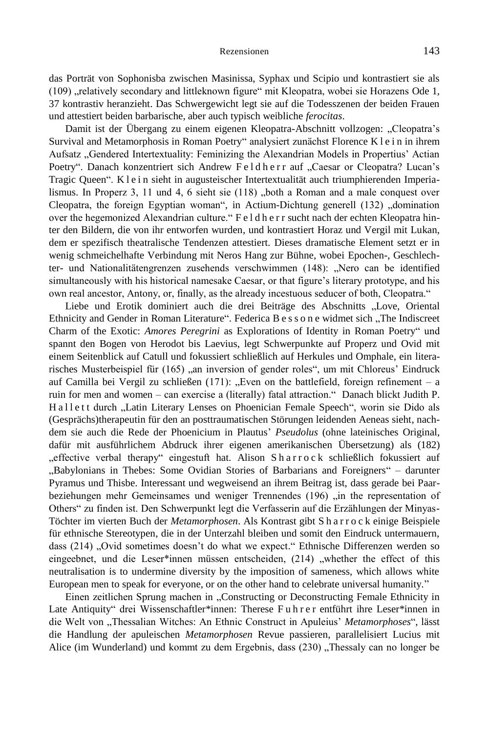das Porträt von Sophonisba zwischen Masinissa, Syphax und Scipio und kontrastiert sie als (109) "relatively secondary and littleknown figure" mit Kleopatra, wobei sie Horazens Ode 1, 37 kontrastiv heranzieht. Das Schwergewicht legt sie auf die Todesszenen der beiden Frauen und attestiert beiden barbarische, aber auch typisch weibliche *ferocitas*.

Damit ist der Übergang zu einem eigenen Kleopatra-Abschnitt vollzogen: "Cleopatra's Survival and Metamorphosis in Roman Poetry" analysiert zunächst Florence K l e i n in ihrem Aufsatz "Gendered Intertextuality: Feminizing the Alexandrian Models in Propertius' Actian Poetry". Danach konzentriert sich Andrew Feldherr auf "Caesar or Cleopatra? Lucan's Tragic Queen". K l e i n sieht in augusteischer Intertextualität auch triumphierenden Imperialismus. In Properz 3, 11 und 4, 6 sieht sie  $(118)$  "both a Roman and a male conquest over Cleopatra, the foreign Egyptian woman", in Actium-Dichtung generell (132) "domination over the hegemonized Alexandrian culture." F e l d h e r r sucht nach der echten Kleopatra hinter den Bildern, die von ihr entworfen wurden, und kontrastiert Horaz und Vergil mit Lukan, dem er spezifisch theatralische Tendenzen attestiert. Dieses dramatische Element setzt er in wenig schmeichelhafte Verbindung mit Neros Hang zur Bühne, wobei Epochen-, Geschlechter- und Nationalitätengrenzen zusehends verschwimmen (148): "Nero can be identified simultaneously with his historical namesake Caesar, or that figure's literary prototype, and his own real ancestor, Antony, or, finally, as the already incestuous seducer of both, Cleopatra."

Liebe und Erotik dominiert auch die drei Beiträge des Abschnitts "Love, Oriental Ethnicity and Gender in Roman Literature". Federica B e s s o n e widmet sich "The Indiscreet Charm of the Exotic: *Amores Peregrini* as Explorations of Identity in Roman Poetry" und spannt den Bogen von Herodot bis Laevius, legt Schwerpunkte auf Properz und Ovid mit einem Seitenblick auf Catull und fokussiert schließlich auf Herkules und Omphale, ein literarisches Musterbeispiel für  $(165)$  an inversion of gender roles", um mit Chloreus' Eindruck auf Camilla bei Vergil zu schließen  $(171)$ : "Even on the battlefield, foreign refinement – a ruin for men and women – can exercise a (literally) fatal attraction." Danach blickt Judith P. Hallett durch "Latin Literary Lenses on Phoenician Female Speech", worin sie Dido als (Gesprächs)therapeutin für den an posttraumatischen Störungen leidenden Aeneas sieht, nachdem sie auch die Rede der Phoenicium in Plautus' *Pseudolus* (ohne lateinisches Original, dafür mit ausführlichem Abdruck ihrer eigenen amerikanischen Übersetzung) als (182) "effective verbal therapy" eingestuft hat. Alison Sharrock schließlich fokussiert auf "Babylonians in Thebes: Some Ovidian Stories of Barbarians and Foreigners" – darunter Pyramus und Thisbe. Interessant und wegweisend an ihrem Beitrag ist, dass gerade bei Paarbeziehungen mehr Gemeinsames und weniger Trennendes (196) "in the representation of Others" zu finden ist. Den Schwerpunkt legt die Verfasserin auf die Erzählungen der Minyas-Töchter im vierten Buch der *Metamorphosen*. Als Kontrast gibt S h a r r o c k einige Beispiele für ethnische Stereotypen, die in der Unterzahl bleiben und somit den Eindruck untermauern, dass (214) "Ovid sometimes doesn't do what we expect." Ethnische Differenzen werden so eingeebnet, und die Leser\*innen müssen entscheiden, (214) "whether the effect of this neutralisation is to undermine diversity by the imposition of sameness, which allows white European men to speak for everyone, or on the other hand to celebrate universal humanity."

Einen zeitlichen Sprung machen in "Constructing or Deconstructing Female Ethnicity in Late Antiquity" drei Wissenschaftler\*innen: Therese Fuhrer entführt ihre Leser\*innen in die Welt von "Thessalian Witches: An Ethnic Construct in Apuleius' Metamorphoses", lässt die Handlung der apuleischen *Metamorphosen* Revue passieren, parallelisiert Lucius mit Alice (im Wunderland) und kommt zu dem Ergebnis, dass (230) "Thessaly can no longer be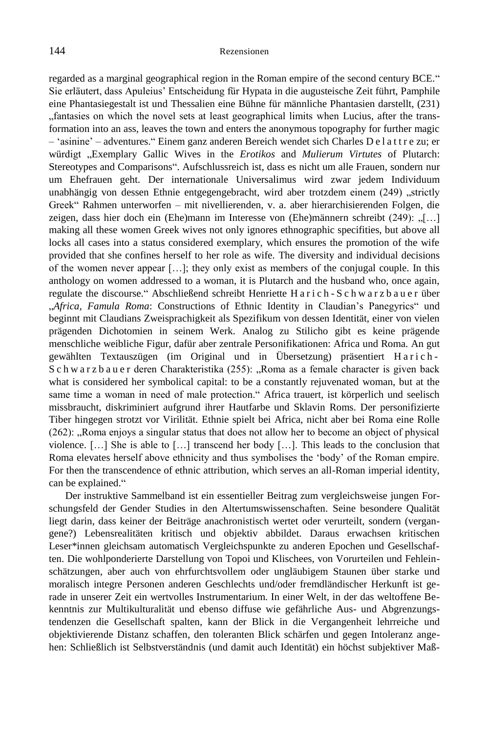regarded as a marginal geographical region in the Roman empire of the second century BCE." Sie erläutert, dass Apuleius' Entscheidung für Hypata in die augusteische Zeit führt, Pamphile eine Phantasiegestalt ist und Thessalien eine Bühne für männliche Phantasien darstellt, (231) "fantasies on which the novel sets at least geographical limits when Lucius, after the transformation into an ass, leaves the town and enters the anonymous topography for further magic – 'asinine' – adventures." Einem ganz anderen Bereich wendet sich Charles D e l a t t r e zu; er würdigt "Exemplary Gallic Wives in the *Erotikos* and *Mulierum Virtutes* of Plutarch: Stereotypes and Comparisons". Aufschlussreich ist, dass es nicht um alle Frauen, sondern nur um Ehefrauen geht. Der internationale Universalimus wird zwar jedem Individuum unabhängig von dessen Ethnie entgegengebracht, wird aber trotzdem einem (249) "strictly Greek" Rahmen unterworfen – mit nivellierenden, v. a. aber hierarchisierenden Folgen, die zeigen, dass hier doch ein (Ehe)mann im Interesse von (Ehe)männern schreibt (249): "[...] making all these women Greek wives not only ignores ethnographic specifities, but above all locks all cases into a status considered exemplary, which ensures the promotion of the wife provided that she confines herself to her role as wife. The diversity and individual decisions of the women never appear […]; they only exist as members of the conjugal couple. In this anthology on women addressed to a woman, it is Plutarch and the husband who, once again, regulate the discourse." Abschließend schreibt Henriette H a r i c h - S c h w a r z b a u e r über "*Africa, Famula Roma*: Constructions of Ethnic Identity in Claudian's Panegyrics" und beginnt mit Claudians Zweisprachigkeit als Spezifikum von dessen Identität, einer von vielen prägenden Dichotomien in seinem Werk. Analog zu Stilicho gibt es keine prägende menschliche weibliche Figur, dafür aber zentrale Personifikationen: Africa und Roma. An gut gewählten Textauszügen (im Original und in Übersetzung) präsentiert Harich-S c h w a r z b a u e r deren Charakteristika (255): "Roma as a female character is given back what is considered her symbolical capital: to be a constantly rejuvenated woman, but at the same time a woman in need of male protection." Africa trauert, ist körperlich und seelisch missbraucht, diskriminiert aufgrund ihrer Hautfarbe und Sklavin Roms. Der personifizierte Tiber hingegen strotzt vor Virilität. Ethnie spielt bei Africa, nicht aber bei Roma eine Rolle  $(262)$ :  $\Box$ Roma enjoys a singular status that does not allow her to become an object of physical violence.  $[\dots]$  She is able to  $[\dots]$  transcend her body  $[\dots]$ . This leads to the conclusion that Roma elevates herself above ethnicity and thus symbolises the 'body' of the Roman empire. For then the transcendence of ethnic attribution, which serves an all-Roman imperial identity, can be explained."

Der instruktive Sammelband ist ein essentieller Beitrag zum vergleichsweise jungen Forschungsfeld der Gender Studies in den Altertumswissenschaften. Seine besondere Qualität liegt darin, dass keiner der Beiträge anachronistisch wertet oder verurteilt, sondern (vergangene?) Lebensrealitäten kritisch und objektiv abbildet. Daraus erwachsen kritischen Leser\*innen gleichsam automatisch Vergleichspunkte zu anderen Epochen und Gesellschaften. Die wohlponderierte Darstellung von Topoi und Klischees, von Vorurteilen und Fehleinschätzungen, aber auch von ehrfurchtsvollem oder ungläubigem Staunen über starke und moralisch integre Personen anderen Geschlechts und/oder fremdländischer Herkunft ist gerade in unserer Zeit ein wertvolles Instrumentarium. In einer Welt, in der das weltoffene Bekenntnis zur Multikulturalität und ebenso diffuse wie gefährliche Aus- und Abgrenzungstendenzen die Gesellschaft spalten, kann der Blick in die Vergangenheit lehrreiche und objektivierende Distanz schaffen, den toleranten Blick schärfen und gegen Intoleranz angehen: Schließlich ist Selbstverständnis (und damit auch Identität) ein höchst subjektiver Maß-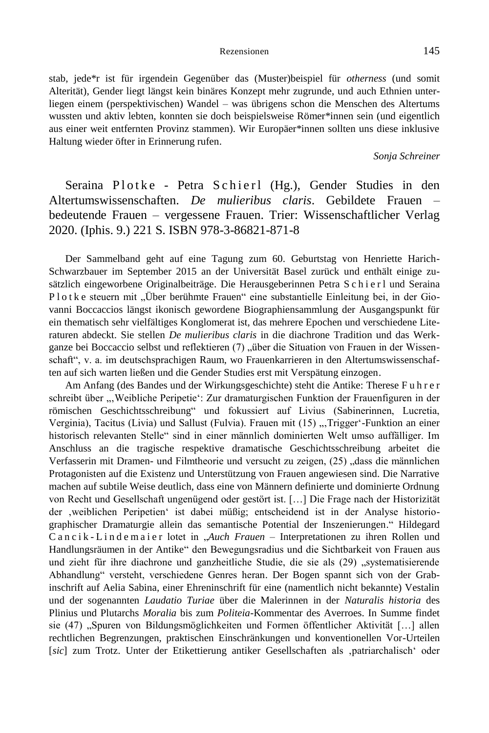stab, jede\*r ist für irgendein Gegenüber das (Muster)beispiel für *otherness* (und somit Alterität), Gender liegt längst kein binäres Konzept mehr zugrunde, und auch Ethnien unterliegen einem (perspektivischen) Wandel – was übrigens schon die Menschen des Altertums wussten und aktiv lebten, konnten sie doch beispielsweise Römer\*innen sein (und eigentlich aus einer weit entfernten Provinz stammen). Wir Europäer\*innen sollten uns diese inklusive Haltung wieder öfter in Erinnerung rufen.

*Sonja Schreiner*

# Seraina Plotke - Petra Schierl (Hg.), Gender Studies in den Altertumswissenschaften. *De mulieribus claris*. Gebildete Frauen – bedeutende Frauen – vergessene Frauen. Trier: Wissenschaftlicher Verlag 2020. (Iphis. 9.) 221 S. ISBN 978-3-86821-871-8

Der Sammelband geht auf eine Tagung zum 60. Geburtstag von Henriette Harich-Schwarzbauer im September 2015 an der Universität Basel zurück und enthält einige zusätzlich eingeworbene Originalbeiträge. Die Herausgeberinnen Petra S c h i e r l und Seraina Plotke steuern mit "Über berühmte Frauen" eine substantielle Einleitung bei, in der Giovanni Boccaccios längst ikonisch gewordene Biographiensammlung der Ausgangspunkt für ein thematisch sehr vielfältiges Konglomerat ist, das mehrere Epochen und verschiedene Literaturen abdeckt. Sie stellen *De mulieribus claris* in die diachrone Tradition und das Werkganze bei Boccaccio selbst und reflektieren (7) "über die Situation von Frauen in der Wissenschaft", v. a. im deutschsprachigen Raum, wo Frauenkarrieren in den Altertumswissenschaften auf sich warten ließen und die Gender Studies erst mit Verspätung einzogen.

Am Anfang (des Bandes und der Wirkungsgeschichte) steht die Antike: Therese F u h r e r schreibt über "Weibliche Peripetie': Zur dramaturgischen Funktion der Frauenfiguren in der römischen Geschichtsschreibung" und fokussiert auf Livius (Sabinerinnen, Lucretia, Verginia), Tacitus (Livia) und Sallust (Fulvia). Frauen mit (15) "Trigger'-Funktion an einer historisch relevanten Stelle" sind in einer männlich dominierten Welt umso auffälliger. Im Anschluss an die tragische respektive dramatische Geschichtsschreibung arbeitet die Verfasserin mit Dramen- und Filmtheorie und versucht zu zeigen, (25) "dass die männlichen Protagonisten auf die Existenz und Unterstützung von Frauen angewiesen sind. Die Narrative machen auf subtile Weise deutlich, dass eine von Männern definierte und dominierte Ordnung von Recht und Gesellschaft ungenügend oder gestört ist. […] Die Frage nach der Historizität der 'weiblichen Peripetien' ist dabei müßig; entscheidend ist in der Analyse historiographischer Dramaturgie allein das semantische Potential der Inszenierungen." Hildegard Cancik-Lindemaier lotet in "*Auch Frauen* – Interpretationen zu ihren Rollen und Handlungsräumen in der Antike" den Bewegungsradius und die Sichtbarkeit von Frauen aus und zieht für ihre diachrone und ganzheitliche Studie, die sie als (29) "systematisierende Abhandlung" versteht, verschiedene Genres heran. Der Bogen spannt sich von der Grabinschrift auf Aelia Sabina, einer Ehreninschrift für eine (namentlich nicht bekannte) Vestalin und der sogenannten *Laudatio Turiae* über die Malerinnen in der *Naturalis historia* des Plinius und Plutarchs *Moralia* bis zum *Politeia*-Kommentar des Averroes. In Summe findet sie (47) "Spuren von Bildungsmöglichkeiten und Formen öffentlicher Aktivität [...] allen rechtlichen Begrenzungen, praktischen Einschränkungen und konventionellen Vor-Urteilen [*sic*] zum Trotz. Unter der Etikettierung antiker Gesellschaften als 'patriarchalisch' oder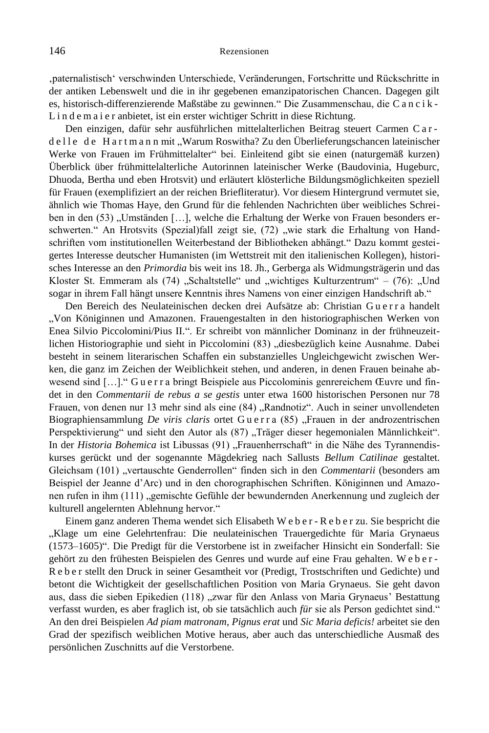'paternalistisch' verschwinden Unterschiede, Veränderungen, Fortschritte und Rückschritte in der antiken Lebenswelt und die in ihr gegebenen emanzipatorischen Chancen. Dagegen gilt es, historisch-differenzierende Maßstäbe zu gewinnen." Die Zusammenschau, die C a n c i k - L i n d e m a i e r anbietet, ist ein erster wichtiger Schritt in diese Richtung.

Den einzigen, dafür sehr ausführlichen mittelalterlichen Beitrag steuert Carmen C a r de lle de Hartmann mit "Warum Roswitha? Zu den Überlieferungschancen lateinischer Werke von Frauen im Frühmittelalter" bei. Einleitend gibt sie einen (naturgemäß kurzen) Überblick über frühmittelalterliche Autorinnen lateinischer Werke (Baudovinia, Hugeburc, Dhuoda, Bertha und eben Hrotsvit) und erläutert klösterliche Bildungsmöglichkeiten speziell für Frauen (exemplifiziert an der reichen Briefliteratur). Vor diesem Hintergrund vermutet sie, ähnlich wie Thomas Haye, den Grund für die fehlenden Nachrichten über weibliches Schreiben in den (53) "Umständen [...], welche die Erhaltung der Werke von Frauen besonders erschwerten." An Hrotsvits (Spezial)fall zeigt sie, (72) "wie stark die Erhaltung von Handschriften vom institutionellen Weiterbestand der Bibliotheken abhängt." Dazu kommt gesteigertes Interesse deutscher Humanisten (im Wettstreit mit den italienischen Kollegen), historisches Interesse an den *Primordia* bis weit ins 18. Jh., Gerberga als Widmungsträgerin und das Kloster St. Emmeram als (74) "Schaltstelle" und "wichtiges Kulturzentrum" – (76): "Und sogar in ihrem Fall hängt unsere Kenntnis ihres Namens von einer einzigen Handschrift ab."

Den Bereich des Neulateinischen decken drei Aufsätze ab: Christian G u e r r a handelt "Von Königinnen und Amazonen. Frauengestalten in den historiographischen Werken von Enea Silvio Piccolomini/Pius II.". Er schreibt von männlicher Dominanz in der frühneuzeitlichen Historiographie und sieht in Piccolomini (83) "diesbezüglich keine Ausnahme. Dabei besteht in seinem literarischen Schaffen ein substanzielles Ungleichgewicht zwischen Werken, die ganz im Zeichen der Weiblichkeit stehen, und anderen, in denen Frauen beinahe abwesend sind […]." G u e r r a bringt Beispiele aus Piccolominis genrereichem Œuvre und findet in den *Commentarii de rebus a se gestis* unter etwa 1600 historischen Personen nur 78 Frauen, von denen nur 13 mehr sind als eine (84) "Randnotiz". Auch in seiner unvollendeten Biographiensammlung *De viris claris* ortet Guerra (85) "Frauen in der androzentrischen Perspektivierung" und sieht den Autor als (87) "Träger dieser hegemonialen Männlichkeit". In der *Historia Bohemica* ist Libussas (91) "Frauenherrschaft" in die Nähe des Tyrannendiskurses gerückt und der sogenannte Mägdekrieg nach Sallusts *Bellum Catilinae* gestaltet. Gleichsam (101) "vertauschte Genderrollen" finden sich in den *Commentarii* (besonders am Beispiel der Jeanne d'Arc) und in den chorographischen Schriften. Königinnen und Amazonen rufen in ihm (111) "gemischte Gefühle der bewundernden Anerkennung und zugleich der kulturell angelernten Ablehnung hervor."

Einem ganz anderen Thema wendet sich Elisabeth W e b e r - R e b e r zu. Sie bespricht die "Klage um eine Gelehrtenfrau: Die neulateinischen Trauergedichte für Maria Grynaeus (1573–1605)". Die Predigt für die Verstorbene ist in zweifacher Hinsicht ein Sonderfall: Sie gehört zu den frühesten Beispielen des Genres und wurde auf eine Frau gehalten. W e b e r - R e b e r stellt den Druck in seiner Gesamtheit vor (Predigt, Trostschriften und Gedichte) und betont die Wichtigkeit der gesellschaftlichen Position von Maria Grynaeus. Sie geht davon aus, dass die sieben Epikedien (118) "zwar für den Anlass von Maria Grynaeus' Bestattung verfasst wurden, es aber fraglich ist, ob sie tatsächlich auch *für* sie als Person gedichtet sind." An den drei Beispielen *Ad piam matronam*, *Pignus erat* und *Sic Maria deficis!* arbeitet sie den Grad der spezifisch weiblichen Motive heraus, aber auch das unterschiedliche Ausmaß des persönlichen Zuschnitts auf die Verstorbene.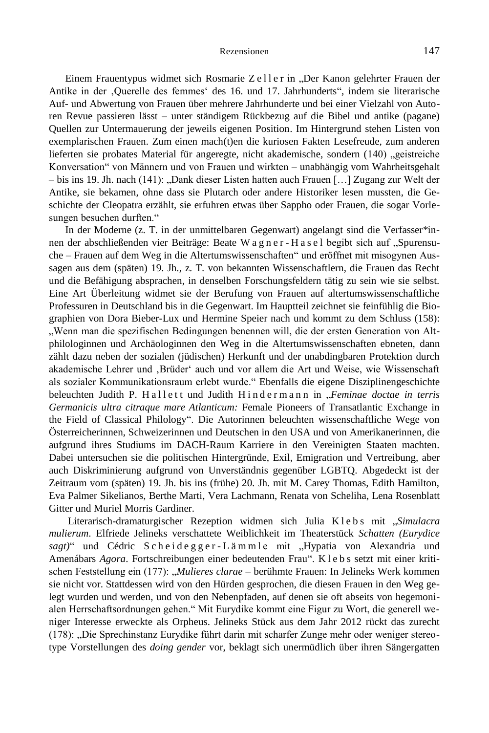Einem Frauentypus widmet sich Rosmarie Zeller in "Der Kanon gelehrter Frauen der Antike in der 'Querelle des femmes' des 16. und 17. Jahrhunderts", indem sie literarische Auf- und Abwertung von Frauen über mehrere Jahrhunderte und bei einer Vielzahl von Autoren Revue passieren lässt – unter ständigem Rückbezug auf die Bibel und antike (pagane) Quellen zur Untermauerung der jeweils eigenen Position. Im Hintergrund stehen Listen von exemplarischen Frauen. Zum einen mach(t)en die kuriosen Fakten Lesefreude, zum anderen lieferten sie probates Material für angeregte, nicht akademische, sondern (140) "geistreiche Konversation" von Männern und von Frauen und wirkten – unabhängig vom Wahrheitsgehalt  $-$  bis ins 19. Jh. nach (141): "Dank dieser Listen hatten auch Frauen [...] Zugang zur Welt der Antike, sie bekamen, ohne dass sie Plutarch oder andere Historiker lesen mussten, die Geschichte der Cleopatra erzählt, sie erfuhren etwas über Sappho oder Frauen, die sogar Vorlesungen besuchen durften."

In der Moderne (z. T. in der unmittelbaren Gegenwart) angelangt sind die Verfasser\*innen der abschließenden vier Beiträge: Beate W a g n e r - H a s e l begibt sich auf "Spurensuche – Frauen auf dem Weg in die Altertumswissenschaften" und eröffnet mit misogynen Aussagen aus dem (späten) 19. Jh., z. T. von bekannten Wissenschaftlern, die Frauen das Recht und die Befähigung absprachen, in denselben Forschungsfeldern tätig zu sein wie sie selbst. Eine Art Überleitung widmet sie der Berufung von Frauen auf altertumswissenschaftliche Professuren in Deutschland bis in die Gegenwart. Im Hauptteil zeichnet sie feinfühlig die Biographien von Dora Bieber-Lux und Hermine Speier nach und kommt zu dem Schluss (158): "Wenn man die spezifischen Bedingungen benennen will, die der ersten Generation von Altphilologinnen und Archäologinnen den Weg in die Altertumswissenschaften ebneten, dann zählt dazu neben der sozialen (jüdischen) Herkunft und der unabdingbaren Protektion durch akademische Lehrer und 'Brüder' auch und vor allem die Art und Weise, wie Wissenschaft als sozialer Kommunikationsraum erlebt wurde." Ebenfalls die eigene Disziplinengeschichte beleuchten Judith P. Hallett und Judith Hindermann in *"Feminae doctae in terris Germanicis ultra citraque mare Atlanticum:* Female Pioneers of Transatlantic Exchange in the Field of Classical Philology". Die Autorinnen beleuchten wissenschaftliche Wege von Österreicherinnen, Schweizerinnen und Deutschen in den USA und von Amerikanerinnen, die aufgrund ihres Studiums im DACH-Raum Karriere in den Vereinigten Staaten machten. Dabei untersuchen sie die politischen Hintergründe, Exil, Emigration und Vertreibung, aber auch Diskriminierung aufgrund von Unverständnis gegenüber LGBTQ. Abgedeckt ist der Zeitraum vom (späten) 19. Jh. bis ins (frühe) 20. Jh. mit M. Carey Thomas, Edith Hamilton, Eva Palmer Sikelianos, Berthe Marti, Vera Lachmann, Renata von Scheliha, Lena Rosenblatt Gitter und Muriel Morris Gardiner.

Literarisch-dramaturgischer Rezeption widmen sich Julia K l e b s mit "*Simulacra mulierum*. Elfriede Jelineks verschattete Weiblichkeit im Theaterstück *Schatten (Eurydice*  sagt)" und Cédric Scheidegger-Lämmle mit "Hypatia von Alexandria und Amenábars *Agora*. Fortschreibungen einer bedeutenden Frau". K l e b s setzt mit einer kritischen Feststellung ein (177): "*Mulieres clarae* – berühmte Frauen: In Jelineks Werk kommen sie nicht vor. Stattdessen wird von den Hürden gesprochen, die diesen Frauen in den Weg gelegt wurden und werden, und von den Nebenpfaden, auf denen sie oft abseits von hegemonialen Herrschaftsordnungen gehen." Mit Eurydike kommt eine Figur zu Wort, die generell weniger Interesse erweckte als Orpheus. Jelineks Stück aus dem Jahr 2012 rückt das zurecht (178): "Die Sprechinstanz Eurydike führt darin mit scharfer Zunge mehr oder weniger stereotype Vorstellungen des *doing gender* vor, beklagt sich unermüdlich über ihren Sängergatten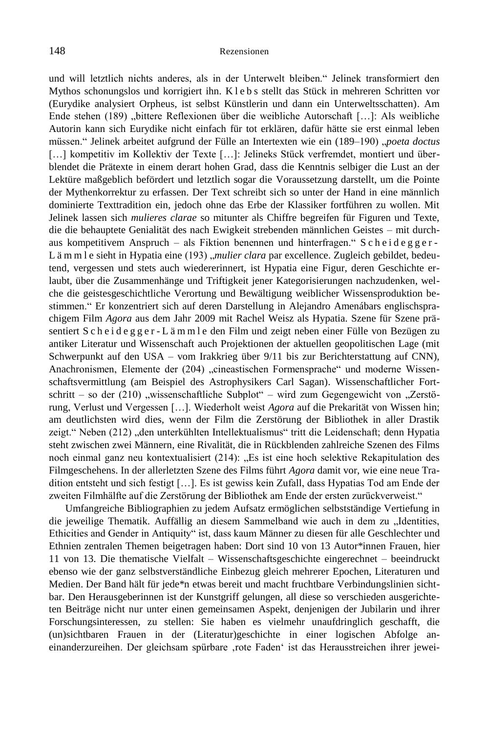und will letztlich nichts anderes, als in der Unterwelt bleiben." Jelinek transformiert den Mythos schonungslos und korrigiert ihn. K l e b s stellt das Stück in mehreren Schritten vor (Eurydike analysiert Orpheus, ist selbst Künstlerin und dann ein Unterweltsschatten). Am Ende stehen (189) "bittere Reflexionen über die weibliche Autorschaft […]: Als weibliche Autorin kann sich Eurydike nicht einfach für tot erklären, dafür hätte sie erst einmal leben müssen." Jelinek arbeitet aufgrund der Fülle an Intertexten wie ein (189–190) "poeta doctus [...] kompetitiv im Kollektiv der Texte [...]: Jelineks Stück verfremdet, montiert und überblendet die Prätexte in einem derart hohen Grad, dass die Kenntnis selbiger die Lust an der Lektüre maßgeblich befördert und letztlich sogar die Voraussetzung darstellt, um die Pointe der Mythenkorrektur zu erfassen. Der Text schreibt sich so unter der Hand in eine männlich dominierte Texttradition ein, jedoch ohne das Erbe der Klassiker fortführen zu wollen. Mit Jelinek lassen sich *mulieres clarae* so mitunter als Chiffre begreifen für Figuren und Texte, die die behauptete Genialität des nach Ewigkeit strebenden männlichen Geistes – mit durchaus kompetitivem Anspruch – als Fiktion benennen und hinterfragen." S c h e i d e g g e r - L ä m m l e sieht in Hypatia eine (193) *, mulier clara* par excellence. Zugleich gebildet, bedeutend, vergessen und stets auch wiedererinnert, ist Hypatia eine Figur, deren Geschichte erlaubt, über die Zusammenhänge und Triftigkeit jener Kategorisierungen nachzudenken, welche die geistesgeschichtliche Verortung und Bewältigung weiblicher Wissensproduktion bestimmen." Er konzentriert sich auf deren Darstellung in Alejandro Amenábars englischsprachigem Film *Agora* aus dem Jahr 2009 mit Rachel Weisz als Hypatia. Szene für Szene präsentiert S c h e i d e g g e r - L ä m m l e den Film und zeigt neben einer Fülle von Bezügen zu antiker Literatur und Wissenschaft auch Projektionen der aktuellen geopolitischen Lage (mit Schwerpunkt auf den USA – vom Irakkrieg über 9/11 bis zur Berichterstattung auf CNN), Anachronismen, Elemente der (204) "cineastischen Formensprache" und moderne Wissenschaftsvermittlung (am Beispiel des Astrophysikers Carl Sagan). Wissenschaftlicher Fortschritt – so der (210) "wissenschaftliche Subplot" – wird zum Gegengewicht von "Zerstörung, Verlust und Vergessen […]. Wiederholt weist *Agora* auf die Prekarität von Wissen hin; am deutlichsten wird dies, wenn der Film die Zerstörung der Bibliothek in aller Drastik zeigt." Neben (212) "den unterkühlten Intellektualismus" tritt die Leidenschaft; denn Hypatia steht zwischen zwei Männern, eine Rivalität, die in Rückblenden zahlreiche Szenen des Films noch einmal ganz neu kontextualisiert (214): "Es ist eine hoch selektive Rekapitulation des Filmgeschehens. In der allerletzten Szene des Films führt *Agora* damit vor, wie eine neue Tradition entsteht und sich festigt […]. Es ist gewiss kein Zufall, dass Hypatias Tod am Ende der zweiten Filmhälfte auf die Zerstörung der Bibliothek am Ende der ersten zurückverweist."

Umfangreiche Bibliographien zu jedem Aufsatz ermöglichen selbstständige Vertiefung in die jeweilige Thematik. Auffällig an diesem Sammelband wie auch in dem zu "Identities, Ethicities and Gender in Antiquity" ist, dass kaum Männer zu diesen für alle Geschlechter und Ethnien zentralen Themen beigetragen haben: Dort sind 10 von 13 Autor\*innen Frauen, hier 11 von 13. Die thematische Vielfalt – Wissenschaftsgeschichte eingerechnet – beeindruckt ebenso wie der ganz selbstverständliche Einbezug gleich mehrerer Epochen, Literaturen und Medien. Der Band hält für jede\*n etwas bereit und macht fruchtbare Verbindungslinien sichtbar. Den Herausgeberinnen ist der Kunstgriff gelungen, all diese so verschieden ausgerichteten Beiträge nicht nur unter einen gemeinsamen Aspekt, denjenigen der Jubilarin und ihrer Forschungsinteressen, zu stellen: Sie haben es vielmehr unaufdringlich geschafft, die (un)sichtbaren Frauen in der (Literatur)geschichte in einer logischen Abfolge aneinanderzureihen. Der gleichsam spürbare ,rote Faden' ist das Herausstreichen ihrer jewei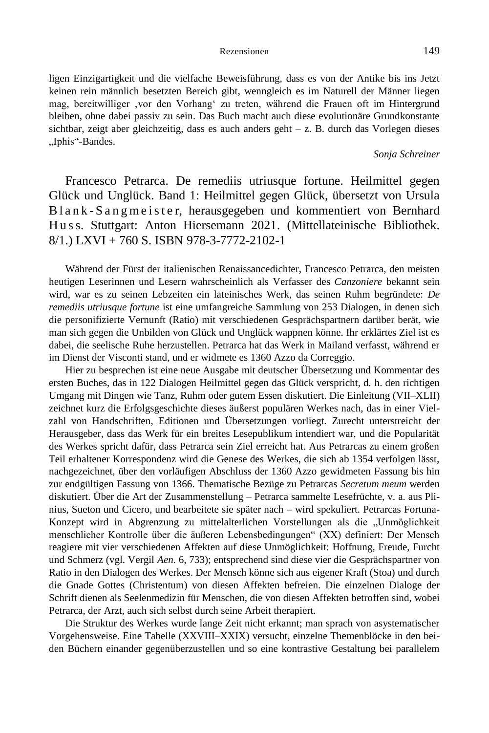ligen Einzigartigkeit und die vielfache Beweisführung, dass es von der Antike bis ins Jetzt keinen rein männlich besetzten Bereich gibt, wenngleich es im Naturell der Männer liegen mag, bereitwilliger ,vor den Vorhang' zu treten, während die Frauen oft im Hintergrund bleiben, ohne dabei passiv zu sein. Das Buch macht auch diese evolutionäre Grundkonstante sichtbar, zeigt aber gleichzeitig, dass es auch anders geht – z. B. durch das Vorlegen dieses "Iphis"-Bandes.

# *Sonja Schreiner*

Francesco Petrarca. De remediis utriusque fortune. Heilmittel gegen Glück und Unglück. Band 1: Heilmittel gegen Glück, übersetzt von Ursula B l a n k - S a n g m e i s t e r, herausgegeben und kommentiert von Bernhard H u ss. Stuttgart: Anton Hiersemann 2021. (Mittellateinische Bibliothek. 8/1.) LXVI + 760 S. ISBN 978-3-7772-2102-1

Während der Fürst der italienischen Renaissancedichter, Francesco Petrarca, den meisten heutigen Leserinnen und Lesern wahrscheinlich als Verfasser des *Canzoniere* bekannt sein wird, war es zu seinen Lebzeiten ein lateinisches Werk, das seinen Ruhm begründete: *De remediis utriusque fortune* ist eine umfangreiche Sammlung von 253 Dialogen, in denen sich die personifizierte Vernunft (Ratio) mit verschiedenen Gesprächspartnern darüber berät, wie man sich gegen die Unbilden von Glück und Unglück wappnen könne. Ihr erklärtes Ziel ist es dabei, die seelische Ruhe herzustellen. Petrarca hat das Werk in Mailand verfasst, während er im Dienst der Visconti stand, und er widmete es 1360 Azzo da Correggio.

Hier zu besprechen ist eine neue Ausgabe mit deutscher Übersetzung und Kommentar des ersten Buches, das in 122 Dialogen Heilmittel gegen das Glück verspricht, d. h. den richtigen Umgang mit Dingen wie Tanz, Ruhm oder gutem Essen diskutiert. Die Einleitung (VII–XLII) zeichnet kurz die Erfolgsgeschichte dieses äußerst populären Werkes nach, das in einer Vielzahl von Handschriften, Editionen und Übersetzungen vorliegt. Zurecht unterstreicht der Herausgeber, dass das Werk für ein breites Lesepublikum intendiert war, und die Popularität des Werkes spricht dafür, dass Petrarca sein Ziel erreicht hat. Aus Petrarcas zu einem großen Teil erhaltener Korrespondenz wird die Genese des Werkes, die sich ab 1354 verfolgen lässt, nachgezeichnet, über den vorläufigen Abschluss der 1360 Azzo gewidmeten Fassung bis hin zur endgültigen Fassung von 1366. Thematische Bezüge zu Petrarcas *Secretum meum* werden diskutiert. Über die Art der Zusammenstellung – Petrarca sammelte Lesefrüchte, v. a. aus Plinius, Sueton und Cicero, und bearbeitete sie später nach – wird spekuliert. Petrarcas Fortuna-Konzept wird in Abgrenzung zu mittelalterlichen Vorstellungen als die "Unmöglichkeit menschlicher Kontrolle über die äußeren Lebensbedingungen" (XX) definiert: Der Mensch reagiere mit vier verschiedenen Affekten auf diese Unmöglichkeit: Hoffnung, Freude, Furcht und Schmerz (vgl. Vergil *Aen.* 6, 733); entsprechend sind diese vier die Gesprächspartner von Ratio in den Dialogen des Werkes. Der Mensch könne sich aus eigener Kraft (Stoa) und durch die Gnade Gottes (Christentum) von diesen Affekten befreien. Die einzelnen Dialoge der Schrift dienen als Seelenmedizin für Menschen, die von diesen Affekten betroffen sind, wobei Petrarca, der Arzt, auch sich selbst durch seine Arbeit therapiert.

Die Struktur des Werkes wurde lange Zeit nicht erkannt; man sprach von asystematischer Vorgehensweise. Eine Tabelle (XXVIII–XXIX) versucht, einzelne Themenblöcke in den beiden Büchern einander gegenüberzustellen und so eine kontrastive Gestaltung bei parallelem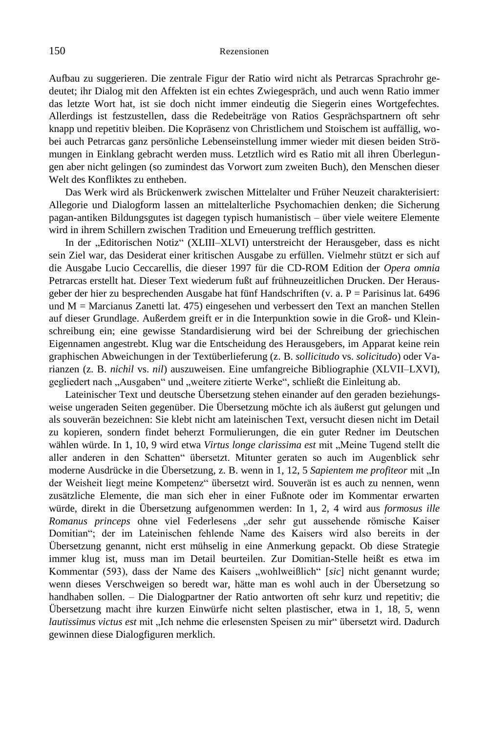Aufbau zu suggerieren. Die zentrale Figur der Ratio wird nicht als Petrarcas Sprachrohr gedeutet; ihr Dialog mit den Affekten ist ein echtes Zwiegespräch, und auch wenn Ratio immer das letzte Wort hat, ist sie doch nicht immer eindeutig die Siegerin eines Wortgefechtes. Allerdings ist festzustellen, dass die Redebeiträge von Ratios Gesprächspartnern oft sehr knapp und repetitiv bleiben. Die Kopräsenz von Christlichem und Stoischem ist auffällig, wobei auch Petrarcas ganz persönliche Lebenseinstellung immer wieder mit diesen beiden Strömungen in Einklang gebracht werden muss. Letztlich wird es Ratio mit all ihren Überlegungen aber nicht gelingen (so zumindest das Vorwort zum zweiten Buch), den Menschen dieser Welt des Konfliktes zu entheben.

Das Werk wird als Brückenwerk zwischen Mittelalter und Früher Neuzeit charakterisiert: Allegorie und Dialogform lassen an mittelalterliche Psychomachien denken; die Sicherung pagan-antiken Bildungsgutes ist dagegen typisch humanistisch – über viele weitere Elemente wird in ihrem Schillern zwischen Tradition und Erneuerung trefflich gestritten.

In der "Editorischen Notiz" (XLIII–XLVI) unterstreicht der Herausgeber, dass es nicht sein Ziel war, das Desiderat einer kritischen Ausgabe zu erfüllen. Vielmehr stützt er sich auf die Ausgabe Lucio Ceccarellis, die dieser 1997 für die CD-ROM Edition der *Opera omnia* Petrarcas erstellt hat. Dieser Text wiederum fußt auf frühneuzeitlichen Drucken. Der Herausgeber der hier zu besprechenden Ausgabe hat fünf Handschriften (v. a. P = Parisinus lat. 6496 und M = Marcianus Zanetti lat. 475) eingesehen und verbessert den Text an manchen Stellen auf dieser Grundlage. Außerdem greift er in die Interpunktion sowie in die Groß- und Kleinschreibung ein; eine gewisse Standardisierung wird bei der Schreibung der griechischen Eigennamen angestrebt. Klug war die Entscheidung des Herausgebers, im Apparat keine rein graphischen Abweichungen in der Textüberlieferung (z. B. *sollicitudo* vs. *solicitudo*) oder Varianzen (z. B. *nichil* vs. *nil*) auszuweisen. Eine umfangreiche Bibliographie (XLVII–LXVI), gegliedert nach "Ausgaben" und "weitere zitierte Werke", schließt die Einleitung ab.

Lateinischer Text und deutsche Übersetzung stehen einander auf den geraden beziehungsweise ungeraden Seiten gegenüber. Die Übersetzung möchte ich als äußerst gut gelungen und als souverän bezeichnen: Sie klebt nicht am lateinischen Text, versucht diesen nicht im Detail zu kopieren, sondern findet beherzt Formulierungen, die ein guter Redner im Deutschen wählen würde. In 1, 10, 9 wird etwa *Virtus longe clarissima est* mit "Meine Tugend stellt die aller anderen in den Schatten" übersetzt. Mitunter geraten so auch im Augenblick sehr moderne Ausdrücke in die Übersetzung, z. B. wenn in 1, 12, 5 *Sapientem me profiteor* mit "In der Weisheit liegt meine Kompetenz" übersetzt wird. Souverän ist es auch zu nennen, wenn zusätzliche Elemente, die man sich eher in einer Fußnote oder im Kommentar erwarten würde, direkt in die Übersetzung aufgenommen werden: In 1, 2, 4 wird aus *formosus ille Romanus princeps* ohne viel Federlesens "der sehr gut aussehende römische Kaiser Domitian"; der im Lateinischen fehlende Name des Kaisers wird also bereits in der Übersetzung genannt, nicht erst mühselig in eine Anmerkung gepackt. Ob diese Strategie immer klug ist, muss man im Detail beurteilen. Zur Domitian-Stelle heißt es etwa im Kommentar (593), dass der Name des Kaisers "wohlweißlich" [sic] nicht genannt wurde; wenn dieses Verschweigen so beredt war, hätte man es wohl auch in der Übersetzung so handhaben sollen. – Die Dialogpartner der Ratio antworten oft sehr kurz und repetitiv; die Übersetzung macht ihre kurzen Einwürfe nicht selten plastischer, etwa in 1, 18, 5, wenn *lautissimus victus est* mit "Ich nehme die erlesensten Speisen zu mir" übersetzt wird. Dadurch gewinnen diese Dialogfiguren merklich.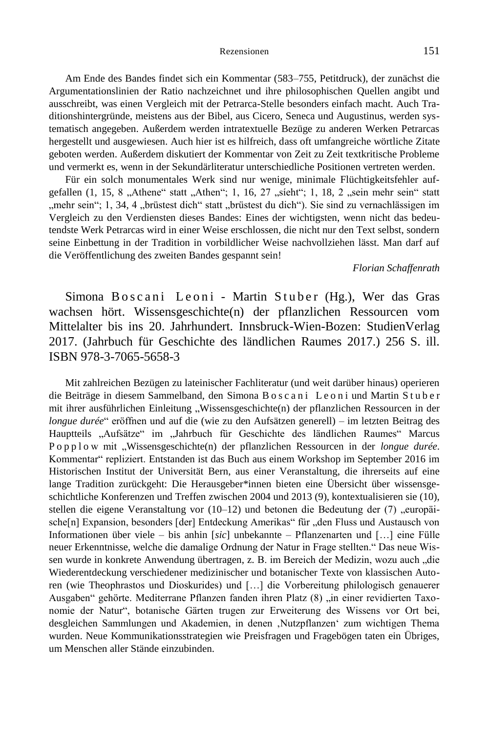Am Ende des Bandes findet sich ein Kommentar (583–755, Petitdruck), der zunächst die Argumentationslinien der Ratio nachzeichnet und ihre philosophischen Quellen angibt und ausschreibt, was einen Vergleich mit der Petrarca-Stelle besonders einfach macht. Auch Traditionshintergründe, meistens aus der Bibel, aus Cicero, Seneca und Augustinus, werden systematisch angegeben. Außerdem werden intratextuelle Bezüge zu anderen Werken Petrarcas hergestellt und ausgewiesen. Auch hier ist es hilfreich, dass oft umfangreiche wörtliche Zitate geboten werden. Außerdem diskutiert der Kommentar von Zeit zu Zeit textkritische Probleme und vermerkt es, wenn in der Sekundärliteratur unterschiedliche Positionen vertreten werden.

Für ein solch monumentales Werk sind nur wenige, minimale Flüchtigkeitsfehler aufgefallen  $(1, 15, 8, A$ thene" statt "Athen"; 1, 16, 27 "síeht"; 1, 18, 2 "sein mehr sein" statt "mehr sein"; 1, 34, 4 "brüstest dich" statt "brüstest du dich"). Sie sind zu vernachlässigen im Vergleich zu den Verdiensten dieses Bandes: Eines der wichtigsten, wenn nicht das bedeutendste Werk Petrarcas wird in einer Weise erschlossen, die nicht nur den Text selbst, sondern seine Einbettung in der Tradition in vorbildlicher Weise nachvollziehen lässt. Man darf auf die Veröffentlichung des zweiten Bandes gespannt sein!

#### *Florian Schaffenrath*

Simona Boscani Leoni - Martin Stuber (Hg.), Wer das Gras wachsen hört. Wissensgeschichte(n) der pflanzlichen Ressourcen vom Mittelalter bis ins 20. Jahrhundert. Innsbruck-Wien-Bozen: StudienVerlag 2017. (Jahrbuch für Geschichte des ländlichen Raumes 2017.) 256 S. ill. ISBN 978-3-7065-5658-3

Mit zahlreichen Bezügen zu lateinischer Fachliteratur (und weit darüber hinaus) operieren die Beiträge in diesem Sammelband, den Simona Boscani Leoni und Martin Stuber mit ihrer ausführlichen Einleitung "Wissensgeschichte(n) der pflanzlichen Ressourcen in der *longue durée*" eröffnen und auf die (wie zu den Aufsätzen generell) – im letzten Beitrag des Hauptteils "Aufsätze" im "Jahrbuch für Geschichte des ländlichen Raumes" Marcus P o p p l o w mit "Wissensgeschichte(n) der pflanzlichen Ressourcen in der *longue durée*. Kommentar" repliziert. Entstanden ist das Buch aus einem Workshop im September 2016 im Historischen Institut der Universität Bern, aus einer Veranstaltung, die ihrerseits auf eine lange Tradition zurückgeht: Die Herausgeber\*innen bieten eine Übersicht über wissensgeschichtliche Konferenzen und Treffen zwischen 2004 und 2013 (9), kontextualisieren sie (10), stellen die eigene Veranstaltung vor  $(10-12)$  und betonen die Bedeutung der  $(7)$ , europäische[n] Expansion, besonders [der] Entdeckung Amerikas" für "den Fluss und Austausch von Informationen über viele – bis anhin [*sic*] unbekannte – Pflanzenarten und […] eine Fülle neuer Erkenntnisse, welche die damalige Ordnung der Natur in Frage stellten." Das neue Wissen wurde in konkrete Anwendung übertragen, z. B. im Bereich der Medizin, wozu auch "die Wiederentdeckung verschiedener medizinischer und botanischer Texte von klassischen Autoren (wie Theophrastos und Dioskurides) und […] die Vorbereitung philologisch genauerer Ausgaben" gehörte. Mediterrane Pflanzen fanden ihren Platz (8) "in einer revidierten Taxonomie der Natur", botanische Gärten trugen zur Erweiterung des Wissens vor Ort bei, desgleichen Sammlungen und Akademien, in denen 'Nutzpflanzen' zum wichtigen Thema wurden. Neue Kommunikationsstrategien wie Preisfragen und Fragebögen taten ein Übriges, um Menschen aller Stände einzubinden.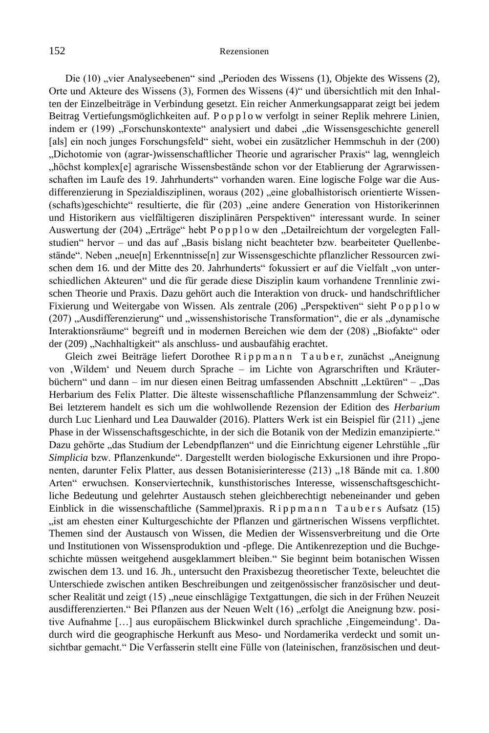Die (10) "vier Analyseebenen" sind "Perioden des Wissens (1), Objekte des Wissens (2), Orte und Akteure des Wissens (3), Formen des Wissens (4)" und übersichtlich mit den Inhalten der Einzelbeiträge in Verbindung gesetzt. Ein reicher Anmerkungsapparat zeigt bei jedem Beitrag Vertiefungsmöglichkeiten auf. P o p p l o w verfolgt in seiner Replik mehrere Linien, indem er (199) "Forschunskontexte" analysiert und dabei "die Wissensgeschichte generell [als] ein noch junges Forschungsfeld" sieht, wobei ein zusätzlicher Hemmschuh in der (200) "Dichotomie von (agrar-)wissenschaftlicher Theorie und agrarischer Praxis" lag, wenngleich "höchst komplex[e] agrarische Wissensbestände schon vor der Etablierung der Agrarwissenschaften im Laufe des 19. Jahrhunderts" vorhanden waren. Eine logische Folge war die Ausdifferenzierung in Spezialdisziplinen, woraus (202) "eine globalhistorisch orientierte Wissen-(schafts)geschichte" resultierte, die für (203) "eine andere Generation von Historikerinnen und Historikern aus vielfältigeren disziplinären Perspektiven" interessant wurde. In seiner Auswertung der (204) "Erträge" hebt P o p p l o w den "Detailreichtum der vorgelegten Fallstudien" hervor – und das auf "Basis bislang nicht beachteter bzw. bearbeiteter Quellenbestände". Neben "neue[n] Erkenntnisse[n] zur Wissensgeschichte pflanzlicher Ressourcen zwischen dem 16. und der Mitte des 20. Jahrhunderts" fokussiert er auf die Vielfalt "von unterschiedlichen Akteuren" und die für gerade diese Disziplin kaum vorhandene Trennlinie zwischen Theorie und Praxis. Dazu gehört auch die Interaktion von druck- und handschriftlicher Fixierung und Weitergabe von Wissen. Als zentrale (206) "Perspektiven" sieht P o p p l o w (207) "Ausdifferenzierung" und "wissenshistorische Transformation", die er als "dynamische Interaktionsräume" begreift und in modernen Bereichen wie dem der (208) "Biofakte" oder der (209) "Nachhaltigkeit" als anschluss- und ausbaufähig erachtet.

Gleich zwei Beiträge liefert Dorothee Rippmann Tauber, zunächst "Aneignung von 'Wildem' und Neuem durch Sprache – im Lichte von Agrarschriften und Kräuterbüchern" und dann – im nur diesen einen Beitrag umfassenden Abschnitt "Lektüren" – "Das Herbarium des Felix Platter. Die älteste wissenschaftliche Pflanzensammlung der Schweiz". Bei letzterem handelt es sich um die wohlwollende Rezension der Edition des *Herbarium*  durch Luc Lienhard und Lea Dauwalder (2016). Platters Werk ist ein Beispiel für (211) "jene Phase in der Wissenschaftsgeschichte, in der sich die Botanik von der Medizin emanzipierte." Dazu gehörte "das Studium der Lebendpflanzen" und die Einrichtung eigener Lehrstühle "für *Simplicia* bzw. Pflanzenkunde". Dargestellt werden biologische Exkursionen und ihre Proponenten, darunter Felix Platter, aus dessen Botanisierinteresse (213) "18 Bände mit ca. 1.800 Arten" erwuchsen. Konserviertechnik, kunsthistorisches Interesse, wissenschaftsgeschichtliche Bedeutung und gelehrter Austausch stehen gleichberechtigt nebeneinander und geben Einblick in die wissenschaftliche (Sammel)praxis. Rippmann Taubers Aufsatz (15) "ist am ehesten einer Kulturgeschichte der Pflanzen und gärtnerischen Wissens verpflichtet. Themen sind der Austausch von Wissen, die Medien der Wissensverbreitung und die Orte und Institutionen von Wissensproduktion und -pflege. Die Antikenrezeption und die Buchgeschichte müssen weitgehend ausgeklammert bleiben." Sie beginnt beim botanischen Wissen zwischen dem 13. und 16. Jh., untersucht den Praxisbezug theoretischer Texte, beleuchtet die Unterschiede zwischen antiken Beschreibungen und zeitgenössischer französischer und deutscher Realität und zeigt (15) "neue einschlägige Textgattungen, die sich in der Frühen Neuzeit ausdifferenzierten." Bei Pflanzen aus der Neuen Welt (16) "erfolgt die Aneignung bzw. positive Aufnahme [...] aus europäischem Blickwinkel durch sprachliche 'Eingemeindung'. Dadurch wird die geographische Herkunft aus Meso- und Nordamerika verdeckt und somit unsichtbar gemacht." Die Verfasserin stellt eine Fülle von (lateinischen, französischen und deut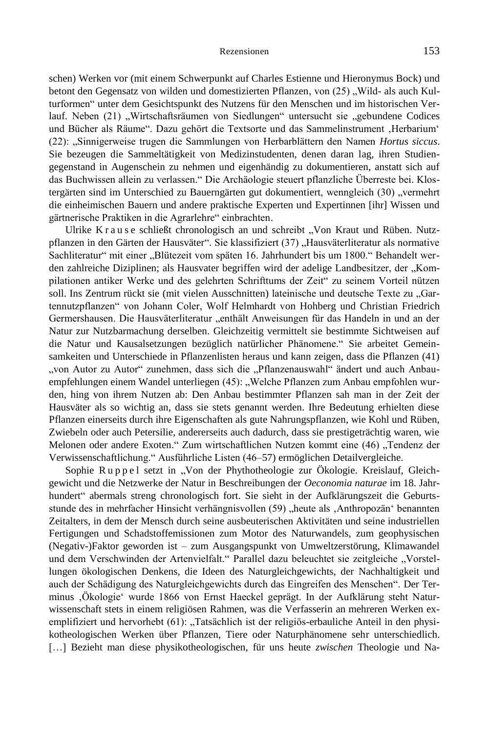schen) Werken vor (mit einem Schwerpunkt auf Charles Estienne und Hieronymus Bock) und betont den Gegensatz von wilden und domestizierten Pflanzen, von (25) "Wild- als auch Kulturformen" unter dem Gesichtspunkt des Nutzens für den Menschen und im historischen Verlauf. Neben (21) "Wirtschaftsräumen von Siedlungen" untersucht sie "gebundene Codices und Bücher als Räume". Dazu gehört die Textsorte und das Sammelinstrument 'Herbarium' (22): "Sinnigerweise trugen die Sammlungen von Herbarblättern den Namen *Hortus siccus*. Sie bezeugen die Sammeltätigkeit von Medizinstudenten, denen daran lag, ihren Studiengegenstand in Augenschein zu nehmen und eigenhändig zu dokumentieren, anstatt sich auf das Buchwissen allein zu verlassen." Die Archäologie steuert pflanzliche Überreste bei. Klostergärten sind im Unterschied zu Bauerngärten gut dokumentiert, wenngleich (30) "vermehrt die einheimischen Bauern und andere praktische Experten und Expertinnen [ihr] Wissen und gärtnerische Praktiken in die Agrarlehre" einbrachten.

Ulrike K r a u s e schließt chronologisch an und schreibt "Von Kraut und Rüben. Nutzpflanzen in den Gärten der Hausväter". Sie klassifiziert (37) "Hausväterliteratur als normative Sachliteratur" mit einer "Blütezeit vom späten 16. Jahrhundert bis um 1800." Behandelt werden zahlreiche Diziplinen; als Hausvater begriffen wird der adelige Landbesitzer, der "Kompilationen antiker Werke und des gelehrten Schrifttums der Zeit" zu seinem Vorteil nützen soll. Ins Zentrum rückt sie (mit vielen Ausschnitten) lateinische und deutsche Texte zu "Gartennutzpflanzen" von Johann Coler, Wolf Helmhardt von Hohberg und Christian Friedrich Germershausen. Die Hausväterliteratur "enthält Anweisungen für das Handeln in und an der Natur zur Nutzbarmachung derselben. Gleichzeitig vermittelt sie bestimmte Sichtweisen auf die Natur und Kausalsetzungen bezüglich natürlicher Phänomene." Sie arbeitet Gemeinsamkeiten und Unterschiede in Pflanzenlisten heraus und kann zeigen, dass die Pflanzen (41) "von Autor zu Autor" zunehmen, dass sich die "Pflanzenauswahl" ändert und auch Anbauempfehlungen einem Wandel unterliegen (45): "Welche Pflanzen zum Anbau empfohlen wurden, hing von ihrem Nutzen ab: Den Anbau bestimmter Pflanzen sah man in der Zeit der Hausväter als so wichtig an, dass sie stets genannt werden. Ihre Bedeutung erhielten diese Pflanzen einerseits durch ihre Eigenschaften als gute Nahrungspflanzen, wie Kohl und Rüben, Zwiebeln oder auch Petersilie, andererseits auch dadurch, dass sie prestigeträchtig waren, wie Melonen oder andere Exoten." Zum wirtschaftlichen Nutzen kommt eine (46) "Tendenz der Verwissenschaftlichung." Ausführliche Listen (46–57) ermöglichen Detailvergleiche.

Sophie Ruppel setzt in "Von der Phythotheologie zur Ökologie. Kreislauf, Gleichgewicht und die Netzwerke der Natur in Beschreibungen der *Oeconomia naturae* im 18. Jahrhundert" abermals streng chronologisch fort. Sie sieht in der Aufklärungszeit die Geburtsstunde des in mehrfacher Hinsicht verhängnisvollen (59) "heute als "Anthropozän" benannten Zeitalters, in dem der Mensch durch seine ausbeuterischen Aktivitäten und seine industriellen Fertigungen und Schadstoffemissionen zum Motor des Naturwandels, zum geophysischen (Negativ-)Faktor geworden ist – zum Ausgangspunkt von Umweltzerstörung, Klimawandel und dem Verschwinden der Artenvielfalt." Parallel dazu beleuchtet sie zeitgleiche "Vorstellungen ökologischen Denkens, die Ideen des Naturgleichgewichts, der Nachhaltigkeit und auch der Schädigung des Naturgleichgewichts durch das Eingreifen des Menschen". Der Terminus 'Ökologie' wurde 1866 von Ernst Haeckel geprägt. In der Aufklärung steht Naturwissenschaft stets in einem religiösen Rahmen, was die Verfasserin an mehreren Werken exemplifiziert und hervorhebt (61): "Tatsächlich ist der religiös-erbauliche Anteil in den physikotheologischen Werken über Pflanzen, Tiere oder Naturphänomene sehr unterschiedlich. […] Bezieht man diese physikotheologischen, für uns heute *zwischen* Theologie und Na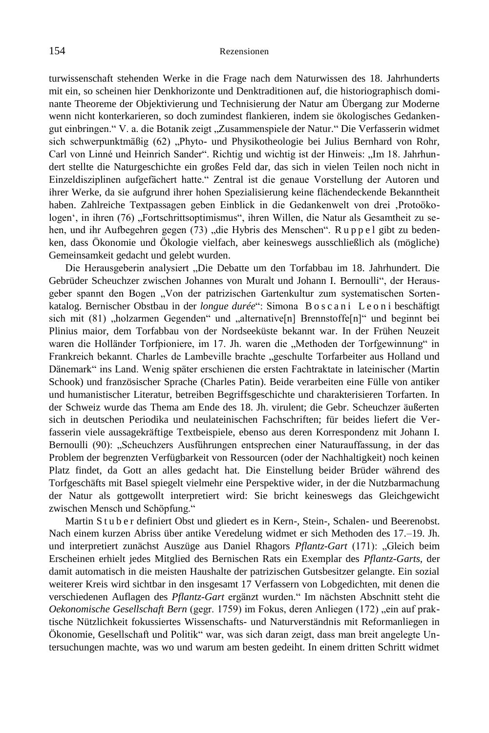turwissenschaft stehenden Werke in die Frage nach dem Naturwissen des 18. Jahrhunderts mit ein, so scheinen hier Denkhorizonte und Denktraditionen auf, die historiographisch dominante Theoreme der Objektivierung und Technisierung der Natur am Übergang zur Moderne wenn nicht konterkarieren, so doch zumindest flankieren, indem sie ökologisches Gedankengut einbringen." V. a. die Botanik zeigt "Zusammenspiele der Natur." Die Verfasserin widmet sich schwerpunktmäßig (62) "Phyto- und Physikotheologie bei Julius Bernhard von Rohr, Carl von Linné und Heinrich Sander". Richtig und wichtig ist der Hinweis: "Im 18. Jahrhundert stellte die Naturgeschichte ein großes Feld dar, das sich in vielen Teilen noch nicht in Einzeldisziplinen aufgefächert hatte." Zentral ist die genaue Vorstellung der Autoren und ihrer Werke, da sie aufgrund ihrer hohen Spezialisierung keine flächendeckende Bekanntheit haben. Zahlreiche Textpassagen geben Einblick in die Gedankenwelt von drei 'Protoökologen', in ihren (76) "Fortschrittsoptimismus", ihren Willen, die Natur als Gesamtheit zu sehen, und ihr Aufbegehren gegen (73) "die Hybris des Menschen". Ruppel gibt zu bedenken, dass Ökonomie und Ökologie vielfach, aber keineswegs ausschließlich als (mögliche) Gemeinsamkeit gedacht und gelebt wurden.

Die Herausgeberin analysiert "Die Debatte um den Torfabbau im 18. Jahrhundert. Die Gebrüder Scheuchzer zwischen Johannes von Muralt und Johann I. Bernoulli", der Herausgeber spannt den Bogen "Von der patrizischen Gartenkultur zum systematischen Sortenkatalog. Bernischer Obstbau in der *longue durée*": Simona Boscani Leoni beschäftigt sich mit  $(81)$ , holzarmen Gegenden" und "alternative[n] Brennstoffe[n]" und beginnt bei Plinius maior, dem Torfabbau von der Nordseeküste bekannt war. In der Frühen Neuzeit waren die Holländer Torfpioniere, im 17. Jh. waren die "Methoden der Torfgewinnung" in Frankreich bekannt. Charles de Lambeville brachte "geschulte Torfarbeiter aus Holland und Dänemark" ins Land. Wenig später erschienen die ersten Fachtraktate in lateinischer (Martin Schook) und französischer Sprache (Charles Patin). Beide verarbeiten eine Fülle von antiker und humanistischer Literatur, betreiben Begriffsgeschichte und charakterisieren Torfarten. In der Schweiz wurde das Thema am Ende des 18. Jh. virulent; die Gebr. Scheuchzer äußerten sich in deutschen Periodika und neulateinischen Fachschriften; für beides liefert die Verfasserin viele aussagekräftige Textbeispiele, ebenso aus deren Korrespondenz mit Johann I. Bernoulli (90): "Scheuchzers Ausführungen entsprechen einer Naturauffassung, in der das Problem der begrenzten Verfügbarkeit von Ressourcen (oder der Nachhaltigkeit) noch keinen Platz findet, da Gott an alles gedacht hat. Die Einstellung beider Brüder während des Torfgeschäfts mit Basel spiegelt vielmehr eine Perspektive wider, in der die Nutzbarmachung der Natur als gottgewollt interpretiert wird: Sie bricht keineswegs das Gleichgewicht zwischen Mensch und Schöpfung."

Martin S t u b e r definiert Obst und gliedert es in Kern-, Stein-, Schalen- und Beerenobst. Nach einem kurzen Abriss über antike Veredelung widmet er sich Methoden des 17.–19. Jh. und interpretiert zunächst Auszüge aus Daniel Rhagors *Pflantz-Gart* (171): "Gleich beim Erscheinen erhielt jedes Mitglied des Bernischen Rats ein Exemplar des *Pflantz-Garts*, der damit automatisch in die meisten Haushalte der patrizischen Gutsbesitzer gelangte. Ein sozial weiterer Kreis wird sichtbar in den insgesamt 17 Verfassern von Lobgedichten, mit denen die verschiedenen Auflagen des *Pflantz-Gart* ergänzt wurden." Im nächsten Abschnitt steht die *Oekonomische Gesellschaft Bern* (gegr. 1759) im Fokus, deren Anliegen (172) "ein auf praktische Nützlichkeit fokussiertes Wissenschafts- und Naturverständnis mit Reformanliegen in Ökonomie, Gesellschaft und Politik" war, was sich daran zeigt, dass man breit angelegte Untersuchungen machte, was wo und warum am besten gedeiht. In einem dritten Schritt widmet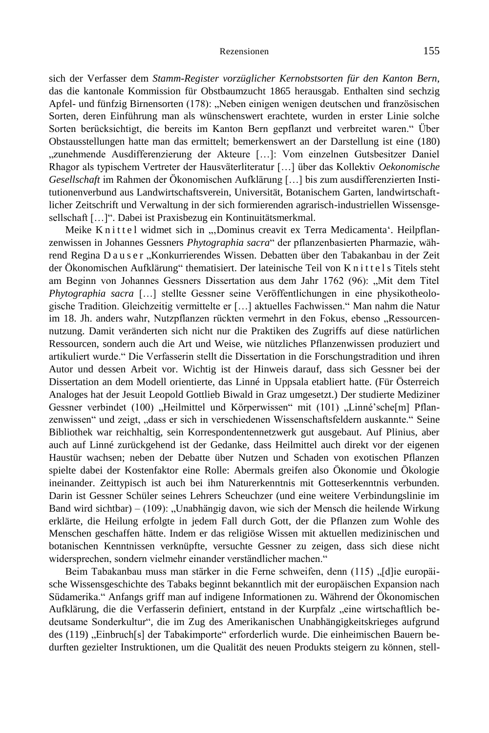sich der Verfasser dem *Stamm-Register vorzüglicher Kernobstsorten für den Kanton Bern*, das die kantonale Kommission für Obstbaumzucht 1865 herausgab. Enthalten sind sechzig Apfel- und fünfzig Birnensorten (178): "Neben einigen wenigen deutschen und französischen Sorten, deren Einführung man als wünschenswert erachtete, wurden in erster Linie solche Sorten berücksichtigt, die bereits im Kanton Bern gepflanzt und verbreitet waren." Über Obstausstellungen hatte man das ermittelt; bemerkenswert an der Darstellung ist eine (180) "zunehmende Ausdifferenzierung der Akteure [...]: Vom einzelnen Gutsbesitzer Daniel Rhagor als typischem Vertreter der Hausväterliteratur […] über das Kollektiv *Oekonomische Gesellschaft* im Rahmen der Ökonomischen Aufklärung […] bis zum ausdifferenzierten Institutionenverbund aus Landwirtschaftsverein, Universität, Botanischem Garten, landwirtschaftlicher Zeitschrift und Verwaltung in der sich formierenden agrarisch-industriellen Wissensgesellschaft […]". Dabei ist Praxisbezug ein Kontinuitätsmerkmal.

Meike Knittel widmet sich in "Dominus creavit ex Terra Medicamenta'. Heilpflanzenwissen in Johannes Gessners *Phytographia sacra*" der pflanzenbasierten Pharmazie, während Regina D a u s e r "Konkurrierendes Wissen. Debatten über den Tabakanbau in der Zeit der Ökonomischen Aufklärung" thematisiert. Der lateinische Teil von K n i t t e l s Titels steht am Beginn von Johannes Gessners Dissertation aus dem Jahr 1762 (96): "Mit dem Titel *Phytographia sacra* […] stellte Gessner seine Veröffentlichungen in eine physikotheologische Tradition. Gleichzeitig vermittelte er […] aktuelles Fachwissen." Man nahm die Natur im 18. Jh. anders wahr, Nutzpflanzen rückten vermehrt in den Fokus, ebenso "Ressourcennutzung. Damit veränderten sich nicht nur die Praktiken des Zugriffs auf diese natürlichen Ressourcen, sondern auch die Art und Weise, wie nützliches Pflanzenwissen produziert und artikuliert wurde." Die Verfasserin stellt die Dissertation in die Forschungstradition und ihren Autor und dessen Arbeit vor. Wichtig ist der Hinweis darauf, dass sich Gessner bei der Dissertation an dem Modell orientierte, das Linné in Uppsala etabliert hatte. (Für Österreich Analoges hat der Jesuit Leopold Gottlieb Biwald in Graz umgesetzt.) Der studierte Mediziner Gessner verbindet (100) "Heilmittel und Körperwissen" mit (101) "Linné'sche[m] Pflanzenwissen" und zeigt, "dass er sich in verschiedenen Wissenschaftsfeldern auskannte." Seine Bibliothek war reichhaltig, sein Korrespondentennetzwerk gut ausgebaut. Auf Plinius, aber auch auf Linné zurückgehend ist der Gedanke, dass Heilmittel auch direkt vor der eigenen Haustür wachsen; neben der Debatte über Nutzen und Schaden von exotischen Pflanzen spielte dabei der Kostenfaktor eine Rolle: Abermals greifen also Ökonomie und Ökologie ineinander. Zeittypisch ist auch bei ihm Naturerkenntnis mit Gotteserkenntnis verbunden. Darin ist Gessner Schüler seines Lehrers Scheuchzer (und eine weitere Verbindungslinie im Band wird sichtbar) – (109): "Unabhängig davon, wie sich der Mensch die heilende Wirkung erklärte, die Heilung erfolgte in jedem Fall durch Gott, der die Pflanzen zum Wohle des Menschen geschaffen hätte. Indem er das religiöse Wissen mit aktuellen medizinischen und botanischen Kenntnissen verknüpfte, versuchte Gessner zu zeigen, dass sich diese nicht widersprechen, sondern vielmehr einander verständlicher machen."

Beim Tabakanbau muss man stärker in die Ferne schweifen, denn (115) "[d]ie europäische Wissensgeschichte des Tabaks beginnt bekanntlich mit der europäischen Expansion nach Südamerika." Anfangs griff man auf indigene Informationen zu. Während der Ökonomischen Aufklärung, die die Verfasserin definiert, entstand in der Kurpfalz "eine wirtschaftlich bedeutsame Sonderkultur", die im Zug des Amerikanischen Unabhängigkeitskrieges aufgrund des (119) "Einbruch[s] der Tabakimporte" erforderlich wurde. Die einheimischen Bauern bedurften gezielter Instruktionen, um die Qualität des neuen Produkts steigern zu können, stell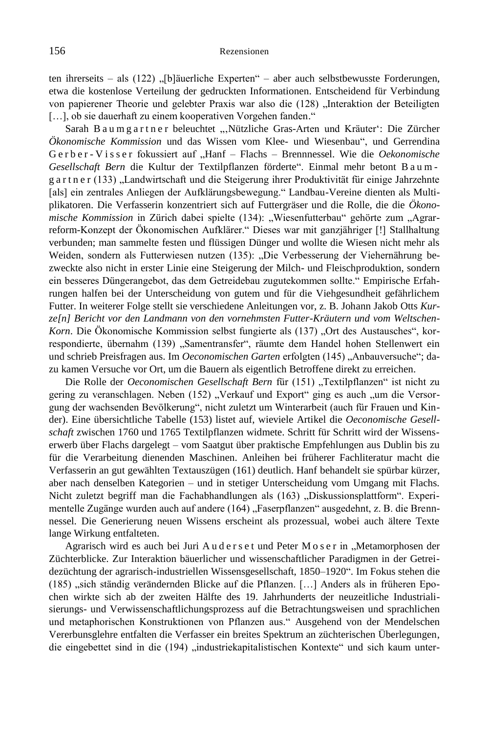ten ihrerseits – als (122) "[b]äuerliche Experten" – aber auch selbstbewusste Forderungen, etwa die kostenlose Verteilung der gedruckten Informationen. Entscheidend für Verbindung von papierener Theorie und gelebter Praxis war also die (128) "Interaktion der Beteiligten [...], ob sie dauerhaft zu einem kooperativen Vorgehen fanden."

Sarah B a u m g a r t n e r beleuchtet "Nützliche Gras-Arten und Kräuter": Die Zürcher *Ökonomische Kommission* und das Wissen vom Klee- und Wiesenbau", und Gerrendina G e r b e r - V i s s e r fokussiert auf "Hanf – Flachs – Brennnessel. Wie die Oekonomische *Gesellschaft Bern* die Kultur der Textilpflanzen förderte". Einmal mehr betont B a u m g a r t n e r (133) "Landwirtschaft und die Steigerung ihrer Produktivität für einige Jahrzehnte [als] ein zentrales Anliegen der Aufklärungsbewegung." Landbau-Vereine dienten als Multiplikatoren. Die Verfasserin konzentriert sich auf Futtergräser und die Rolle, die die *Ökonomische Kommission* in Zürich dabei spielte (134): "Wiesenfutterbau" gehörte zum "Agrarreform-Konzept der Ökonomischen Aufklärer." Dieses war mit ganzjähriger [!] Stallhaltung verbunden; man sammelte festen und flüssigen Dünger und wollte die Wiesen nicht mehr als Weiden, sondern als Futterwiesen nutzen (135): "Die Verbesserung der Viehernährung bezweckte also nicht in erster Linie eine Steigerung der Milch- und Fleischproduktion, sondern ein besseres Düngerangebot, das dem Getreidebau zugutekommen sollte." Empirische Erfahrungen halfen bei der Unterscheidung von gutem und für die Viehgesundheit gefährlichem Futter. In weiterer Folge stellt sie verschiedene Anleitungen vor, z. B. Johann Jakob Otts *Kurze[n] Bericht vor den Landmann von den vornehmsten Futter-Kräutern und vom Weltschen-Korn*. Die Ökonomische Kommission selbst fungierte als (137) "Ort des Austausches", korrespondierte, übernahm (139) "Samentransfer", räumte dem Handel hohen Stellenwert ein und schrieb Preisfragen aus. Im *Oeconomischen Garten* erfolgten (145) "Anbauversuche"; dazu kamen Versuche vor Ort, um die Bauern als eigentlich Betroffene direkt zu erreichen.

Die Rolle der Oeconomischen Gesellschaft Bern für (151) "Textilpflanzen" ist nicht zu gering zu veranschlagen. Neben (152) "Verkauf und Export" ging es auch "um die Versorgung der wachsenden Bevölkerung", nicht zuletzt um Winterarbeit (auch für Frauen und Kinder). Eine übersichtliche Tabelle (153) listet auf, wieviele Artikel die *Oeconomische Gesellschaft* zwischen 1760 und 1765 Textilpflanzen widmete. Schritt für Schritt wird der Wissenserwerb über Flachs dargelegt – vom Saatgut über praktische Empfehlungen aus Dublin bis zu für die Verarbeitung dienenden Maschinen. Anleihen bei früherer Fachliteratur macht die Verfasserin an gut gewählten Textauszügen (161) deutlich. Hanf behandelt sie spürbar kürzer, aber nach denselben Kategorien – und in stetiger Unterscheidung vom Umgang mit Flachs. Nicht zuletzt begriff man die Fachabhandlungen als (163) "Diskussionsplattform". Experimentelle Zugänge wurden auch auf andere (164) "Faserpflanzen" ausgedehnt, z. B. die Brennnessel. Die Generierung neuen Wissens erscheint als prozessual, wobei auch ältere Texte lange Wirkung entfalteten.

Agrarisch wird es auch bei Juri Auderset und Peter Moser in "Metamorphosen der Züchterblicke. Zur Interaktion bäuerlicher und wissenschaftlicher Paradigmen in der Getreidezüchtung der agrarisch-industriellen Wissensgesellschaft, 1850–1920". Im Fokus stehen die (185) "sich ständig verändernden Blicke auf die Pflanzen. [...] Anders als in früheren Epochen wirkte sich ab der zweiten Hälfte des 19. Jahrhunderts der neuzeitliche Industrialisierungs- und Verwissenschaftlichungsprozess auf die Betrachtungsweisen und sprachlichen und metaphorischen Konstruktionen von Pflanzen aus." Ausgehend von der Mendelschen Vererbunsglehre entfalten die Verfasser ein breites Spektrum an züchterischen Überlegungen, die eingebettet sind in die (194) "industriekapitalistischen Kontexte" und sich kaum unter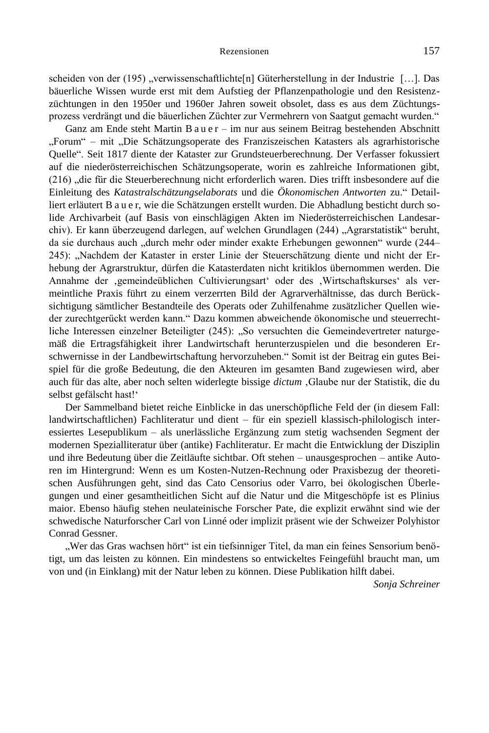scheiden von der (195) "verwissenschaftlichte[n] Güterherstellung in der Industrie [...]. Das bäuerliche Wissen wurde erst mit dem Aufstieg der Pflanzenpathologie und den Resistenzzüchtungen in den 1950er und 1960er Jahren soweit obsolet, dass es aus dem Züchtungsprozess verdrängt und die bäuerlichen Züchter zur Vermehrern von Saatgut gemacht wurden."

Ganz am Ende steht Martin B a u e r – im nur aus seinem Beitrag bestehenden Abschnitt "Forum" – mit "Die Schätzungsoperate des Franziszeischen Katasters als agrarhistorische Quelle". Seit 1817 diente der Kataster zur Grundsteuerberechnung. Der Verfasser fokussiert auf die niederösterreichischen Schätzungsoperate, worin es zahlreiche Informationen gibt, (216) "die für die Steuerberechnung nicht erforderlich waren. Dies trifft insbesondere auf die Einleitung des *Katastralschätzungselaborats* und die *Ökonomischen Antworten* zu." Detailliert erläutert B a u e r, wie die Schätzungen erstellt wurden. Die Abhadlung besticht durch solide Archivarbeit (auf Basis von einschlägigen Akten im Niederösterreichischen Landesarchiv). Er kann überzeugend darlegen, auf welchen Grundlagen (244) "Agrarstatistik" beruht, da sie durchaus auch "durch mehr oder minder exakte Erhebungen gewonnen" wurde (244– 245): "Nachdem der Kataster in erster Linie der Steuerschätzung diente und nicht der Erhebung der Agrarstruktur, dürfen die Katasterdaten nicht kritiklos übernommen werden. Die Annahme der 'gemeindeüblichen Cultivierungsart' oder des 'Wirtschaftskurses' als vermeintliche Praxis führt zu einem verzerrten Bild der Agrarverhältnisse, das durch Berücksichtigung sämtlicher Bestandteile des Operats oder Zuhilfenahme zusätzlicher Quellen wieder zurechtgerückt werden kann." Dazu kommen abweichende ökonomische und steuerrechtliche Interessen einzelner Beteiligter (245): "So versuchten die Gemeindevertreter naturgemäß die Ertragsfähigkeit ihrer Landwirtschaft herunterzuspielen und die besonderen Erschwernisse in der Landbewirtschaftung hervorzuheben." Somit ist der Beitrag ein gutes Beispiel für die große Bedeutung, die den Akteuren im gesamten Band zugewiesen wird, aber auch für das alte, aber noch selten widerlegte bissige *dictum* 'Glaube nur der Statistik, die du selbst gefälscht hast!'

Der Sammelband bietet reiche Einblicke in das unerschöpfliche Feld der (in diesem Fall: landwirtschaftlichen) Fachliteratur und dient – für ein speziell klassisch-philologisch interessiertes Lesepublikum – als unerlässliche Ergänzung zum stetig wachsenden Segment der modernen Spezialliteratur über (antike) Fachliteratur. Er macht die Entwicklung der Disziplin und ihre Bedeutung über die Zeitläufte sichtbar. Oft stehen – unausgesprochen – antike Autoren im Hintergrund: Wenn es um Kosten-Nutzen-Rechnung oder Praxisbezug der theoretischen Ausführungen geht, sind das Cato Censorius oder Varro, bei ökologischen Überlegungen und einer gesamtheitlichen Sicht auf die Natur und die Mitgeschöpfe ist es Plinius maior. Ebenso häufig stehen neulateinische Forscher Pate, die explizit erwähnt sind wie der schwedische Naturforscher Carl von Linné oder implizit präsent wie der Schweizer Polyhistor Conrad Gessner.

"Wer das Gras wachsen hört" ist ein tiefsinniger Titel, da man ein feines Sensorium benötigt, um das leisten zu können. Ein mindestens so entwickeltes Feingefühl braucht man, um von und (in Einklang) mit der Natur leben zu können. Diese Publikation hilft dabei.

*Sonja Schreiner*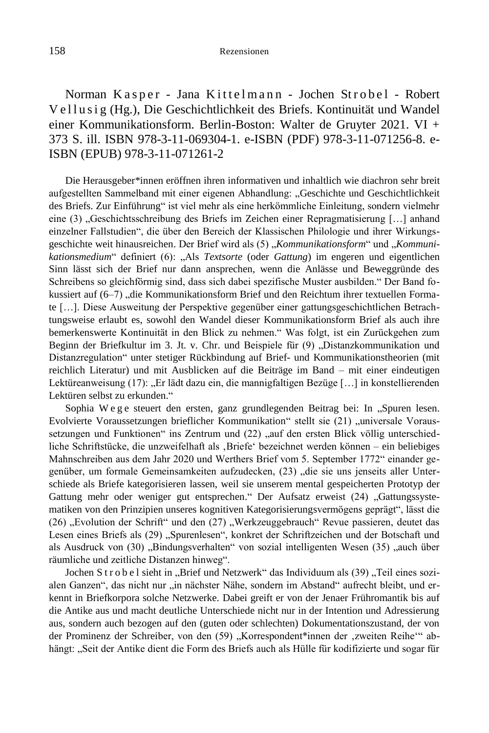Norman Kasper - Jana Kittelmann - Jochen Strobel - Robert Vellusig (Hg.), Die Geschichtlichkeit des Briefs. Kontinuität und Wandel einer Kommunikationsform. Berlin-Boston: Walter de Gruyter 2021. VI + 373 S. ill. ISBN 978-3-11-069304-1. e-ISBN (PDF) 978-3-11-071256-8. e-ISBN (EPUB) 978-3-11-071261-2

Die Herausgeber\*innen eröffnen ihren informativen und inhaltlich wie diachron sehr breit aufgestellten Sammelband mit einer eigenen Abhandlung: "Geschichte und Geschichtlichkeit des Briefs. Zur Einführung" ist viel mehr als eine herkömmliche Einleitung, sondern vielmehr eine (3) "Geschichtsschreibung des Briefs im Zeichen einer Repragmatisierung [...] anhand einzelner Fallstudien", die über den Bereich der Klassischen Philologie und ihrer Wirkungsgeschichte weit hinausreichen. Der Brief wird als (5) "Kommunikationsform" und "Kommunikationsmedium" definiert (6): "Als *Textsorte* (oder *Gattung*) im engeren und eigentlichen Sinn lässt sich der Brief nur dann ansprechen, wenn die Anlässe und Beweggründe des Schreibens so gleichförmig sind, dass sich dabei spezifische Muster ausbilden." Der Band fokussiert auf (6–7) "die Kommunikationsform Brief und den Reichtum ihrer textuellen Formate […]. Diese Ausweitung der Perspektive gegenüber einer gattungsgeschichtlichen Betrachtungsweise erlaubt es, sowohl den Wandel dieser Kommunikationsform Brief als auch ihre bemerkenswerte Kontinuität in den Blick zu nehmen." Was folgt, ist ein Zurückgehen zum Beginn der Briefkultur im 3. Jt. v. Chr. und Beispiele für (9) "Distanzkommunikation und Distanzregulation" unter stetiger Rückbindung auf Brief- und Kommunikationstheorien (mit reichlich Literatur) und mit Ausblicken auf die Beiträge im Band – mit einer eindeutigen Lektüreanweisung (17): "Er lädt dazu ein, die mannigfaltigen Bezüge [...] in konstellierenden Lektüren selbst zu erkunden."

Sophia W e g e steuert den ersten, ganz grundlegenden Beitrag bei: In "Spuren lesen. Evolvierte Voraussetzungen brieflicher Kommunikation" stellt sie (21) "universale Voraussetzungen und Funktionen" ins Zentrum und (22) "auf den ersten Blick völlig unterschiedliche Schriftstücke, die unzweifelhaft als ,Briefe' bezeichnet werden können – ein beliebiges Mahnschreiben aus dem Jahr 2020 und Werthers Brief vom 5. September 1772" einander gegenüber, um formale Gemeinsamkeiten aufzudecken, (23) "die sie uns jenseits aller Unterschiede als Briefe kategorisieren lassen, weil sie unserem mental gespeicherten Prototyp der Gattung mehr oder weniger gut entsprechen." Der Aufsatz erweist (24) "Gattungssystematiken von den Prinzipien unseres kognitiven Kategorisierungsvermögens geprägt", lässt die (26) "Evolution der Schrift" und den (27) "Werkzeuggebrauch" Revue passieren, deutet das Lesen eines Briefs als (29) "Spurenlesen", konkret der Schriftzeichen und der Botschaft und als Ausdruck von (30) "Bindungsverhalten" von sozial intelligenten Wesen (35) "auch über räumliche und zeitliche Distanzen hinweg".

Jochen S t r o b e l sieht in "Brief und Netzwerk" das Individuum als (39) "Teil eines sozialen Ganzen", das nicht nur "in nächster Nähe, sondern im Abstand" aufrecht bleibt, und erkennt in Briefkorpora solche Netzwerke. Dabei greift er von der Jenaer Frühromantik bis auf die Antike aus und macht deutliche Unterschiede nicht nur in der Intention und Adressierung aus, sondern auch bezogen auf den (guten oder schlechten) Dokumentationszustand, der von der Prominenz der Schreiber, von den (59) "Korrespondent\*innen der ,zweiten Reihe" abhängt: "Seit der Antike dient die Form des Briefs auch als Hülle für kodifizierte und sogar für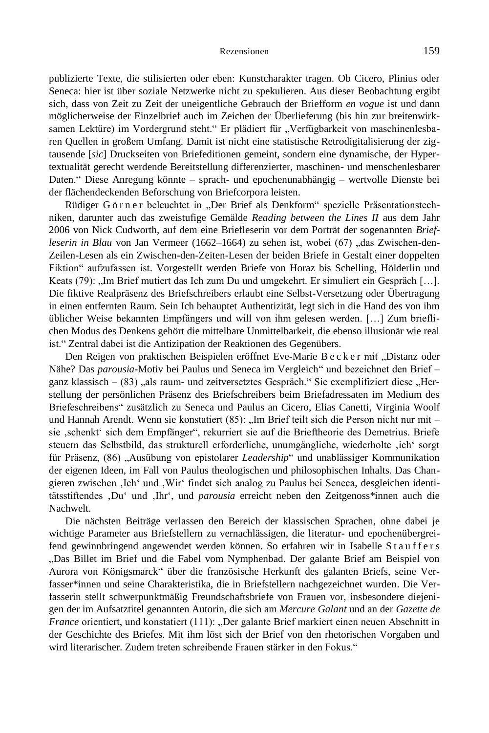publizierte Texte, die stilisierten oder eben: Kunstcharakter tragen. Ob Cicero, Plinius oder Seneca: hier ist über soziale Netzwerke nicht zu spekulieren. Aus dieser Beobachtung ergibt sich, dass von Zeit zu Zeit der uneigentliche Gebrauch der Briefform *en vogue* ist und dann möglicherweise der Einzelbrief auch im Zeichen der Überlieferung (bis hin zur breitenwirksamen Lektüre) im Vordergrund steht." Er plädiert für "Verfügbarkeit von maschinenlesbaren Quellen in großem Umfang. Damit ist nicht eine statistische Retrodigitalisierung der zigtausende [*sic*] Druckseiten von Briefeditionen gemeint, sondern eine dynamische, der Hypertextualität gerecht werdende Bereitstellung differenzierter, maschinen- und menschenlesbarer Daten." Diese Anregung könnte – sprach- und epochenunabhängig – wertvolle Dienste bei der flächendeckenden Beforschung von Briefcorpora leisten.

Rüdiger Görner beleuchtet in "Der Brief als Denkform" spezielle Präsentationstechniken, darunter auch das zweistufige Gemälde *Reading between the Lines II* aus dem Jahr 2006 von Nick Cudworth, auf dem eine Briefleserin vor dem Porträt der sogenannten *Briefleserin in Blau* von Jan Vermeer (1662–1664) zu sehen ist, wobei (67) "das Zwischen-den-Zeilen-Lesen als ein Zwischen-den-Zeiten-Lesen der beiden Briefe in Gestalt einer doppelten Fiktion" aufzufassen ist. Vorgestellt werden Briefe von Horaz bis Schelling, Hölderlin und Keats (79): "Im Brief mutiert das Ich zum Du und umgekehrt. Er simuliert ein Gespräch […]. Die fiktive Realpräsenz des Briefschreibers erlaubt eine Selbst-Versetzung oder Übertragung in einen entfernten Raum. Sein Ich behauptet Authentizität, legt sich in die Hand des von ihm üblicher Weise bekannten Empfängers und will von ihm gelesen werden. […] Zum brieflichen Modus des Denkens gehört die mittelbare Unmittelbarkeit, die ebenso illusionär wie real ist." Zentral dabei ist die Antizipation der Reaktionen des Gegenübers.

Den Reigen von praktischen Beispielen eröffnet Eve-Marie B e c k e r mit "Distanz oder Nähe? Das *parousia*-Motiv bei Paulus und Seneca im Vergleich" und bezeichnet den Brief – ganz klassisch –  $(83)$  "als raum- und zeitversetztes Gespräch." Sie exemplifiziert diese "Herstellung der persönlichen Präsenz des Briefschreibers beim Briefadressaten im Medium des Briefeschreibens" zusätzlich zu Seneca und Paulus an Cicero, Elias Canetti, Virginia Woolf und Hannah Arendt. Wenn sie konstatiert (85): "Im Brief teilt sich die Person nicht nur mit – sie 'schenkt' sich dem Empfänger", rekurriert sie auf die Brieftheorie des Demetrius. Briefe steuern das Selbstbild, das strukturell erforderliche, unumgängliche, wiederholte 'ich' sorgt für Präsenz, (86) "Ausübung von epistolarer *Leadership"* und unablässiger Kommunikation der eigenen Ideen, im Fall von Paulus theologischen und philosophischen Inhalts. Das Changieren zwischen 'Ich' und 'Wir' findet sich analog zu Paulus bei Seneca, desgleichen identitätsstiftendes ,Du' und ,Ihr', und *parousia* erreicht neben den Zeitgenoss\*innen auch die Nachwelt.

Die nächsten Beiträge verlassen den Bereich der klassischen Sprachen, ohne dabei je wichtige Parameter aus Briefstellern zu vernachlässigen, die literatur- und epochenübergreifend gewinnbringend angewendet werden können. So erfahren wir in Isabelle Stauffers "Das Billet im Brief und die Fabel vom Nymphenbad. Der galante Brief am Beispiel von Aurora von Königsmarck" über die französische Herkunft des galanten Briefs, seine Verfasser\*innen und seine Charakteristika, die in Briefstellern nachgezeichnet wurden. Die Verfasserin stellt schwerpunktmäßig Freundschaftsbriefe von Frauen vor, insbesondere diejenigen der im Aufsatztitel genannten Autorin, die sich am *Mercure Galant* und an der *Gazette de France* orientiert, und konstatiert (111): "Der galante Brief markiert einen neuen Abschnitt in der Geschichte des Briefes. Mit ihm löst sich der Brief von den rhetorischen Vorgaben und wird literarischer. Zudem treten schreibende Frauen stärker in den Fokus."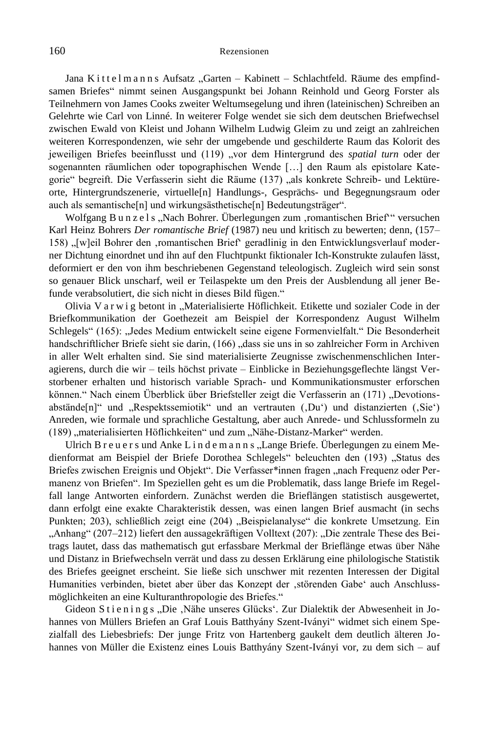Jana K i t t e l m a n n s Aufsatz "Garten – Kabinett – Schlachtfeld. Räume des empfindsamen Briefes" nimmt seinen Ausgangspunkt bei Johann Reinhold und Georg Forster als Teilnehmern von James Cooks zweiter Weltumsegelung und ihren (lateinischen) Schreiben an Gelehrte wie Carl von Linné. In weiterer Folge wendet sie sich dem deutschen Briefwechsel zwischen Ewald von Kleist und Johann Wilhelm Ludwig Gleim zu und zeigt an zahlreichen weiteren Korrespondenzen, wie sehr der umgebende und geschilderte Raum das Kolorit des jeweiligen Briefes beeinflusst und (119) "vor dem Hintergrund des spatial turn oder der sogenannten räumlichen oder topographischen Wende […] den Raum als epistolare Kategorie" begreift. Die Verfasserin sieht die Räume (137) "als konkrete Schreib- und Lektüreorte, Hintergrundszenerie, virtuelle[n] Handlungs-, Gesprächs- und Begegnungsraum oder auch als semantische[n] und wirkungsästhetische[n] Bedeutungsträger".

Wolfgang B u n z e l s "Nach Bohrer. Überlegungen zum ,romantischen Brief" versuchen Karl Heinz Bohrers *Der romantische Brief* (1987) neu und kritisch zu bewerten; denn, (157– 158) "[w]eil Bohrer den ,romantischen Brief<sup>\*</sup> geradlinig in den Entwicklungsverlauf moderner Dichtung einordnet und ihn auf den Fluchtpunkt fiktionaler Ich-Konstrukte zulaufen lässt, deformiert er den von ihm beschriebenen Gegenstand teleologisch. Zugleich wird sein sonst so genauer Blick unscharf, weil er Teilaspekte um den Preis der Ausblendung all jener Befunde verabsolutiert, die sich nicht in dieses Bild fügen."

Olivia V a r w i g betont in "Materialisierte Höflichkeit. Etikette und sozialer Code in der Briefkommunikation der Goethezeit am Beispiel der Korrespondenz August Wilhelm Schlegels" (165): "Jedes Medium entwickelt seine eigene Formenvielfalt." Die Besonderheit handschriftlicher Briefe sieht sie darin, (166) "dass sie uns in so zahlreicher Form in Archiven in aller Welt erhalten sind. Sie sind materialisierte Zeugnisse zwischenmenschlichen Interagierens, durch die wir – teils höchst private – Einblicke in Beziehungsgeflechte längst Verstorbener erhalten und historisch variable Sprach- und Kommunikationsmuster erforschen können." Nach einem Überblick über Briefsteller zeigt die Verfasserin an (171) "Devotionsabstände[n]" und "Respektssemiotik" und an vertrauten (,Du') und distanzierten (Sie') Anreden, wie formale und sprachliche Gestaltung, aber auch Anrede- und Schlussformeln zu (189) "materialisierten Höflichkeiten" und zum "Nähe-Distanz-Marker" werden.

Ulrich B r e u e r s und Anke L i n d e m a n n s "Lange Briefe. Überlegungen zu einem Medienformat am Beispiel der Briefe Dorothea Schlegels" beleuchten den (193) "Status des Briefes zwischen Ereignis und Objekt". Die Verfasser\*innen fragen "nach Frequenz oder Permanenz von Briefen". Im Speziellen geht es um die Problematik, dass lange Briefe im Regelfall lange Antworten einfordern. Zunächst werden die Brieflängen statistisch ausgewertet, dann erfolgt eine exakte Charakteristik dessen, was einen langen Brief ausmacht (in sechs Punkten; 203), schließlich zeigt eine (204) "Beispielanalyse" die konkrete Umsetzung. Ein "Anhang" (207–212) liefert den aussagekräftigen Volltext (207): "Die zentrale These des Beitrags lautet, dass das mathematisch gut erfassbare Merkmal der Brieflänge etwas über Nähe und Distanz in Briefwechseln verrät und dass zu dessen Erklärung eine philologische Statistik des Briefes geeignet erscheint. Sie ließe sich unschwer mit rezenten Interessen der Digital Humanities verbinden, bietet aber über das Konzept der 'störenden Gabe' auch Anschlussmöglichkeiten an eine Kulturanthropologie des Briefes."

Gideon S t i e n i n g s "Die "Nähe unseres Glücks". Zur Dialektik der Abwesenheit in Johannes von Müllers Briefen an Graf Louis Batthyány Szent-Iványi" widmet sich einem Spezialfall des Liebesbriefs: Der junge Fritz von Hartenberg gaukelt dem deutlich älteren Johannes von Müller die Existenz eines Louis Batthyány Szent-Iványi vor, zu dem sich – auf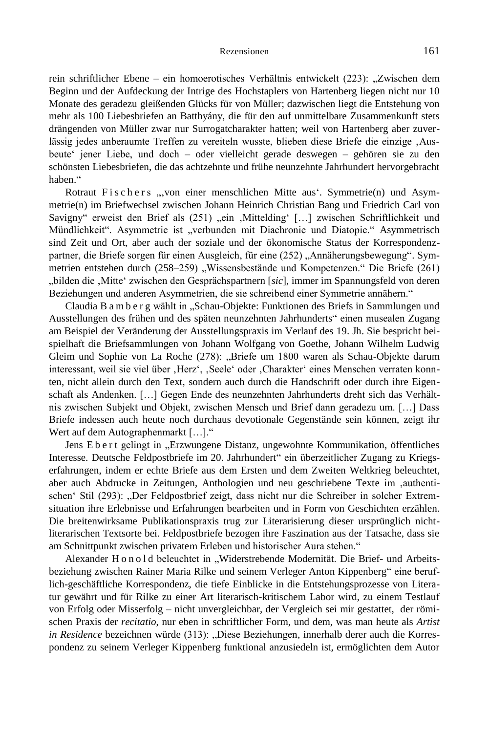rein schriftlicher Ebene – ein homoerotisches Verhältnis entwickelt (223): "Zwischen dem Beginn und der Aufdeckung der Intrige des Hochstaplers von Hartenberg liegen nicht nur 10 Monate des geradezu gleißenden Glücks für von Müller; dazwischen liegt die Entstehung von mehr als 100 Liebesbriefen an Batthyány, die für den auf unmittelbare Zusammenkunft stets drängenden von Müller zwar nur Surrogatcharakter hatten; weil von Hartenberg aber zuverlässig jedes anberaumte Treffen zu vereiteln wusste, blieben diese Briefe die einzige ,Ausbeute' jener Liebe, und doch – oder vielleicht gerade deswegen – gehören sie zu den schönsten Liebesbriefen, die das achtzehnte und frühe neunzehnte Jahrhundert hervorgebracht haben."

Rotraut Fischers ", von einer menschlichen Mitte aus'. Symmetrie(n) und Asymmetrie(n) im Briefwechsel zwischen Johann Heinrich Christian Bang und Friedrich Carl von Savigny" erweist den Brief als (251) "ein "Mittelding" [...] zwischen Schriftlichkeit und Mündlichkeit". Asymmetrie ist "verbunden mit Diachronie und Diatopie." Asymmetrisch sind Zeit und Ort, aber auch der soziale und der ökonomische Status der Korrespondenzpartner, die Briefe sorgen für einen Ausgleich, für eine (252) "Annäherungsbewegung". Symmetrien entstehen durch (258–259) "Wissensbestände und Kompetenzen." Die Briefe (261) "bilden die 'Mitte' zwischen den Gesprächspartnern [*sic*], immer im Spannungsfeld von deren Beziehungen und anderen Asymmetrien, die sie schreibend einer Symmetrie annähern."

Claudia B a m b e r g wählt in "Schau-Objekte: Funktionen des Briefs in Sammlungen und Ausstellungen des frühen und des späten neunzehnten Jahrhunderts" einen musealen Zugang am Beispiel der Veränderung der Ausstellungspraxis im Verlauf des 19. Jh. Sie bespricht beispielhaft die Briefsammlungen von Johann Wolfgang von Goethe, Johann Wilhelm Ludwig Gleim und Sophie von La Roche (278): "Briefe um 1800 waren als Schau-Objekte darum interessant, weil sie viel über ,Herz', ,Seele' oder ,Charakter' eines Menschen verraten konnten, nicht allein durch den Text, sondern auch durch die Handschrift oder durch ihre Eigenschaft als Andenken. […] Gegen Ende des neunzehnten Jahrhunderts dreht sich das Verhältnis zwischen Subjekt und Objekt, zwischen Mensch und Brief dann geradezu um. […] Dass Briefe indessen auch heute noch durchaus devotionale Gegenstände sein können, zeigt ihr Wert auf dem Autographenmarkt […]."

Jens E b e r t gelingt in "Erzwungene Distanz, ungewohnte Kommunikation, öffentliches Interesse. Deutsche Feldpostbriefe im 20. Jahrhundert" ein überzeitlicher Zugang zu Kriegserfahrungen, indem er echte Briefe aus dem Ersten und dem Zweiten Weltkrieg beleuchtet, aber auch Abdrucke in Zeitungen, Anthologien und neu geschriebene Texte im ,authentischen' Stil (293): "Der Feldpostbrief zeigt, dass nicht nur die Schreiber in solcher Extremsituation ihre Erlebnisse und Erfahrungen bearbeiten und in Form von Geschichten erzählen. Die breitenwirksame Publikationspraxis trug zur Literarisierung dieser ursprünglich nichtliterarischen Textsorte bei. Feldpostbriefe bezogen ihre Faszination aus der Tatsache, dass sie am Schnittpunkt zwischen privatem Erleben und historischer Aura stehen."

Alexander Honold beleuchtet in "Widerstrebende Modernität. Die Brief- und Arbeitsbeziehung zwischen Rainer Maria Rilke und seinem Verleger Anton Kippenberg" eine beruflich-geschäftliche Korrespondenz, die tiefe Einblicke in die Entstehungsprozesse von Literatur gewährt und für Rilke zu einer Art literarisch-kritischem Labor wird, zu einem Testlauf von Erfolg oder Misserfolg – nicht unvergleichbar, der Vergleich sei mir gestattet, der römischen Praxis der *recitatio*, nur eben in schriftlicher Form, und dem, was man heute als *Artist in Residence* bezeichnen würde (313): "Diese Beziehungen, innerhalb derer auch die Korrespondenz zu seinem Verleger Kippenberg funktional anzusiedeln ist, ermöglichten dem Autor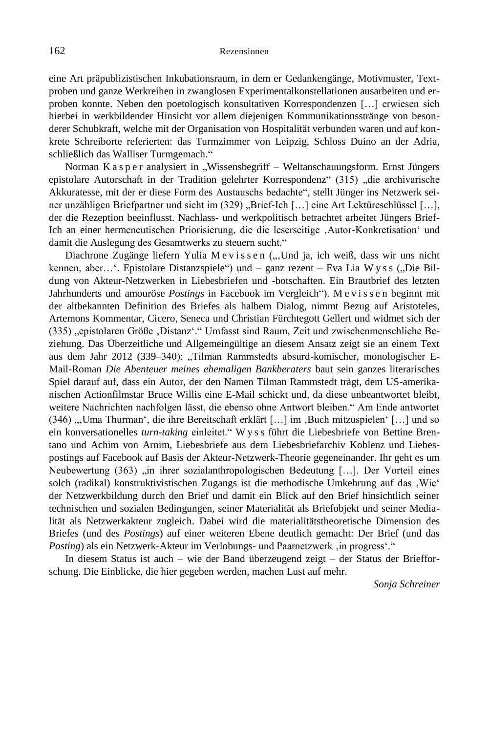eine Art präpublizistischen Inkubationsraum, in dem er Gedankengänge, Motivmuster, Textproben und ganze Werkreihen in zwanglosen Experimentalkonstellationen ausarbeiten und erproben konnte. Neben den poetologisch konsultativen Korrespondenzen […] erwiesen sich hierbei in werkbildender Hinsicht vor allem diejenigen Kommunikationsstränge von besonderer Schubkraft, welche mit der Organisation von Hospitalität verbunden waren und auf konkrete Schreiborte referierten: das Turmzimmer von Leipzig, Schloss Duino an der Adria, schließlich das Walliser Turmgemach."

Norman K a s p e r analysiert in "Wissensbegriff – Weltanschauungsform. Ernst Jüngers epistolare Autorschaft in der Tradition gelehrter Korrespondenz" (315) "die archivarische Akkuratesse, mit der er diese Form des Austauschs bedachte", stellt Jünger ins Netzwerk seiner unzähligen Briefpartner und sieht im (329) "Brief-Ich [...] eine Art Lektüreschlüssel [...], der die Rezeption beeinflusst. Nachlass- und werkpolitisch betrachtet arbeitet Jüngers Brief-Ich an einer hermeneutischen Priorisierung, die die leserseitige 'Autor-Konkretisation' und damit die Auslegung des Gesamtwerks zu steuern sucht."

Diachrone Zugänge liefern Yulia M e v i s s e n (... Und ja, ich weiß, dass wir uns nicht kennen, aber...'. Epistolare Distanzspiele") und – ganz rezent – Eva Lia W y s s ("Die Bildung von Akteur-Netzwerken in Liebesbriefen und -botschaften. Ein Brautbrief des letzten Jahrhunderts und amouröse *Postings* in Facebook im Vergleich"). M e v i s s e n beginnt mit der altbekannten Definition des Briefes als halbem Dialog, nimmt Bezug auf Aristoteles, Artemons Kommentar, Cicero, Seneca und Christian Fürchtegott Gellert und widmet sich der (335) "epistolaren Größe ,Distanz'." Umfasst sind Raum, Zeit und zwischenmenschliche Beziehung. Das Überzeitliche und Allgemeingültige an diesem Ansatz zeigt sie an einem Text aus dem Jahr 2012 (339–340): "Tilman Rammstedts absurd-komischer, monologischer E-Mail-Roman *Die Abenteuer meines ehemaligen Bankberaters* baut sein ganzes literarisches Spiel darauf auf, dass ein Autor, der den Namen Tilman Rammstedt trägt, dem US-amerikanischen Actionfilmstar Bruce Willis eine E-Mail schickt und, da diese unbeantwortet bleibt, weitere Nachrichten nachfolgen lässt, die ebenso ohne Antwort bleiben." Am Ende antwortet (346) "'Uma Thurman', die ihre Bereitschaft erklärt [...] im 'Buch mitzuspielen' [...] und so ein konversationelles *turn-taking* einleitet." W y s s führt die Liebesbriefe von Bettine Brentano und Achim von Arnim, Liebesbriefe aus dem Liebesbriefarchiv Koblenz und Liebespostings auf Facebook auf Basis der Akteur-Netzwerk-Theorie gegeneinander. Ihr geht es um Neubewertung (363) "in ihrer sozialanthropologischen Bedeutung [...]. Der Vorteil eines solch (radikal) konstruktivistischen Zugangs ist die methodische Umkehrung auf das , Wie' der Netzwerkbildung durch den Brief und damit ein Blick auf den Brief hinsichtlich seiner technischen und sozialen Bedingungen, seiner Materialität als Briefobjekt und seiner Medialität als Netzwerkakteur zugleich. Dabei wird die materialitätstheoretische Dimension des Briefes (und des *Postings*) auf einer weiteren Ebene deutlich gemacht: Der Brief (und das Posting) als ein Netzwerk-Akteur im Verlobungs- und Paarnetzwerk , in progress'."

In diesem Status ist auch – wie der Band überzeugend zeigt – der Status der Briefforschung. Die Einblicke, die hier gegeben werden, machen Lust auf mehr.

*Sonja Schreiner*